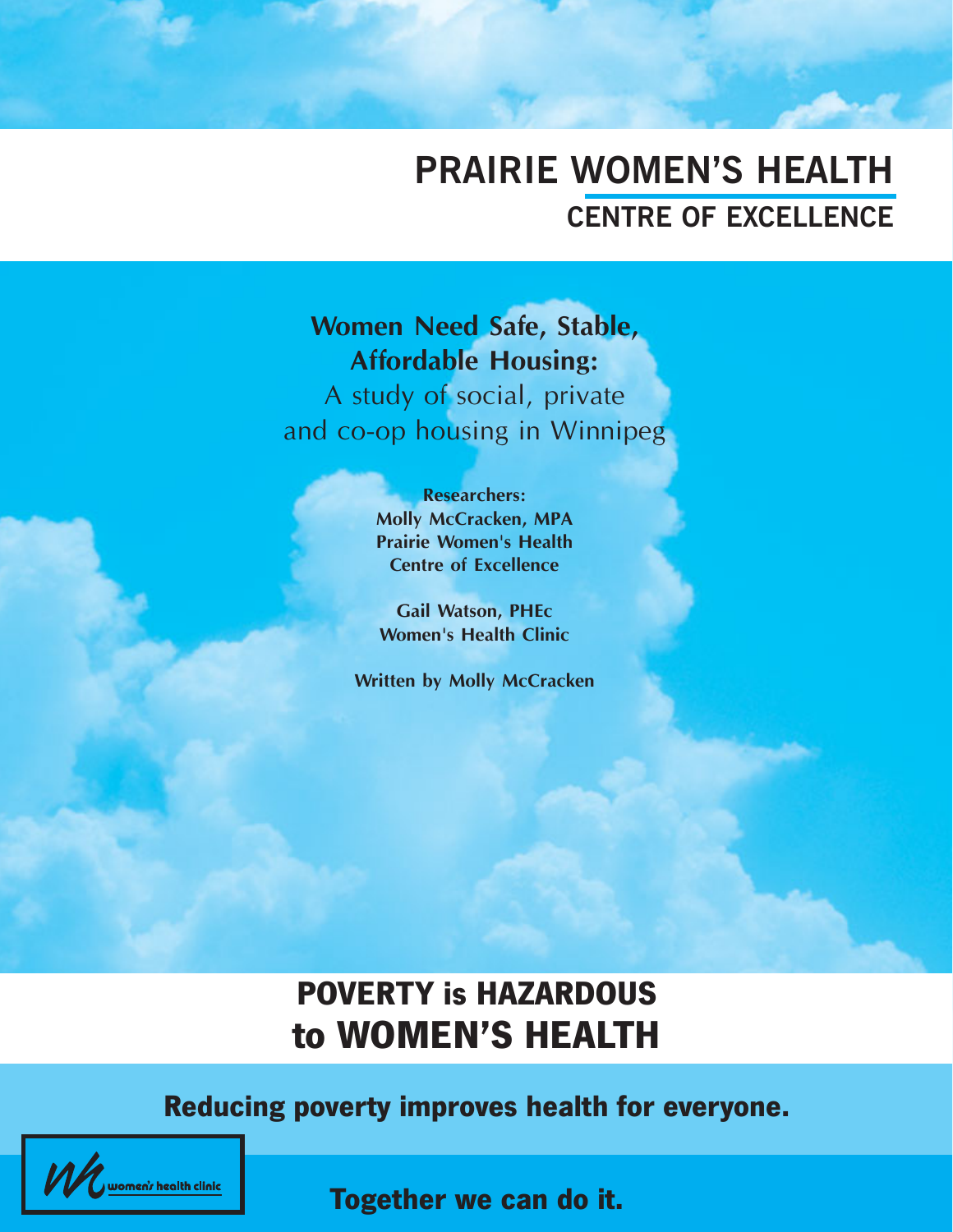# **PRAIRIE WOMEN'S HEALTH CENTRE OF EXCELLENCE**

# **Women Need Safe, Stable, Affordable Housing:** A study of social, private

and co-op housing in Winnipeg

**Researchers: Molly McCracken, MPA Prairie Women's Health Centre of Excellence**

**Gail Watson, PHEc Women's Health Clinic**

**Written by Molly McCracken**

# **POVERTY is HAZARDOUS to WOMEN'S HEALTH**

# **Reducing poverty improves health for everyone.**



**Together we can do it.**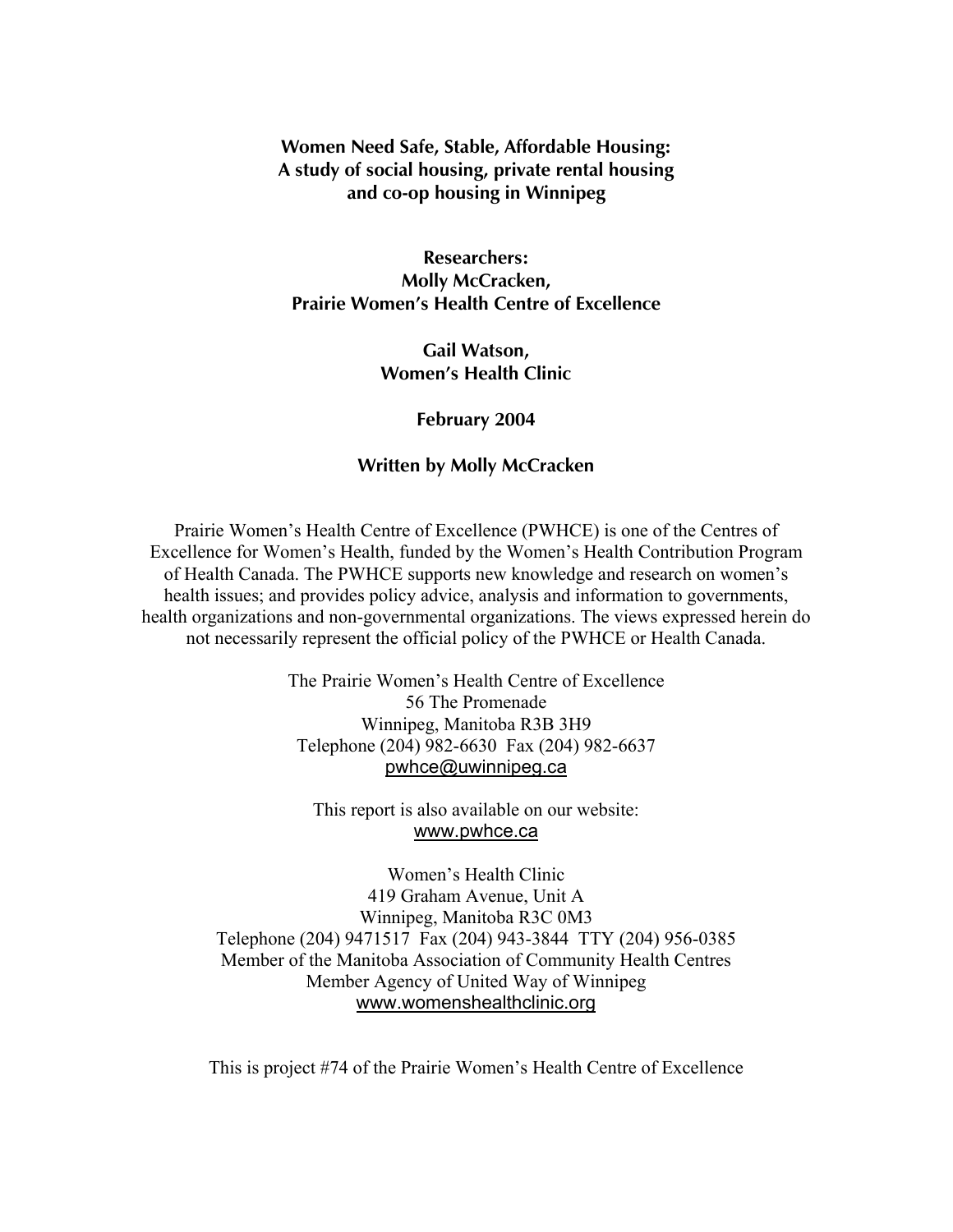#### **Women Need Safe, Stable, Affordable Housing: A study of social housing, private rental housing and co-op housing in Winnipeg**

**Researchers: Molly McCracken, Prairie Women's Health Centre of Excellence**

> **Gail Watson, Women's Health Clinic**

#### **February 2004**

#### **Written by Molly McCracken**

Prairie Women's Health Centre of Excellence (PWHCE) is one of the Centres of Excellence for Women's Health, funded by the Women's Health Contribution Program of Health Canada. The PWHCE supports new knowledge and research on women's health issues; and provides policy advice, analysis and information to governments, health organizations and non-governmental organizations. The views expressed herein do not necessarily represent the official policy of the PWHCE or Health Canada.

> The Prairie Women's Health Centre of Excellence 56 The Promenade Winnipeg, Manitoba R3B 3H9 Telephone (204) 982-6630 Fax (204) 982-6637 pwhce@uwinnipeg.ca

This report is also available on our website: www.pwhce.ca

Women's Health Clinic 419 Graham Avenue, Unit A Winnipeg, Manitoba R3C 0M3 Telephone (204) 9471517 Fax (204) 943-3844 TTY (204) 956-0385 Member of the Manitoba Association of Community Health Centres Member Agency of United Way of Winnipeg www.womenshealthclinic.org

This is project #74 of the Prairie Women's Health Centre of Excellence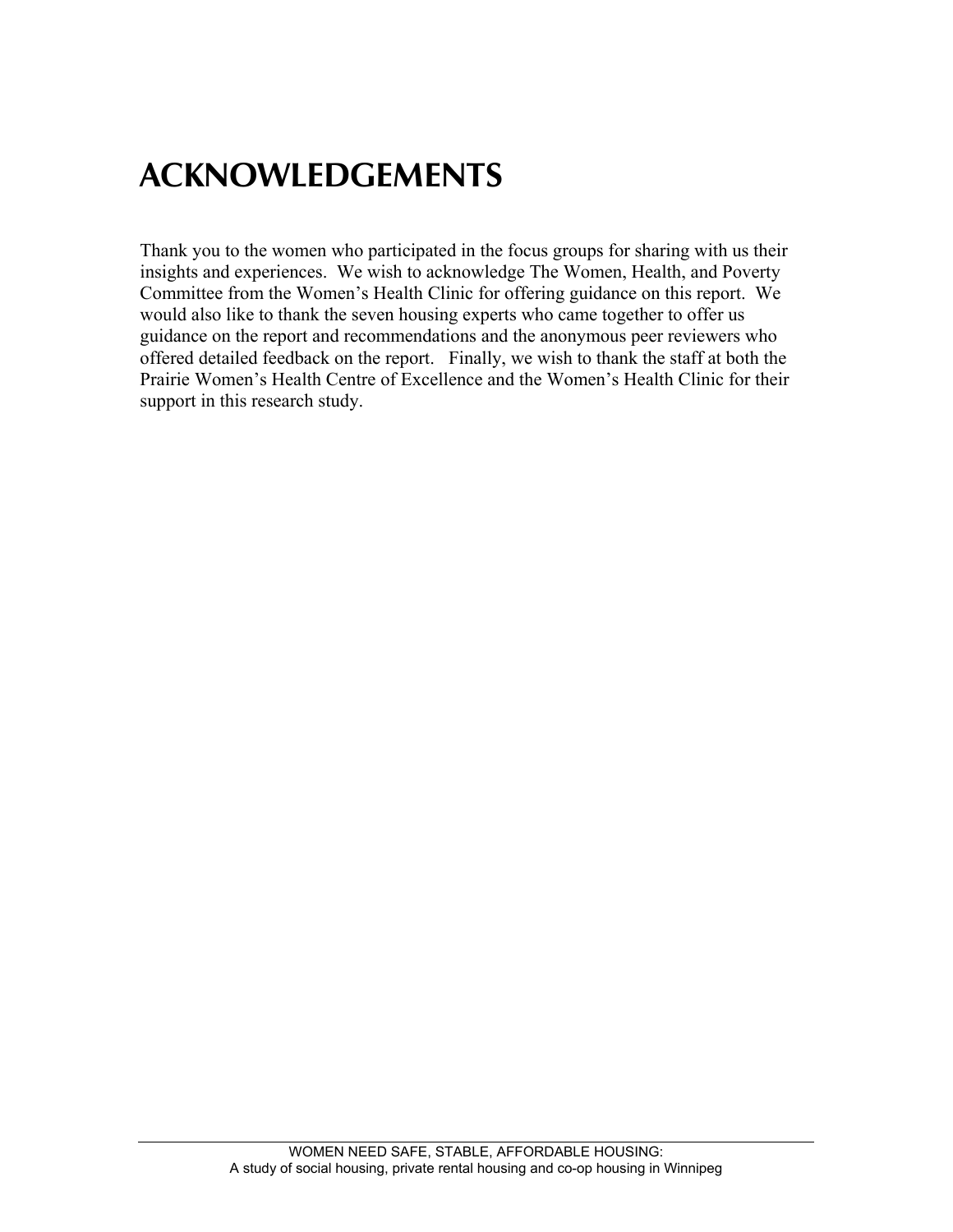# **ACKNOWLEDGEMENTS**

Thank you to the women who participated in the focus groups for sharing with us their insights and experiences. We wish to acknowledge The Women, Health, and Poverty Committee from the Women's Health Clinic for offering guidance on this report. We would also like to thank the seven housing experts who came together to offer us guidance on the report and recommendations and the anonymous peer reviewers who offered detailed feedback on the report. Finally, we wish to thank the staff at both the Prairie Women's Health Centre of Excellence and the Women's Health Clinic for their support in this research study.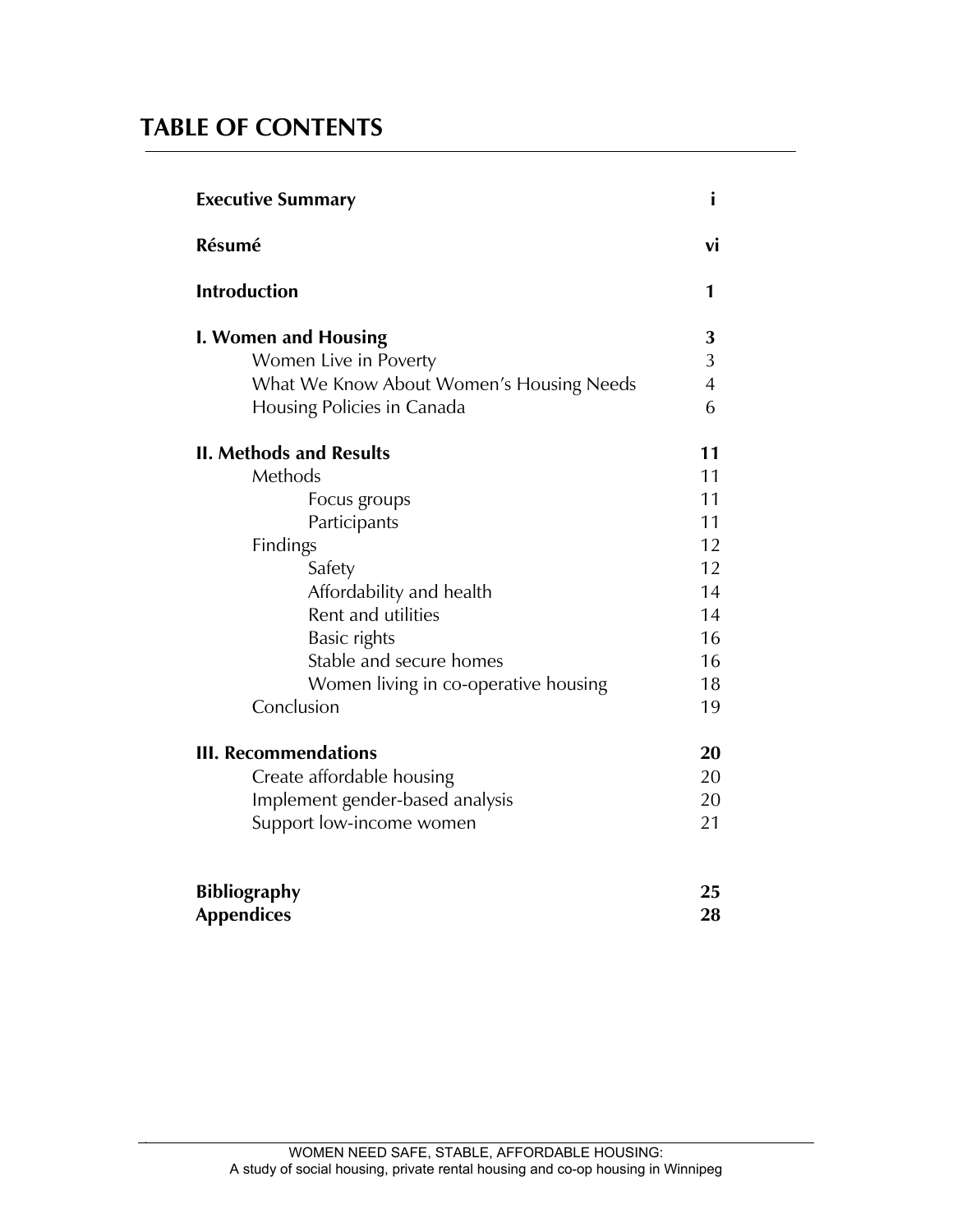## **TABLE OF CONTENTS**

| <b>Executive Summary</b>                 |                |
|------------------------------------------|----------------|
| Résumé                                   | vi             |
| <b>Introduction</b>                      | 1              |
| I. Women and Housing                     | 3              |
| Women Live in Poverty                    | 3              |
| What We Know About Women's Housing Needs | $\overline{4}$ |
| Housing Policies in Canada               | 6              |
| <b>II. Methods and Results</b>           | 11             |
| Methods                                  | 11             |
| Focus groups                             | 11             |
| Participants                             | 11             |
| Findings                                 | 12             |
| Safety                                   | 12             |
| Affordability and health                 | 14             |
| Rent and utilities                       | 14             |
| Basic rights                             | 16             |
| Stable and secure homes                  | 16             |
| Women living in co-operative housing     | 18             |
| Conclusion                               | 19             |
| <b>III. Recommendations</b>              | 20             |
| Create affordable housing                | 20             |
| Implement gender-based analysis          | 20             |
| Support low-income women                 | 21             |
| <b>Bibliography</b>                      | 25             |
| <b>Appendices</b>                        | 28             |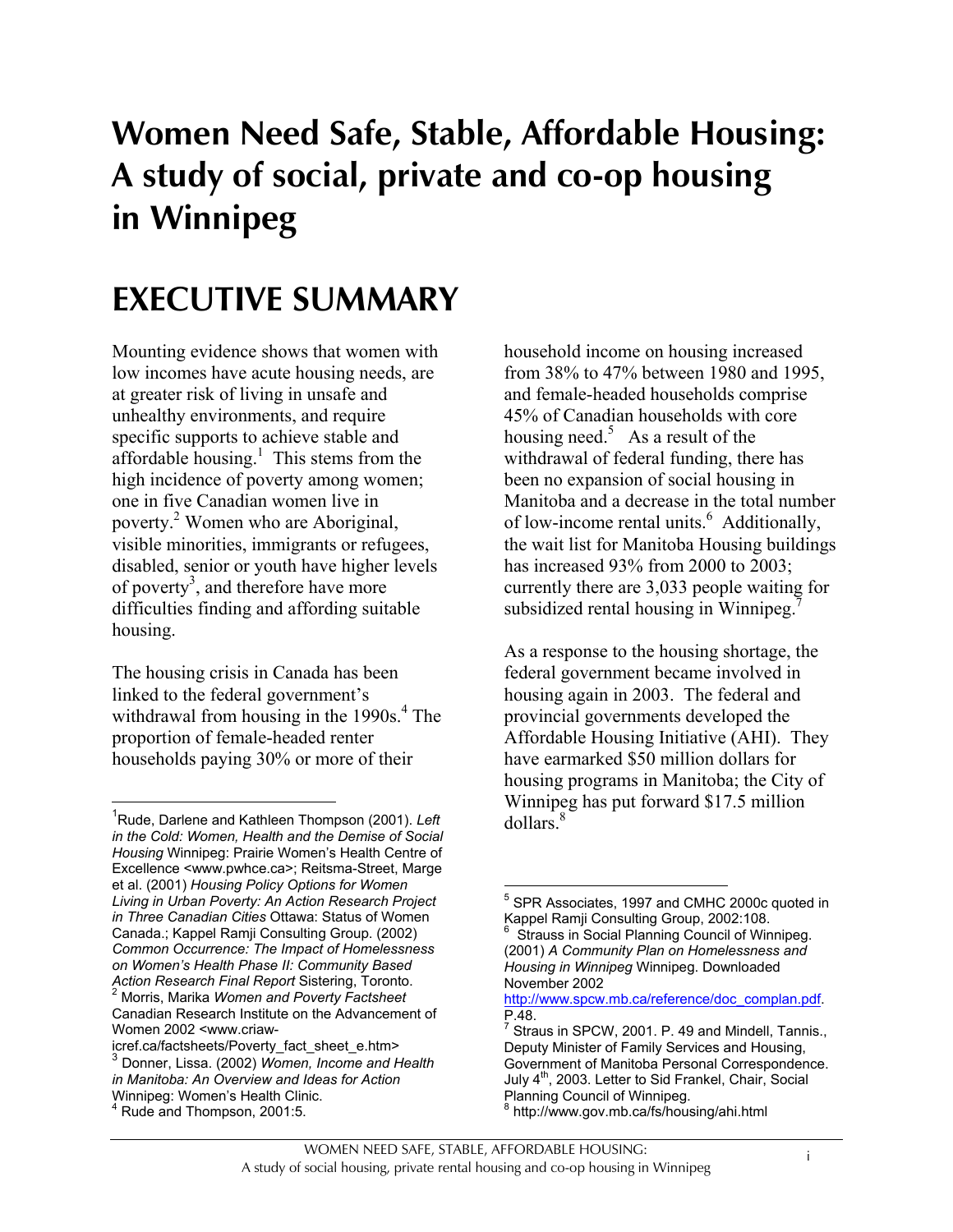# **Women Need Safe, Stable, Affordable Housing: A study of social, private and co-op housing in Winnipeg**

# **EXECUTIVE SUMMARY**

Mounting evidence shows that women with low incomes have acute housing needs, are at greater risk of living in unsafe and unhealthy environments, and require specific supports to achieve stable and affordable housing.<sup>1</sup> This stems from the high incidence of poverty among women; one in five Canadian women live in poverty.<sup>2</sup> Women who are Aboriginal, visible minorities, immigrants or refugees, disabled, senior or youth have higher levels of poverty<sup>3</sup>, and therefore have more difficulties finding and affording suitable housing.

The housing crisis in Canada has been linked to the federal government's withdrawal from housing in the  $1990s<sup>4</sup>$ . The proportion of female-headed renter households paying 30% or more of their

 $\overline{a}$ 

household income on housing increased from 38% to 47% between 1980 and 1995, and female-headed households comprise 45% of Canadian households with core housing need.<sup>5</sup> As a result of the withdrawal of federal funding, there has been no expansion of social housing in Manitoba and a decrease in the total number of low-income rental units.<sup>6</sup> Additionally, the wait list for Manitoba Housing buildings has increased 93% from 2000 to 2003; currently there are 3,033 people waiting for subsidized rental housing in Winnipeg.<sup>7</sup>

As a response to the housing shortage, the federal government became involved in housing again in 2003. The federal and provincial governments developed the Affordable Housing Initiative (AHI). They have earmarked \$50 million dollars for housing programs in Manitoba; the City of Winnipeg has put forward \$17.5 million  $d$ ollars<sup>8</sup>

<sup>1</sup> Rude, Darlene and Kathleen Thompson (2001). *Left in the Cold: Women, Health and the Demise of Social Housing* Winnipeg: Prairie Women's Health Centre of Excellence <www.pwhce.ca>; Reitsma-Street, Marge et al. (2001) *Housing Policy Options for Women Living in Urban Poverty: An Action Research Project in Three Canadian Cities* Ottawa: Status of Women Canada.; Kappel Ramji Consulting Group. (2002) *Common Occurrence: The Impact of Homelessness on Women's Health Phase II: Community Based Action Research Final Report* Sistering, Toronto. <sup>2</sup> Morris, Marika *Women and Poverty Factsheet* Canadian Research Institute on the Advancement of Women 2002 <www.criaw-

icref.ca/factsheets/Poverty\_fact\_sheet\_e.htm> <sup>3</sup> Donner, Lissa. (2002) *Women, Income and Health in Manitoba: An Overview and Ideas for Action* Winnipeg: Women's Health Clinic. 4 Rude and Thompson, 2001:5.

 $\overline{a}$ <sup>5</sup> SPR Associates, 1997 and CMHC 2000c quoted in Kappel Ramji Consulting Group, 2002:108. 6 Strauss in Social Planning Council of Winnipeg. (2001) *A Community Plan on Homelessness and Housing in Winnipeg* Winnipeg. Downloaded November 2002

http://www.spcw.mb.ca/reference/doc\_complan.pdf.  $P.48.$ 

Straus in SPCW, 2001. P. 49 and Mindell, Tannis., Deputy Minister of Family Services and Housing, Government of Manitoba Personal Correspondence. July 4<sup>th</sup>, 2003. Letter to Sid Frankel, Chair, Social Planning Council of Winnipeg.<br><sup>8</sup> http://www.gov.mb.go/fo/bour

http://www.gov.mb.ca/fs/housing/ahi.html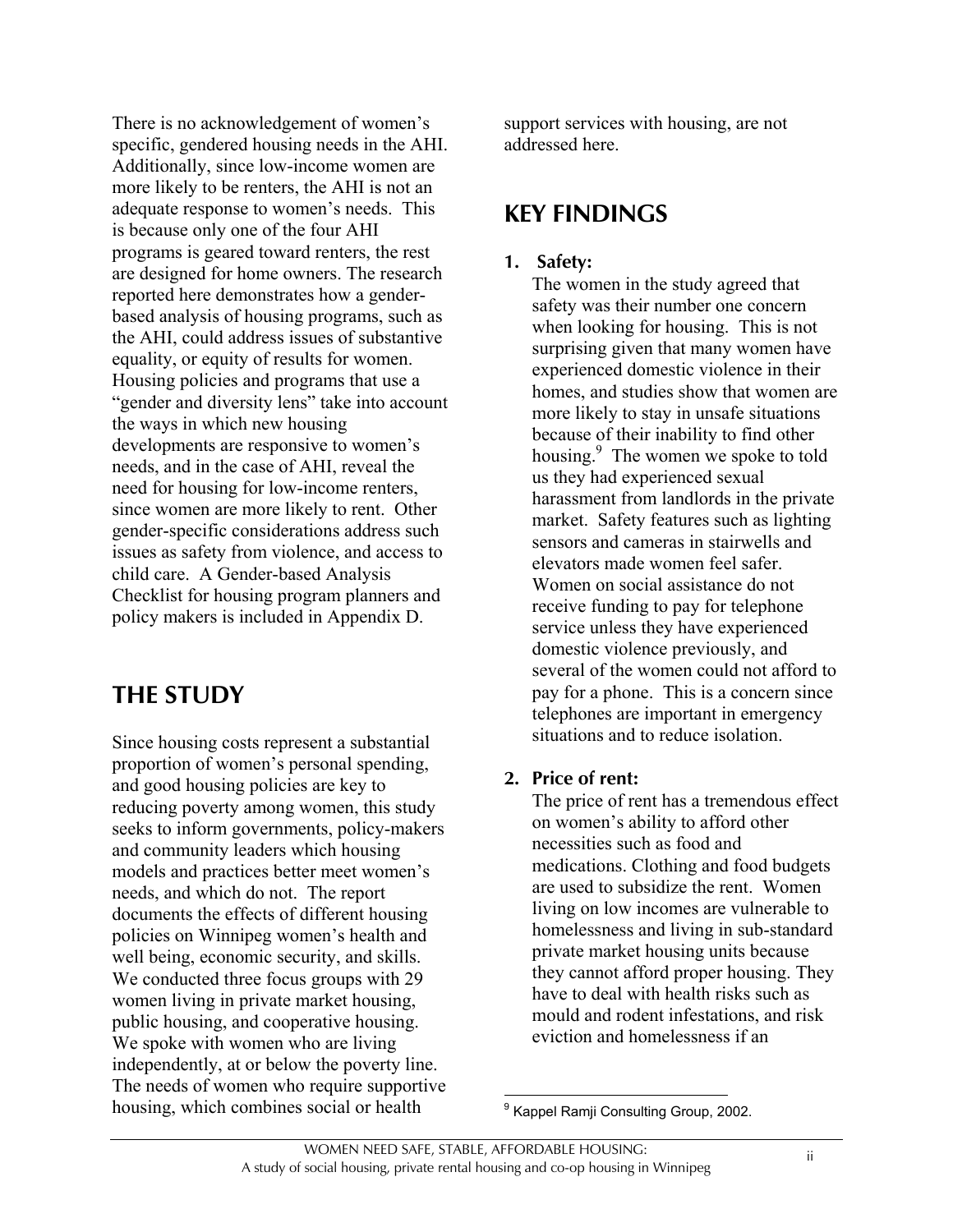There is no acknowledgement of women's specific, gendered housing needs in the AHI. Additionally, since low-income women are more likely to be renters, the AHI is not an adequate response to women's needs. This is because only one of the four AHI programs is geared toward renters, the rest are designed for home owners. The research reported here demonstrates how a genderbased analysis of housing programs, such as the AHI, could address issues of substantive equality, or equity of results for women. Housing policies and programs that use a "gender and diversity lens" take into account the ways in which new housing developments are responsive to women's needs, and in the case of AHI, reveal the need for housing for low-income renters, since women are more likely to rent. Other gender-specific considerations address such issues as safety from violence, and access to child care. A Gender-based Analysis Checklist for housing program planners and policy makers is included in Appendix D.

## **THE STUDY**

Since housing costs represent a substantial proportion of women's personal spending, and good housing policies are key to reducing poverty among women, this study seeks to inform governments, policy-makers and community leaders which housing models and practices better meet women's needs, and which do not. The report documents the effects of different housing policies on Winnipeg women's health and well being, economic security, and skills. We conducted three focus groups with 29 women living in private market housing, public housing, and cooperative housing. We spoke with women who are living independently, at or below the poverty line. The needs of women who require supportive housing, which combines social or health

support services with housing, are not addressed here.

## **KEY FINDINGS**

#### **1. Safety:**

The women in the study agreed that safety was their number one concern when looking for housing. This is not surprising given that many women have experienced domestic violence in their homes, and studies show that women are more likely to stay in unsafe situations because of their inability to find other housing.<sup>9</sup> The women we spoke to told us they had experienced sexual harassment from landlords in the private market. Safety features such as lighting sensors and cameras in stairwells and elevators made women feel safer. Women on social assistance do not receive funding to pay for telephone service unless they have experienced domestic violence previously, and several of the women could not afford to pay for a phone. This is a concern since telephones are important in emergency situations and to reduce isolation.

#### **2. Price of rent:**

The price of rent has a tremendous effect on women's ability to afford other necessities such as food and medications. Clothing and food budgets are used to subsidize the rent. Women living on low incomes are vulnerable to homelessness and living in sub-standard private market housing units because they cannot afford proper housing. They have to deal with health risks such as mould and rodent infestations, and risk eviction and homelessness if an

 9 Kappel Ramji Consulting Group, 2002.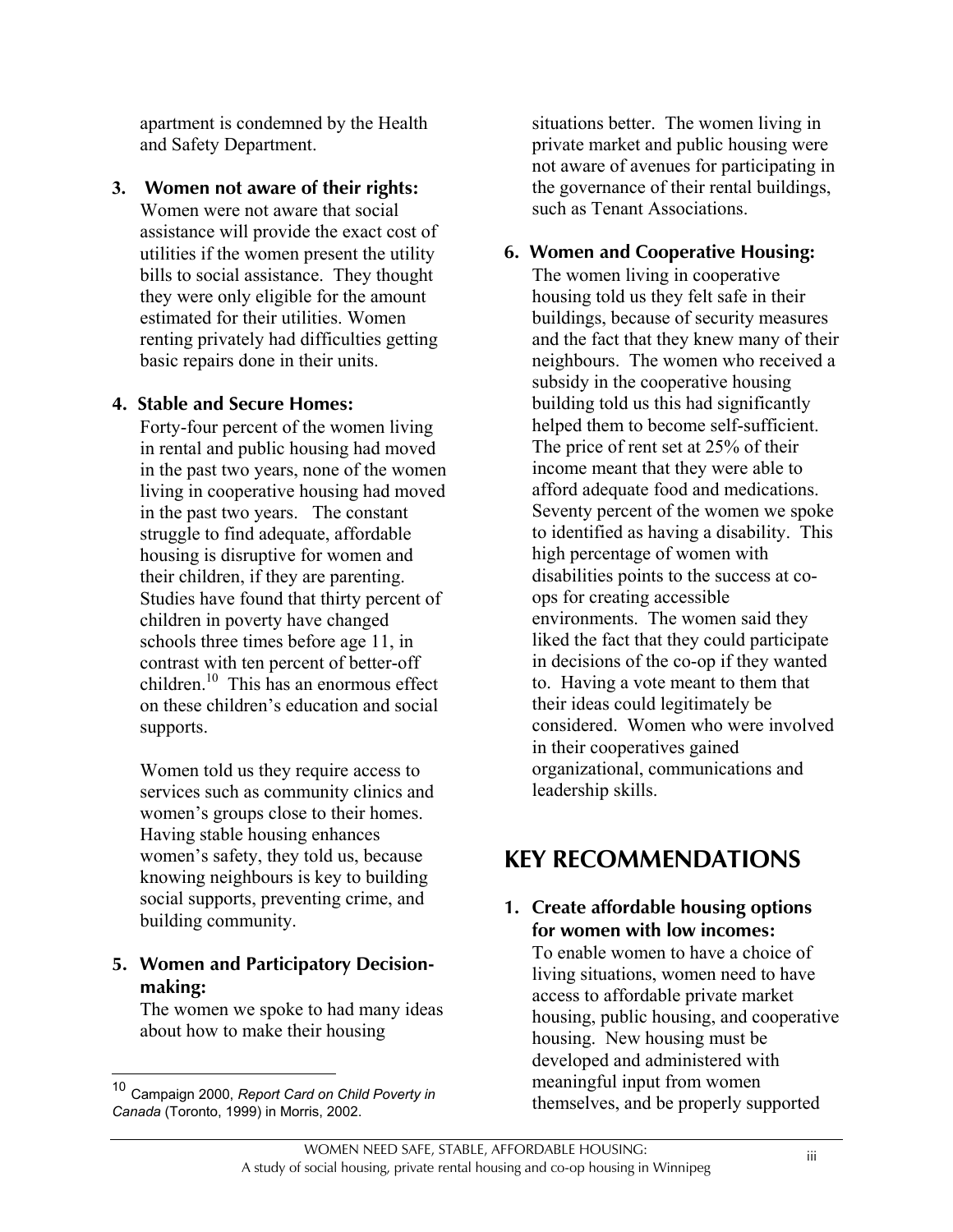apartment is condemned by the Health and Safety Department.

**3. Women not aware of their rights:** Women were not aware that social assistance will provide the exact cost of utilities if the women present the utility bills to social assistance. They thought they were only eligible for the amount estimated for their utilities. Women renting privately had difficulties getting basic repairs done in their units.

### **4. Stable and Secure Homes:**

Forty-four percent of the women living in rental and public housing had moved in the past two years, none of the women living in cooperative housing had moved in the past two years. The constant struggle to find adequate, affordable housing is disruptive for women and their children, if they are parenting. Studies have found that thirty percent of children in poverty have changed schools three times before age 11, in contrast with ten percent of better-off children.10 This has an enormous effect on these children's education and social supports.

Women told us they require access to services such as community clinics and women's groups close to their homes. Having stable housing enhances women's safety, they told us, because knowing neighbours is key to building social supports, preventing crime, and building community.

### **5. Women and Participatory Decisionmaking:**

The women we spoke to had many ideas about how to make their housing

situations better. The women living in private market and public housing were not aware of avenues for participating in the governance of their rental buildings, such as Tenant Associations.

### **6. Women and Cooperative Housing:**

The women living in cooperative housing told us they felt safe in their buildings, because of security measures and the fact that they knew many of their neighbours. The women who received a subsidy in the cooperative housing building told us this had significantly helped them to become self-sufficient. The price of rent set at 25% of their income meant that they were able to afford adequate food and medications. Seventy percent of the women we spoke to identified as having a disability. This high percentage of women with disabilities points to the success at coops for creating accessible environments. The women said they liked the fact that they could participate in decisions of the co-op if they wanted to. Having a vote meant to them that their ideas could legitimately be considered. Women who were involved in their cooperatives gained organizational, communications and leadership skills.

# **KEY RECOMMENDATIONS**

### **1. Create affordable housing options for women with low incomes:**

To enable women to have a choice of living situations, women need to have access to affordable private market housing, public housing, and cooperative housing. New housing must be developed and administered with meaningful input from women themselves, and be properly supported

 $10$ <sup>10</sup> Campaign 2000, *Report Card on Child Poverty in Canada* (Toronto, 1999) in Morris, 2002.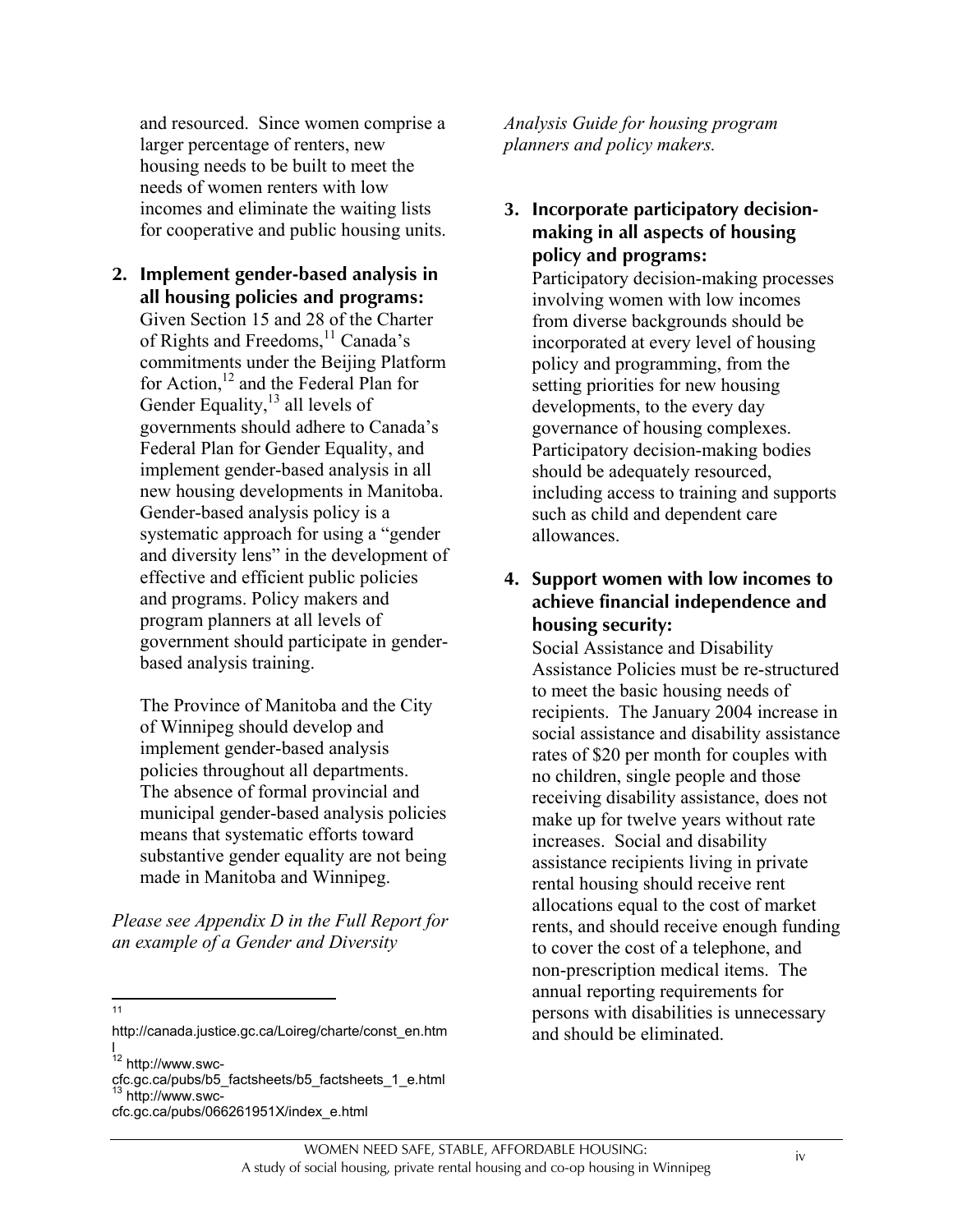and resourced. Since women comprise a larger percentage of renters, new housing needs to be built to meet the needs of women renters with low incomes and eliminate the waiting lists for cooperative and public housing units.

**2. Implement gender-based analysis in all housing policies and programs:** Given Section 15 and 28 of the Charter of Rights and Freedoms, <sup>11</sup> Canada's commitments under the Beijing Platform for Action,<sup>12</sup> and the Federal Plan for Gender Equality, $^{13}$  all levels of governments should adhere to Canada's Federal Plan for Gender Equality, and implement gender-based analysis in all new housing developments in Manitoba. Gender-based analysis policy is a systematic approach for using a "gender and diversity lens" in the development of effective and efficient public policies and programs. Policy makers and program planners at all levels of government should participate in genderbased analysis training.

The Province of Manitoba and the City of Winnipeg should develop and implement gender-based analysis policies throughout all departments. The absence of formal provincial and municipal gender-based analysis policies means that systematic efforts toward substantive gender equality are not being made in Manitoba and Winnipeg.

*Please see Appendix D in the Full Report for an example of a Gender and Diversity*

- $\frac{1}{11}$
- http://canada.justice.gc.ca/Loireg/charte/const\_en.htm l

cfc.gc.ca/pubs/b5\_factsheets/b5\_factsheets\_1\_e.html <sup>13</sup> http://www.swc-

*Analysis Guide for housing program planners and policy makers.*

**3. Incorporate participatory decisionmaking in all aspects of housing policy and programs:**

Participatory decision-making processes involving women with low incomes from diverse backgrounds should be incorporated at every level of housing policy and programming, from the setting priorities for new housing developments, to the every day governance of housing complexes. Participatory decision-making bodies should be adequately resourced, including access to training and supports such as child and dependent care allowances.

#### **4. Support women with low incomes to achieve financial independence and housing security:**

Social Assistance and Disability Assistance Policies must be re-structured to meet the basic housing needs of recipients. The January 2004 increase in social assistance and disability assistance rates of \$20 per month for couples with no children, single people and those receiving disability assistance, does not make up for twelve years without rate increases. Social and disability assistance recipients living in private rental housing should receive rent allocations equal to the cost of market rents, and should receive enough funding to cover the cost of a telephone, and non-prescription medical items. The annual reporting requirements for persons with disabilities is unnecessary and should be eliminated.

<sup>&</sup>lt;sup>12</sup> http://www.swc-

cfc.gc.ca/pubs/066261951X/index\_e.html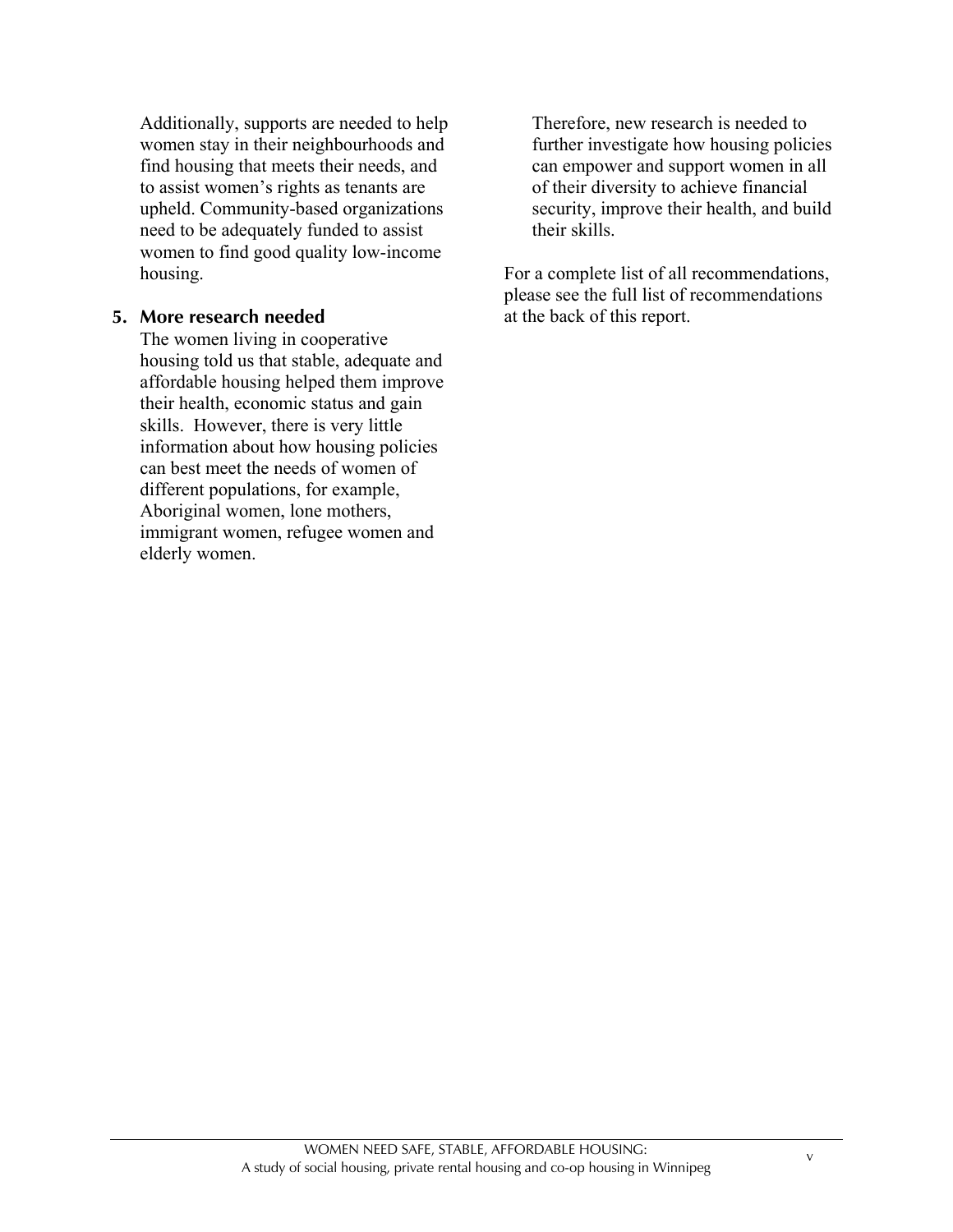Additionally, supports are needed to help women stay in their neighbourhoods and find housing that meets their needs, and to assist women's rights as tenants are upheld. Community-based organizations need to be adequately funded to assist women to find good quality low-income housing.

#### **5. More research needed**

The women living in cooperative housing told us that stable, adequate and affordable housing helped them improve their health, economic status and gain skills. However, there is very little information about how housing policies can best meet the needs of women of different populations, for example, Aboriginal women, lone mothers, immigrant women, refugee women and elderly women.

Therefore, new research is needed to further investigate how housing policies can empower and support women in all of their diversity to achieve financial security, improve their health, and build their skills.

For a complete list of all recommendations, please see the full list of recommendations at the back of this report.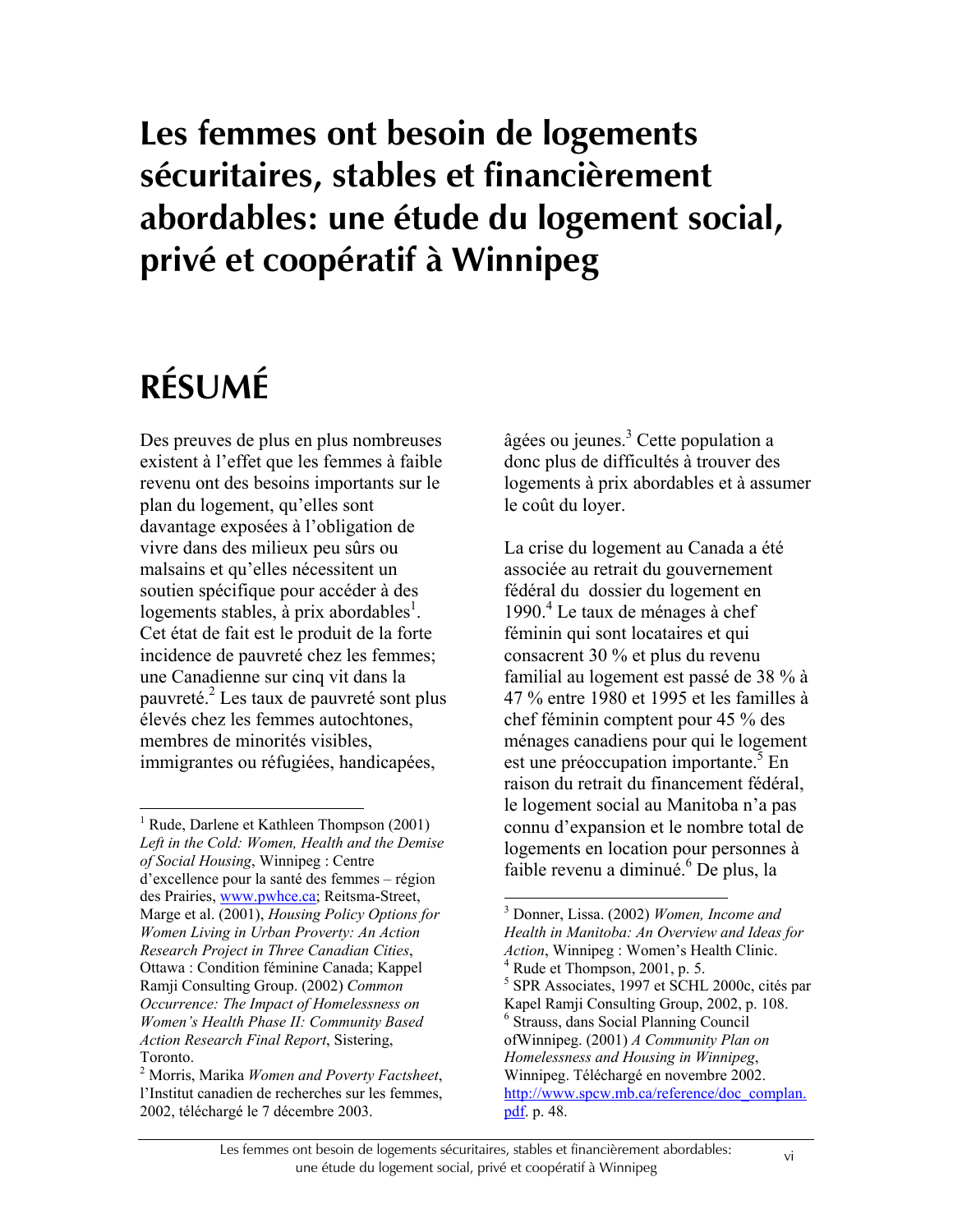# **Les femmes ont besoin de logements sécuritaires, stables et financièrement abordables: une étude du logement social, privé et coopératif à Winnipeg**

# **RÉSUMÉ**

 $\overline{a}$ 

Des preuves de plus en plus nombreuses existent à l'effet que les femmes à faible revenu ont des besoins importants sur le plan du logement, qu'elles sont davantage exposées à l'obligation de vivre dans des milieux peu sûrs ou malsains et qu'elles nécessitent un soutien spécifique pour accéder à des logements stables, à prix abordables<sup>1</sup>. Cet état de fait est le produit de la forte incidence de pauvreté chez les femmes; une Canadienne sur cinq vit dans la pauvreté.<sup>2</sup> Les taux de pauvreté sont plus élevés chez les femmes autochtones, membres de minorités visibles, immigrantes ou réfugiées, handicapées,

âgées ou jeunes.<sup>3</sup> Cette population a donc plus de difficultés à trouver des logements à prix abordables et à assumer le coût du loyer.

La crise du logement au Canada a été associée au retrait du gouvernement fédéral du dossier du logement en 1990.<sup>4</sup> Le taux de ménages à chef féminin qui sont locataires et qui consacrent 30 % et plus du revenu familial au logement est passé de 38 % à 47 % entre 1980 et 1995 et les familles à chef féminin comptent pour 45 % des ménages canadiens pour qui le logement est une préoccupation importante.<sup>5</sup> En raison du retrait du financement fédéral, le logement social au Manitoba n'a pas connu d'expansion et le nombre total de logements en location pour personnes à faible revenu a diminué.<sup>6</sup> De plus, la

 $\overline{a}$ 

<sup>1</sup> Rude, Darlene et Kathleen Thompson (2001) *Left in the Cold: Women, Health and the Demise of Social Housing*, Winnipeg : Centre d'excellence pour la santé des femmes – région des Prairies, www.pwhce.ca; Reitsma-Street, Marge et al. (2001), *Housing Policy Options for Women Living in Urban Proverty: An Action Research Project in Three Canadian Cities*, Ottawa : Condition féminine Canada; Kappel Ramji Consulting Group. (2002) *Common Occurrence: The Impact of Homelessness on Women's Health Phase II: Community Based Action Research Final Report*, Sistering,  $T$ oronto

Morris, Marika *Women and Poverty Factsheet*, l'Institut canadien de recherches sur les femmes, 2002, téléchargé le 7 décembre 2003.

<sup>3</sup> Donner, Lissa. (2002) *Women, Income and Health in Manitoba: An Overview and Ideas for Action*, Winnipeg : Women's Health Clinic. <sup>4</sup> Rude et Thompson, 2001, p. 5. 5 SPR Associates, 1997 et SCHL 2000c, cités par Kapel Ramji Consulting Group, 2002, p. 108. 6 Strauss, dans Social Planning Council ofWinnipeg. (2001) *A Community Plan on Homelessness and Housing in Winnipeg*, Winnipeg. Téléchargé en novembre 2002. http://www.spcw.mb.ca/reference/doc\_complan. pdf. p. 48.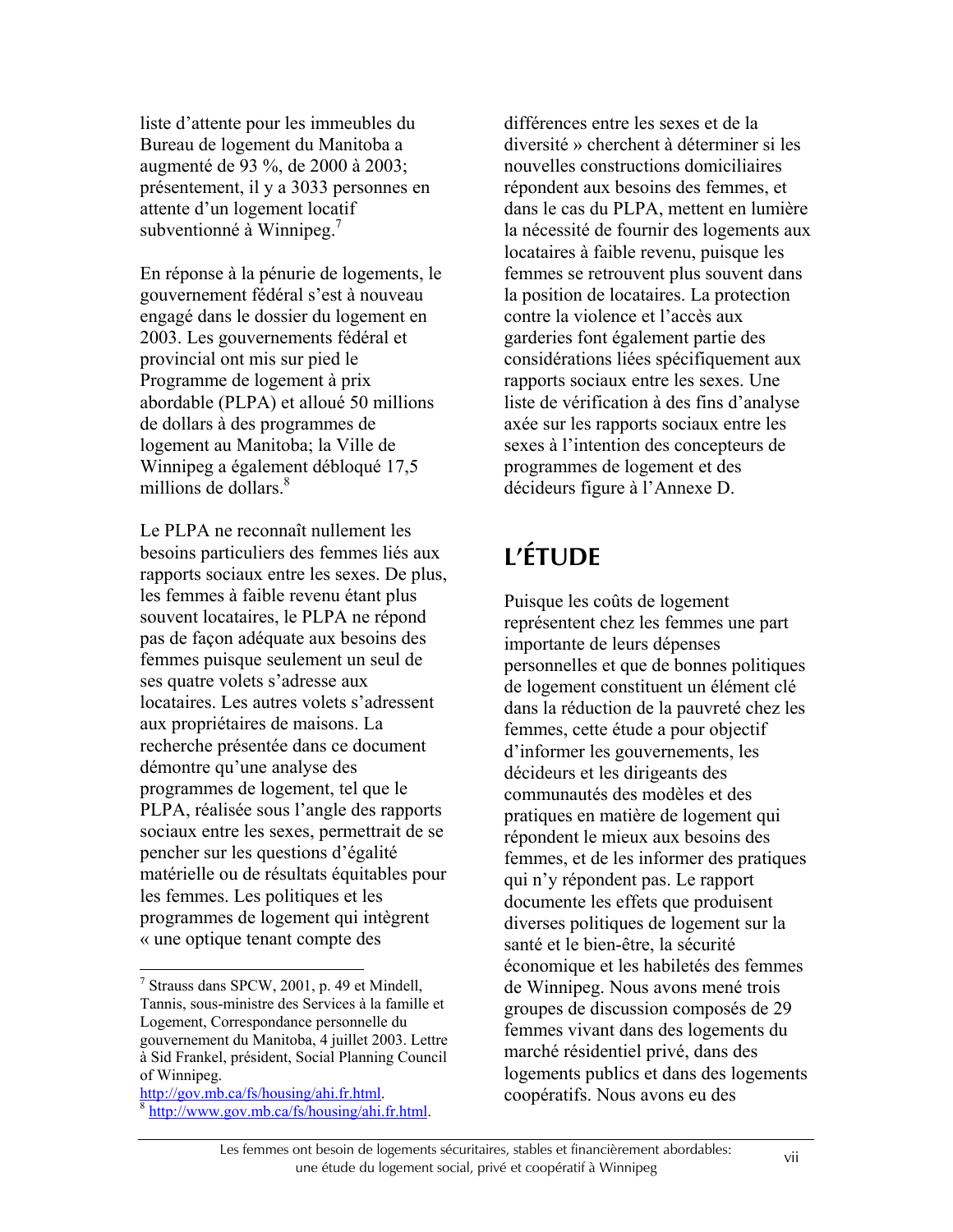liste d'attente pour les immeubles du Bureau de logement du Manitoba a augmenté de 93 %, de 2000 à 2003; présentement, il y a 3033 personnes en attente d'un logement locatif subventionné à Winnipeg.<sup>7</sup>

En réponse à la pénurie de logements, le gouvernement fédéral s'est à nouveau engagé dans le dossier du logement en 2003. Les gouvernements fédéral et provincial ont mis sur pied le Programme de logement à prix abordable (PLPA) et alloué 50 millions de dollars à des programmes de logement au Manitoba; la Ville de Winnipeg a également débloqué 17,5 millions de dollars.<sup>8</sup>

Le PLPA ne reconnaît nullement les besoins particuliers des femmes liés aux rapports sociaux entre les sexes. De plus, les femmes à faible revenu étant plus souvent locataires, le PLPA ne répond pas de façon adéquate aux besoins des femmes puisque seulement un seul de ses quatre volets s'adresse aux locataires. Les autres volets s'adressent aux propriétaires de maisons. La recherche présentée dans ce document démontre qu'une analyse des programmes de logement, tel que le PLPA, réalisée sous l'angle des rapports sociaux entre les sexes, permettrait de se pencher sur les questions d'égalité matérielle ou de résultats équitables pour les femmes. Les politiques et les programmes de logement qui intègrent « une optique tenant compte des

 $\overline{a}$ 

of Winnipeg.<br>http://gov.mb.ca/fs/housing/ahi.fr.html.  $\frac{1}{h}$ http://www.gov.mb.ca/fs/housing/ahi.fr.html. différences entre les sexes et de la diversité » cherchent à déterminer si les nouvelles constructions domiciliaires répondent aux besoins des femmes, et dans le cas du PLPA, mettent en lumière la nécessité de fournir des logements aux locataires à faible revenu, puisque les femmes se retrouvent plus souvent dans la position de locataires. La protection contre la violence et l'accès aux garderies font également partie des considérations liées spécifiquement aux rapports sociaux entre les sexes. Une liste de vérification à des fins d'analyse axée sur les rapports sociaux entre les sexes à l'intention des concepteurs de programmes de logement et des décideurs figure à l'Annexe D.

# **L'ÉTUDE**

Puisque les coûts de logement représentent chez les femmes une part importante de leurs dépenses personnelles et que de bonnes politiques de logement constituent un élément clé dans la réduction de la pauvreté chez les femmes, cette étude a pour objectif d'informer les gouvernements, les décideurs et les dirigeants des communautés des modèles et des pratiques en matière de logement qui répondent le mieux aux besoins des femmes, et de les informer des pratiques qui n'y répondent pas. Le rapport documente les effets que produisent diverses politiques de logement sur la santé et le bien-être, la sécurité économique et les habiletés des femmes de Winnipeg. Nous avons mené trois groupes de discussion composés de 29 femmes vivant dans des logements du marché résidentiel privé, dans des logements publics et dans des logements coopératifs. Nous avons eu des

<sup>&</sup>lt;sup>7</sup> Strauss dans SPCW, 2001, p. 49 et Mindell, Tannis, sous-ministre des Services à la famille et Logement, Correspondance personnelle du gouvernement du Manitoba, 4 juillet 2003. Lettre à Sid Frankel, président, Social Planning Council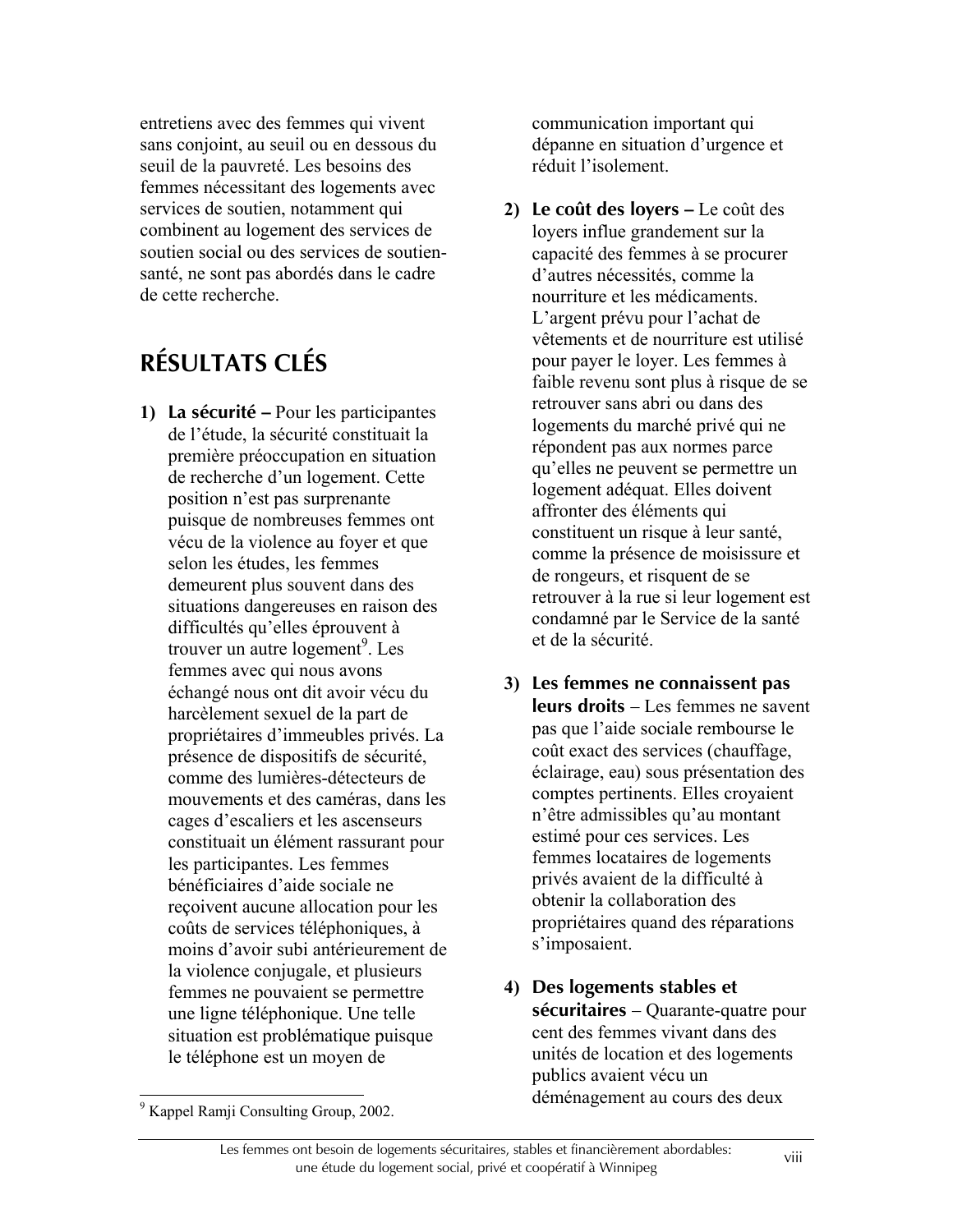entretiens avec des femmes qui vivent sans conjoint, au seuil ou en dessous du seuil de la pauvreté. Les besoins des femmes nécessitant des logements avec services de soutien, notamment qui combinent au logement des services de soutien social ou des services de soutiensanté, ne sont pas abordés dans le cadre de cette recherche.

# **RÉSULTATS CLÉS**

**1) La sécurité –** Pour les participantes de l'étude, la sécurité constituait la première préoccupation en situation de recherche d'un logement. Cette position n'est pas surprenante puisque de nombreuses femmes ont vécu de la violence au foyer et que selon les études, les femmes demeurent plus souvent dans des situations dangereuses en raison des difficultés qu'elles éprouvent à trouver un autre logement<sup>9</sup>. Les femmes avec qui nous avons échangé nous ont dit avoir vécu du harcèlement sexuel de la part de propriétaires d'immeubles privés. La présence de dispositifs de sécurité, comme des lumières-détecteurs de mouvements et des caméras, dans les cages d'escaliers et les ascenseurs constituait un élément rassurant pour les participantes. Les femmes bénéficiaires d'aide sociale ne reçoivent aucune allocation pour les coûts de services téléphoniques, à moins d'avoir subi antérieurement de la violence conjugale, et plusieurs femmes ne pouvaient se permettre une ligne téléphonique. Une telle situation est problématique puisque le téléphone est un moyen de

communication important qui dépanne en situation d'urgence et réduit l'isolement.

- **2) Le coût des loyers –** Le coût des loyers influe grandement sur la capacité des femmes à se procurer d'autres nécessités, comme la nourriture et les médicaments. L'argent prévu pour l'achat de vêtements et de nourriture est utilisé pour payer le loyer. Les femmes à faible revenu sont plus à risque de se retrouver sans abri ou dans des logements du marché privé qui ne répondent pas aux normes parce qu'elles ne peuvent se permettre un logement adéquat. Elles doivent affronter des éléments qui constituent un risque à leur santé, comme la présence de moisissure et de rongeurs, et risquent de se retrouver à la rue si leur logement est condamné par le Service de la santé et de la sécurité.
- **3) Les femmes ne connaissent pas leurs droits** – Les femmes ne savent pas que l'aide sociale rembourse le coût exact des services (chauffage, éclairage, eau) sous présentation des comptes pertinents. Elles croyaient n'être admissibles qu'au montant estimé pour ces services. Les femmes locataires de logements privés avaient de la difficulté à obtenir la collaboration des propriétaires quand des réparations s'imposaient.
- **4) Des logements stables et sécuritaires** – Quarante-quatre pour cent des femmes vivant dans des unités de location et des logements publics avaient vécu un déménagement au cours des deux

 $\overline{a}$ 

<sup>&</sup>lt;sup>9</sup> Kappel Ramji Consulting Group, 2002.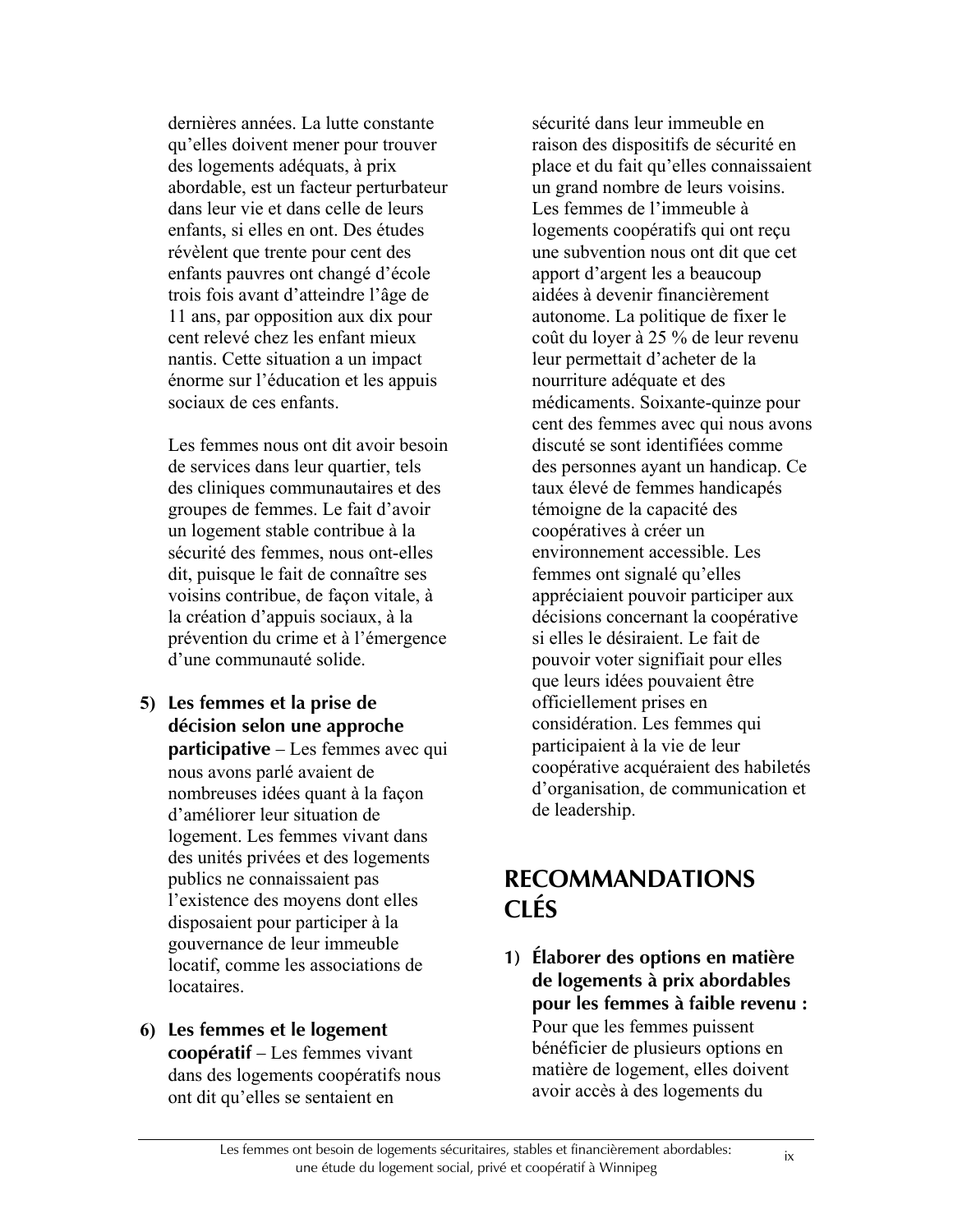dernières années. La lutte constante qu'elles doivent mener pour trouver des logements adéquats, à prix abordable, est un facteur perturbateur dans leur vie et dans celle de leurs enfants, si elles en ont. Des études révèlent que trente pour cent des enfants pauvres ont changé d'école trois fois avant d'atteindre l'âge de 11 ans, par opposition aux dix pour cent relevé chez les enfant mieux nantis. Cette situation a un impact énorme sur l'éducation et les appuis sociaux de ces enfants.

Les femmes nous ont dit avoir besoin de services dans leur quartier, tels des cliniques communautaires et des groupes de femmes. Le fait d'avoir un logement stable contribue à la sécurité des femmes, nous ont-elles dit, puisque le fait de connaître ses voisins contribue, de façon vitale, à la création d'appuis sociaux, à la prévention du crime et à l'émergence d'une communauté solide.

- **5) Les femmes et la prise de décision selon une approche participative** – Les femmes avec qui nous avons parlé avaient de nombreuses idées quant à la façon d'améliorer leur situation de logement. Les femmes vivant dans des unités privées et des logements publics ne connaissaient pas l'existence des moyens dont elles disposaient pour participer à la gouvernance de leur immeuble locatif, comme les associations de locataires.
- **6) Les femmes et le logement coopératif** – Les femmes vivant dans des logements coopératifs nous ont dit qu'elles se sentaient en

sécurité dans leur immeuble en raison des dispositifs de sécurité en place et du fait qu'elles connaissaient un grand nombre de leurs voisins. Les femmes de l'immeuble à logements coopératifs qui ont reçu une subvention nous ont dit que cet apport d'argent les a beaucoup aidées à devenir financièrement autonome. La politique de fixer le coût du loyer à 25 % de leur revenu leur permettait d'acheter de la nourriture adéquate et des médicaments. Soixante-quinze pour cent des femmes avec qui nous avons discuté se sont identifiées comme des personnes ayant un handicap. Ce taux élevé de femmes handicapés témoigne de la capacité des coopératives à créer un environnement accessible. Les femmes ont signalé qu'elles appréciaient pouvoir participer aux décisions concernant la coopérative si elles le désiraient. Le fait de pouvoir voter signifiait pour elles que leurs idées pouvaient être officiellement prises en considération. Les femmes qui participaient à la vie de leur coopérative acquéraient des habiletés d'organisation, de communication et de leadership.

## **RECOMMANDATIONS CLÉS**

**1) Élaborer des options en matière de logements à prix abordables pour les femmes à faible revenu :** Pour que les femmes puissent bénéficier de plusieurs options en matière de logement, elles doivent avoir accès à des logements du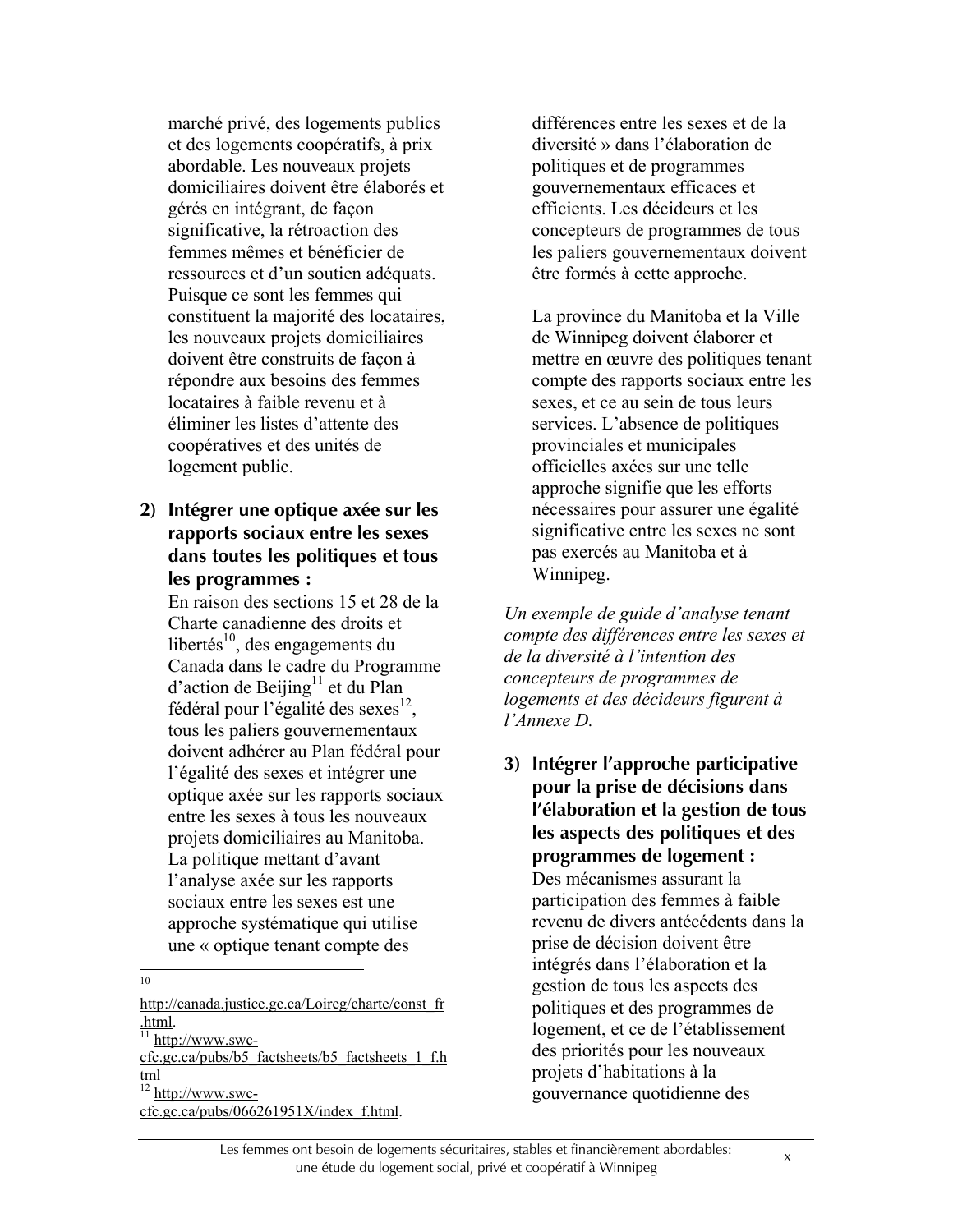marché privé, des logements publics et des logements coopératifs, à prix abordable. Les nouveaux projets domiciliaires doivent être élaborés et gérés en intégrant, de façon significative, la rétroaction des femmes mêmes et bénéficier de ressources et d'un soutien adéquats. Puisque ce sont les femmes qui constituent la majorité des locataires, les nouveaux projets domiciliaires doivent être construits de façon à répondre aux besoins des femmes locataires à faible revenu et à éliminer les listes d'attente des coopératives et des unités de logement public.

#### **2) Intégrer une optique axée sur les rapports sociaux entre les sexes dans toutes les politiques et tous les programmes :**

En raison des sections 15 et 28 de la Charte canadienne des droits et libertés<sup>10</sup>, des engagements du Canada dans le cadre du Programme  $d'$ action de Beijing<sup>11</sup> et du Plan fédéral pour l'égalité des sexes $^{12}$ , tous les paliers gouvernementaux doivent adhérer au Plan fédéral pour l'égalité des sexes et intégrer une optique axée sur les rapports sociaux entre les sexes à tous les nouveaux projets domiciliaires au Manitoba. La politique mettant d'avant l'analyse axée sur les rapports sociaux entre les sexes est une approche systématique qui utilise une « optique tenant compte des

10

http://canada.justice.gc.ca/Loireg/charte/const\_fr .html.

 $\frac{11 \text{ http://www.swc-}}{}$ 

cfc.gc.ca/pubs/b5\_factsheets/b5\_factsheets\_1\_f.h tml  $\frac{12 \text{ http://www.swc-}}{}$ 

cfc.gc.ca/pubs/066261951X/index\_f.html.

différences entre les sexes et de la diversité » dans l'élaboration de politiques et de programmes gouvernementaux efficaces et efficients. Les décideurs et les concepteurs de programmes de tous les paliers gouvernementaux doivent être formés à cette approche.

La province du Manitoba et la Ville de Winnipeg doivent élaborer et mettre en œuvre des politiques tenant compte des rapports sociaux entre les sexes, et ce au sein de tous leurs services. L'absence de politiques provinciales et municipales officielles axées sur une telle approche signifie que les efforts nécessaires pour assurer une égalité significative entre les sexes ne sont pas exercés au Manitoba et à Winnipeg.

*Un exemple de guide d'analyse tenant compte des différences entre les sexes et de la diversité à l'intention des concepteurs de programmes de logements et des décideurs figurent à l'Annexe D.*

**3) Intégrer l'approche participative pour la prise de décisions dans l'élaboration et la gestion de tous les aspects des politiques et des programmes de logement :** Des mécanismes assurant la participation des femmes à faible revenu de divers antécédents dans la prise de décision doivent être intégrés dans l'élaboration et la gestion de tous les aspects des politiques et des programmes de logement, et ce de l'établissement des priorités pour les nouveaux projets d'habitations à la gouvernance quotidienne des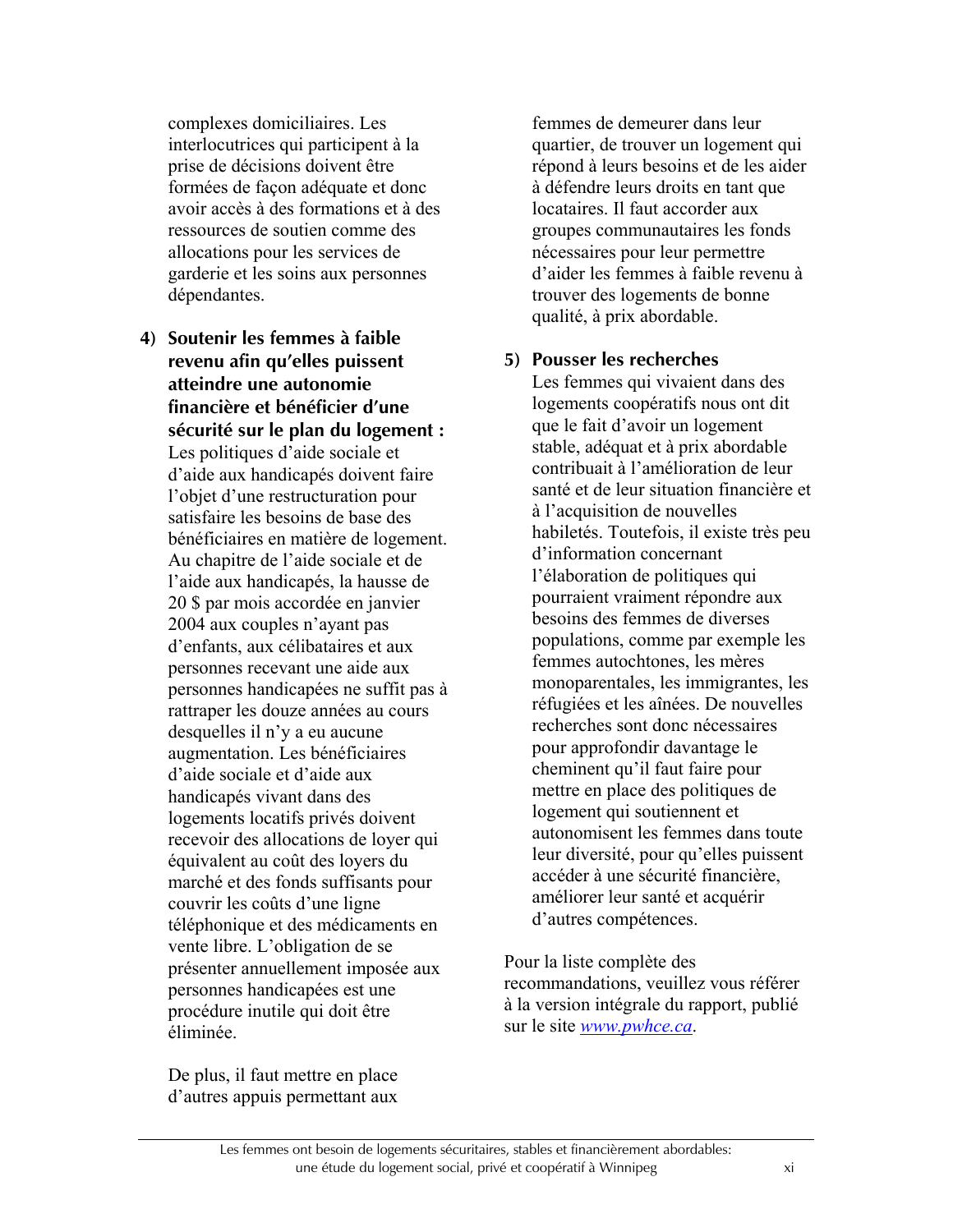complexes domiciliaires. Les interlocutrices qui participent à la prise de décisions doivent être formées de façon adéquate et donc avoir accès à des formations et à des ressources de soutien comme des allocations pour les services de garderie et les soins aux personnes dépendantes.

**4) Soutenir les femmes à faible revenu afin qu'elles puissent atteindre une autonomie financière et bénéficier d'une sécurité sur le plan du logement :** Les politiques d'aide sociale et d'aide aux handicapés doivent faire l'objet d'une restructuration pour satisfaire les besoins de base des bénéficiaires en matière de logement. Au chapitre de l'aide sociale et de l'aide aux handicapés, la hausse de 20 \$ par mois accordée en janvier 2004 aux couples n'ayant pas d'enfants, aux célibataires et aux personnes recevant une aide aux personnes handicapées ne suffit pas à rattraper les douze années au cours desquelles il n'y a eu aucune augmentation. Les bénéficiaires d'aide sociale et d'aide aux handicapés vivant dans des logements locatifs privés doivent recevoir des allocations de loyer qui équivalent au coût des loyers du marché et des fonds suffisants pour couvrir les coûts d'une ligne téléphonique et des médicaments en vente libre. L'obligation de se présenter annuellement imposée aux personnes handicapées est une procédure inutile qui doit être éliminée.

De plus, il faut mettre en place d'autres appuis permettant aux

femmes de demeurer dans leur quartier, de trouver un logement qui répond à leurs besoins et de les aider à défendre leurs droits en tant que locataires. Il faut accorder aux groupes communautaires les fonds nécessaires pour leur permettre d'aider les femmes à faible revenu à trouver des logements de bonne qualité, à prix abordable.

#### **5) Pousser les recherches**

Les femmes qui vivaient dans des logements coopératifs nous ont dit que le fait d'avoir un logement stable, adéquat et à prix abordable contribuait à l'amélioration de leur santé et de leur situation financière et à l'acquisition de nouvelles habiletés. Toutefois, il existe très peu d'information concernant l'élaboration de politiques qui pourraient vraiment répondre aux besoins des femmes de diverses populations, comme par exemple les femmes autochtones, les mères monoparentales, les immigrantes, les réfugiées et les aînées. De nouvelles recherches sont donc nécessaires pour approfondir davantage le cheminent qu'il faut faire pour mettre en place des politiques de logement qui soutiennent et autonomisent les femmes dans toute leur diversité, pour qu'elles puissent accéder à une sécurité financière, améliorer leur santé et acquérir d'autres compétences.

Pour la liste complète des recommandations, veuillez vous référer à la version intégrale du rapport, publié sur le site *www.pwhce.ca*.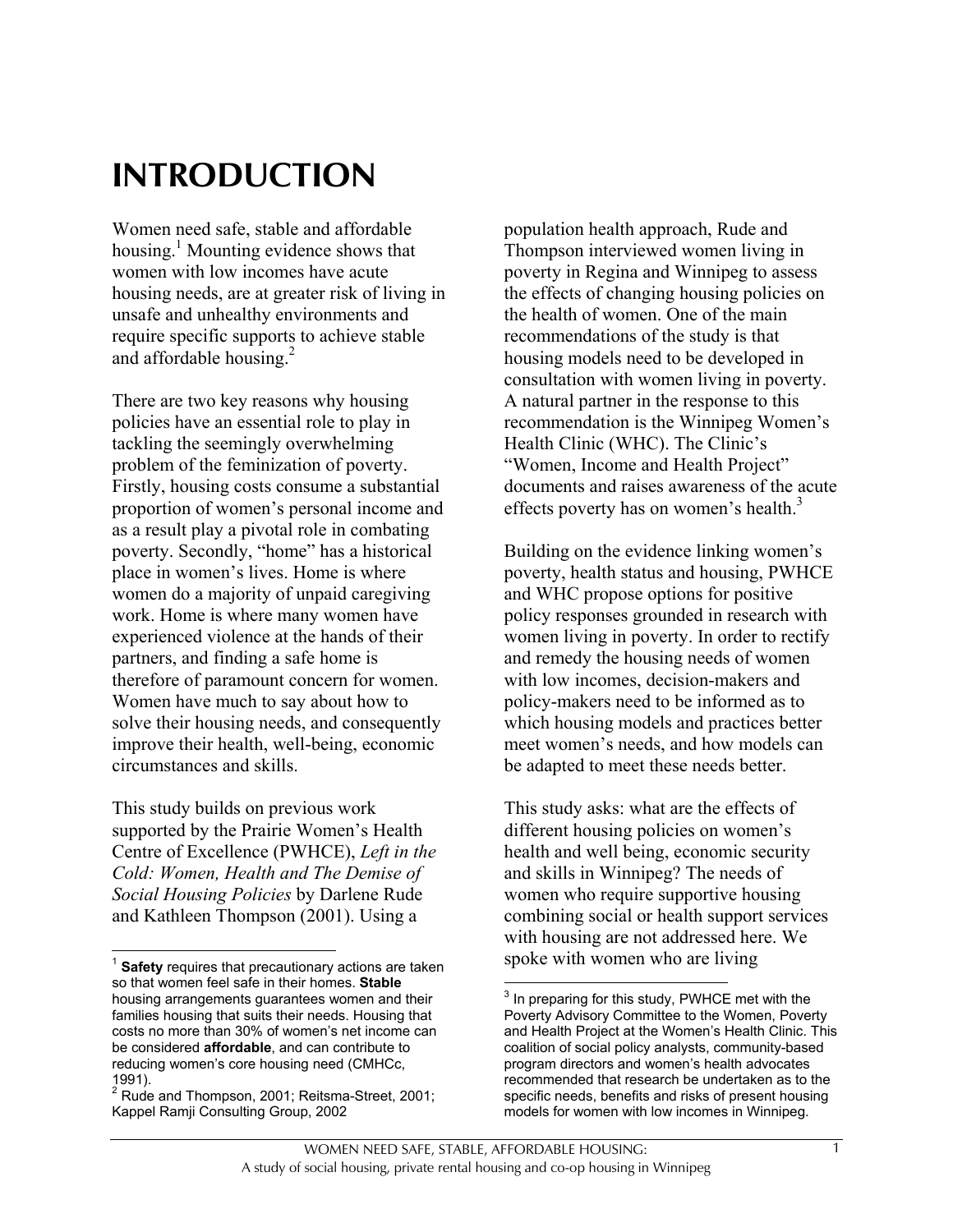# **INTRODUCTION**

Women need safe, stable and affordable housing.<sup>1</sup> Mounting evidence shows that women with low incomes have acute housing needs, are at greater risk of living in unsafe and unhealthy environments and require specific supports to achieve stable and affordable housing. $^{2}$ 

There are two key reasons why housing policies have an essential role to play in tackling the seemingly overwhelming problem of the feminization of poverty. Firstly, housing costs consume a substantial proportion of women's personal income and as a result play a pivotal role in combating poverty. Secondly, "home" has a historical place in women's lives. Home is where women do a majority of unpaid caregiving work. Home is where many women have experienced violence at the hands of their partners, and finding a safe home is therefore of paramount concern for women. Women have much to say about how to solve their housing needs, and consequently improve their health, well-being, economic circumstances and skills.

This study builds on previous work supported by the Prairie Women's Health Centre of Excellence (PWHCE), *Left in the Cold: Women, Health and The Demise of Social Housing Policies* by Darlene Rude and Kathleen Thompson (2001). Using a

 $\overline{a}$ 

population health approach, Rude and Thompson interviewed women living in poverty in Regina and Winnipeg to assess the effects of changing housing policies on the health of women. One of the main recommendations of the study is that housing models need to be developed in consultation with women living in poverty. A natural partner in the response to this recommendation is the Winnipeg Women's Health Clinic (WHC). The Clinic's "Women, Income and Health Project" documents and raises awareness of the acute effects poverty has on women's health.<sup>3</sup>

Building on the evidence linking women's poverty, health status and housing, PWHCE and WHC propose options for positive policy responses grounded in research with women living in poverty. In order to rectify and remedy the housing needs of women with low incomes, decision-makers and policy-makers need to be informed as to which housing models and practices better meet women's needs, and how models can be adapted to meet these needs better.

This study asks: what are the effects of different housing policies on women's health and well being, economic security and skills in Winnipeg? The needs of women who require supportive housing combining social or health support services with housing are not addressed here. We spoke with women who are living

<sup>1</sup> **Safety** requires that precautionary actions are taken so that women feel safe in their homes. **Stable** housing arrangements guarantees women and their families housing that suits their needs. Housing that costs no more than 30% of women's net income can be considered **affordable**, and can contribute to reducing women's core housing need (CMHCc, 1991).

<sup>&</sup>lt;sup>2</sup> Rude and Thompson, 2001; Reitsma-Street, 2001; Kappel Ramji Consulting Group, 2002

 3 In preparing for this study, PWHCE met with the Poverty Advisory Committee to the Women, Poverty and Health Project at the Women's Health Clinic. This coalition of social policy analysts, community-based program directors and women's health advocates recommended that research be undertaken as to the specific needs, benefits and risks of present housing models for women with low incomes in Winnipeg.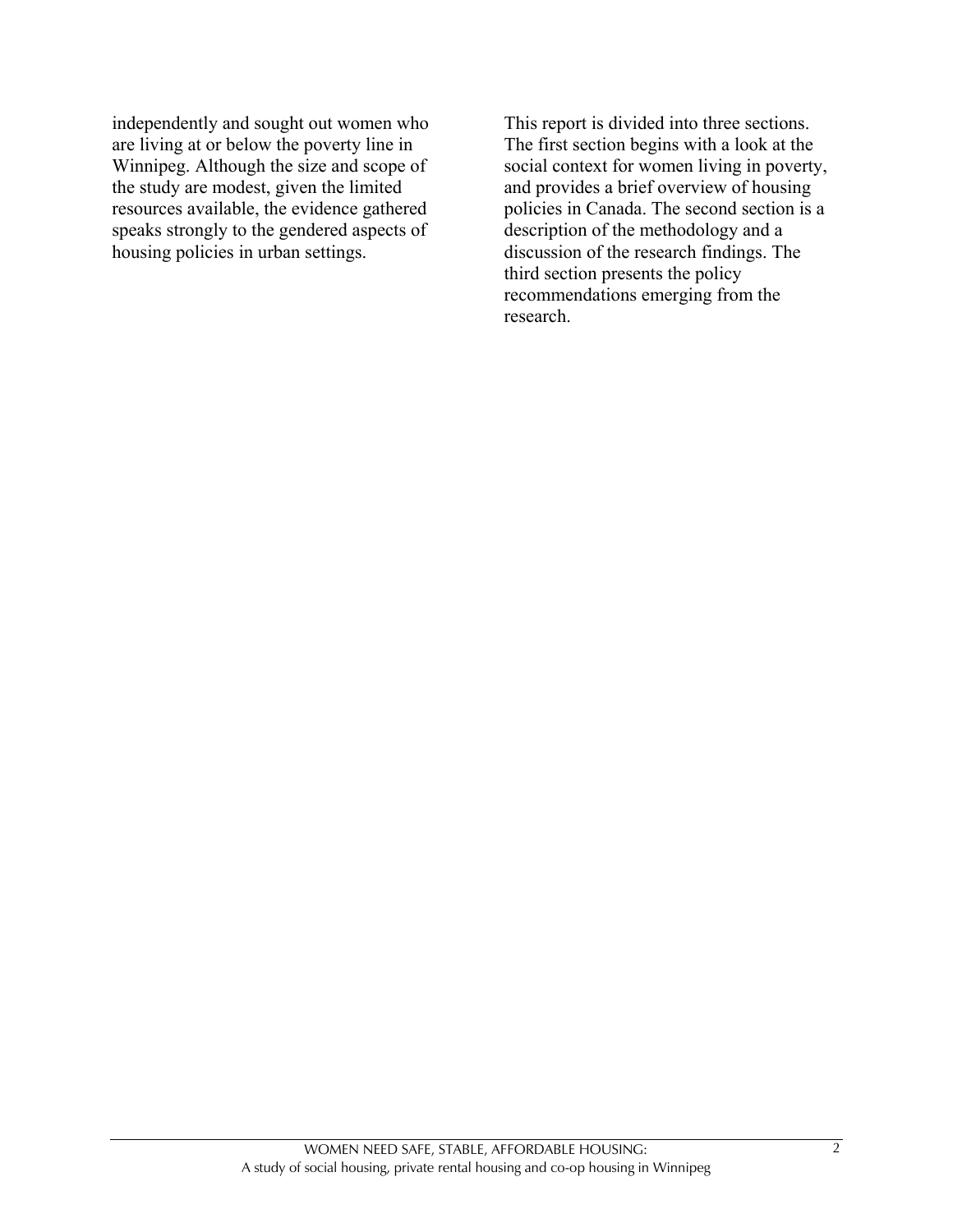independently and sought out women who are living at or below the poverty line in Winnipeg. Although the size and scope of the study are modest, given the limited resources available, the evidence gathered speaks strongly to the gendered aspects of housing policies in urban settings.

This report is divided into three sections. The first section begins with a look at the social context for women living in poverty, and provides a brief overview of housing policies in Canada. The second section is a description of the methodology and a discussion of the research findings. The third section presents the policy recommendations emerging from the research.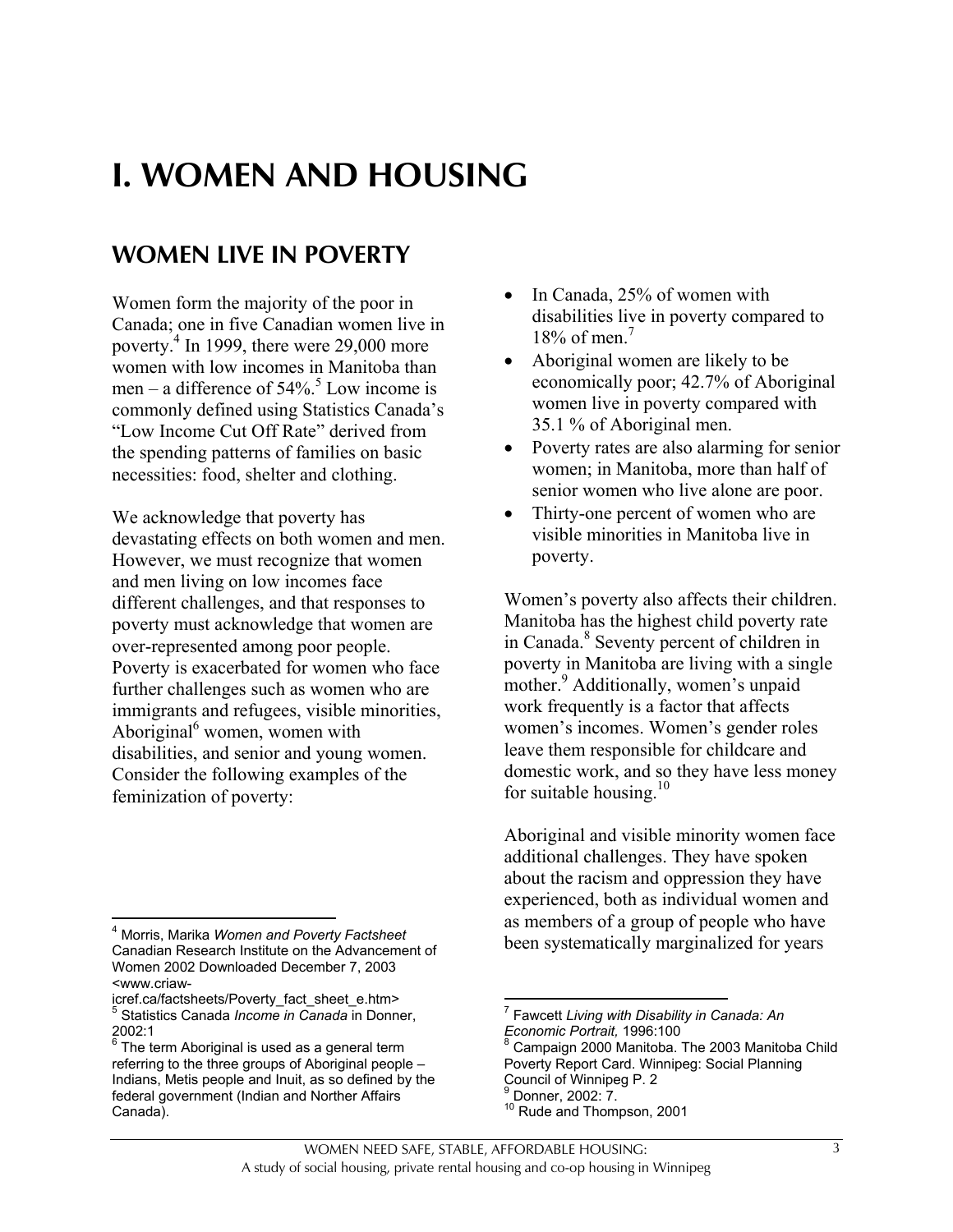# **I. WOMEN AND HOUSING**

# **WOMEN LIVE IN POVERTY**

Women form the majority of the poor in Canada; one in five Canadian women live in poverty.4 In 1999, there were 29,000 more women with low incomes in Manitoba than men – a difference of  $54\%$ <sup>5</sup> Low income is commonly defined using Statistics Canada's "Low Income Cut Off Rate" derived from the spending patterns of families on basic necessities: food, shelter and clothing.

We acknowledge that poverty has devastating effects on both women and men. However, we must recognize that women and men living on low incomes face different challenges, and that responses to poverty must acknowledge that women are over-represented among poor people. Poverty is exacerbated for women who face further challenges such as women who are immigrants and refugees, visible minorities, Aboriginal<sup>6</sup> women, women with disabilities, and senior and young women. Consider the following examples of the feminization of poverty:

 $\overline{a}$ 

- In Canada, 25% of women with disabilities live in poverty compared to 18% of men. $7$
- Aboriginal women are likely to be economically poor; 42.7% of Aboriginal women live in poverty compared with 35.1 % of Aboriginal men.
- Poverty rates are also alarming for senior women; in Manitoba, more than half of senior women who live alone are poor.
- Thirty-one percent of women who are visible minorities in Manitoba live in poverty.

Women's poverty also affects their children. Manitoba has the highest child poverty rate in Canada.<sup>8</sup> Seventy percent of children in poverty in Manitoba are living with a single mother.<sup>9</sup> Additionally, women's unpaid work frequently is a factor that affects women's incomes. Women's gender roles leave them responsible for childcare and domestic work, and so they have less money for suitable housing.<sup>10</sup>

Aboriginal and visible minority women face additional challenges. They have spoken about the racism and oppression they have experienced, both as individual women and as members of a group of people who have been systematically marginalized for years

<sup>4</sup> Morris, Marika *Women and Poverty Factsheet* Canadian Research Institute on the Advancement of Women 2002 Downloaded December 7, 2003 <www.criaw-

icref.ca/factsheets/Poverty\_fact\_sheet\_e.htm> <sup>5</sup> <sup>5</sup> Statistics Canada *Income in Canada* in Donner, 2002:1

 $^6$  The term Aboriginal is used as a general term referring to the three groups of Aboriginal people – Indians, Metis people and Inuit, as so defined by the federal government (Indian and Norther Affairs Canada).

 7 Fawcett *Living with Disability in Canada: An*

*Economic Portrait,* 1996:100<br><sup>8</sup> Campaign 2000 Manitoba. The 2003 Manitoba Child Poverty Report Card. Winnipeg: Social Planning Council of Winnipeg P. 2 9 Donner, 2002: 7.

<sup>10</sup> Rude and Thompson, 2001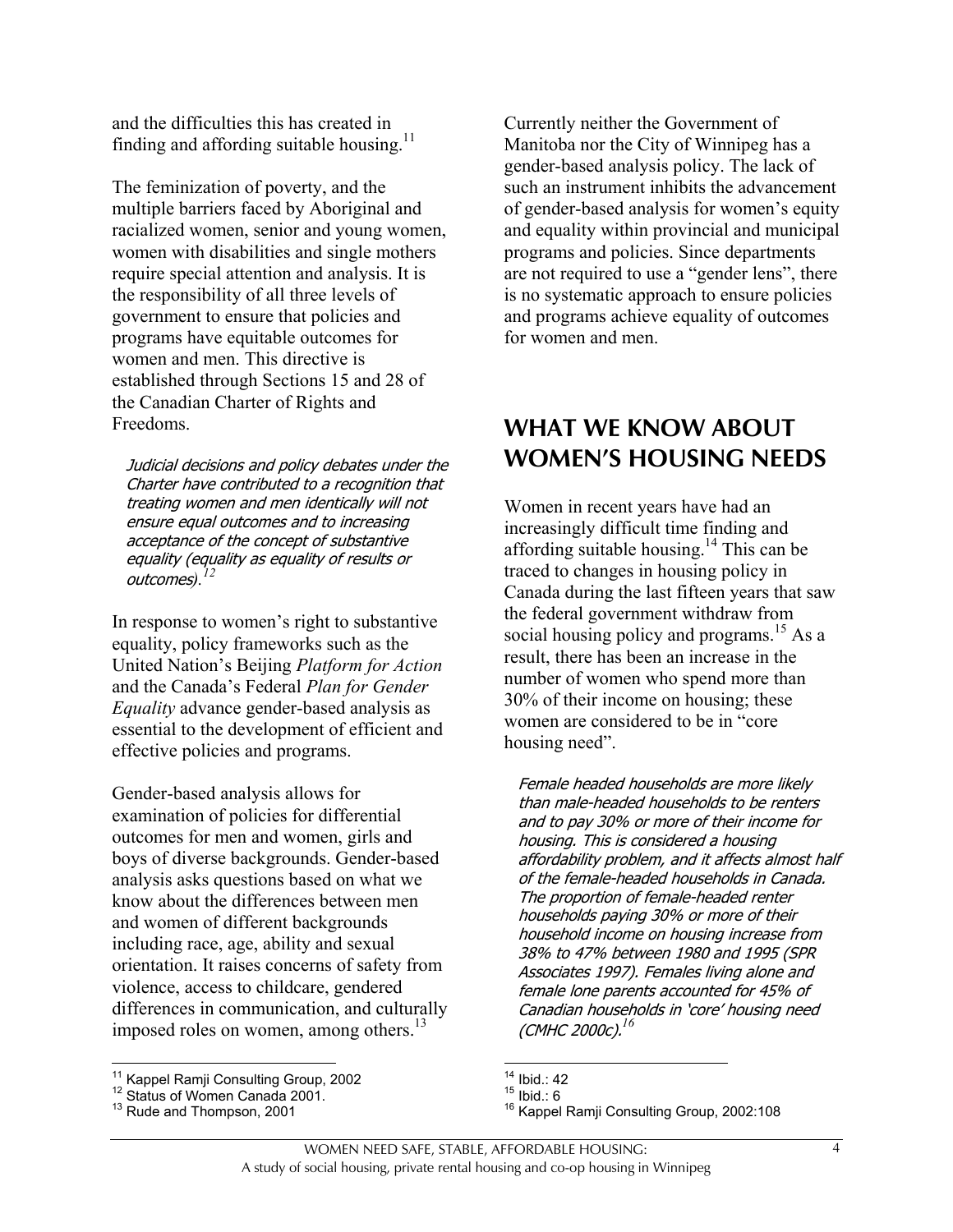and the difficulties this has created in finding and affording suitable housing.<sup>11</sup>

The feminization of poverty, and the multiple barriers faced by Aboriginal and racialized women, senior and young women, women with disabilities and single mothers require special attention and analysis. It is the responsibility of all three levels of government to ensure that policies and programs have equitable outcomes for women and men. This directive is established through Sections 15 and 28 of the Canadian Charter of Rights and Freedoms.

Judicial decisions and policy debates under the Charter have contributed to a recognition that treating women and men identically will not ensure equal outcomes and to increasing acceptance of the concept of substantive equality (equality as equality of results or outcomes).<sup>1</sup>

In response to women's right to substantive equality, policy frameworks such as the United Nation's Beijing *Platform for Action* and the Canada's Federal *Plan for Gender Equality* advance gender-based analysis as essential to the development of efficient and effective policies and programs.

Gender-based analysis allows for examination of policies for differential outcomes for men and women, girls and boys of diverse backgrounds. Gender-based analysis asks questions based on what we know about the differences between men and women of different backgrounds including race, age, ability and sexual orientation. It raises concerns of safety from violence, access to childcare, gendered differences in communication, and culturally imposed roles on women, among others. $^{13}$ 

Currently neither the Government of Manitoba nor the City of Winnipeg has a gender-based analysis policy. The lack of such an instrument inhibits the advancement of gender-based analysis for women's equity and equality within provincial and municipal programs and policies. Since departments are not required to use a "gender lens", there is no systematic approach to ensure policies and programs achieve equality of outcomes for women and men.

## **WHAT WE KNOW ABOUT WOMEN'S HOUSING NEEDS**

Women in recent years have had an increasingly difficult time finding and affording suitable housing.<sup>14</sup> This can be traced to changes in housing policy in Canada during the last fifteen years that saw the federal government withdraw from social housing policy and programs.<sup>15</sup> As a result, there has been an increase in the number of women who spend more than 30% of their income on housing; these women are considered to be in "core housing need".

Female headed households are more likely than male-headed households to be renters and to pay 30% or more of their income for housing. This is considered a housing affordability problem, and it affects almost half of the female-headed households in Canada. The proportion of female-headed renter households paying 30% or more of their household income on housing increase from 38% to 47% between 1980 and 1995 (SPR Associates 1997). Females living alone and female lone parents accounted for 45% of Canadian households in 'core' housing need (CMHC 2000c).*<sup>16</sup>*

<sup>&</sup>lt;sup>11</sup> Kappel Ramji Consulting Group, 2002

<sup>&</sup>lt;sup>12</sup> Status of Women Canada 2001.<br><sup>13</sup> Rude and Thompson, 2001

 $14$  Ibid.: 42

<sup>15</sup> Ibid.: 6<br><sup>15</sup> Ibid.: 6<br><sup>16</sup> Kappel Ramji Consulting Group, 2002:108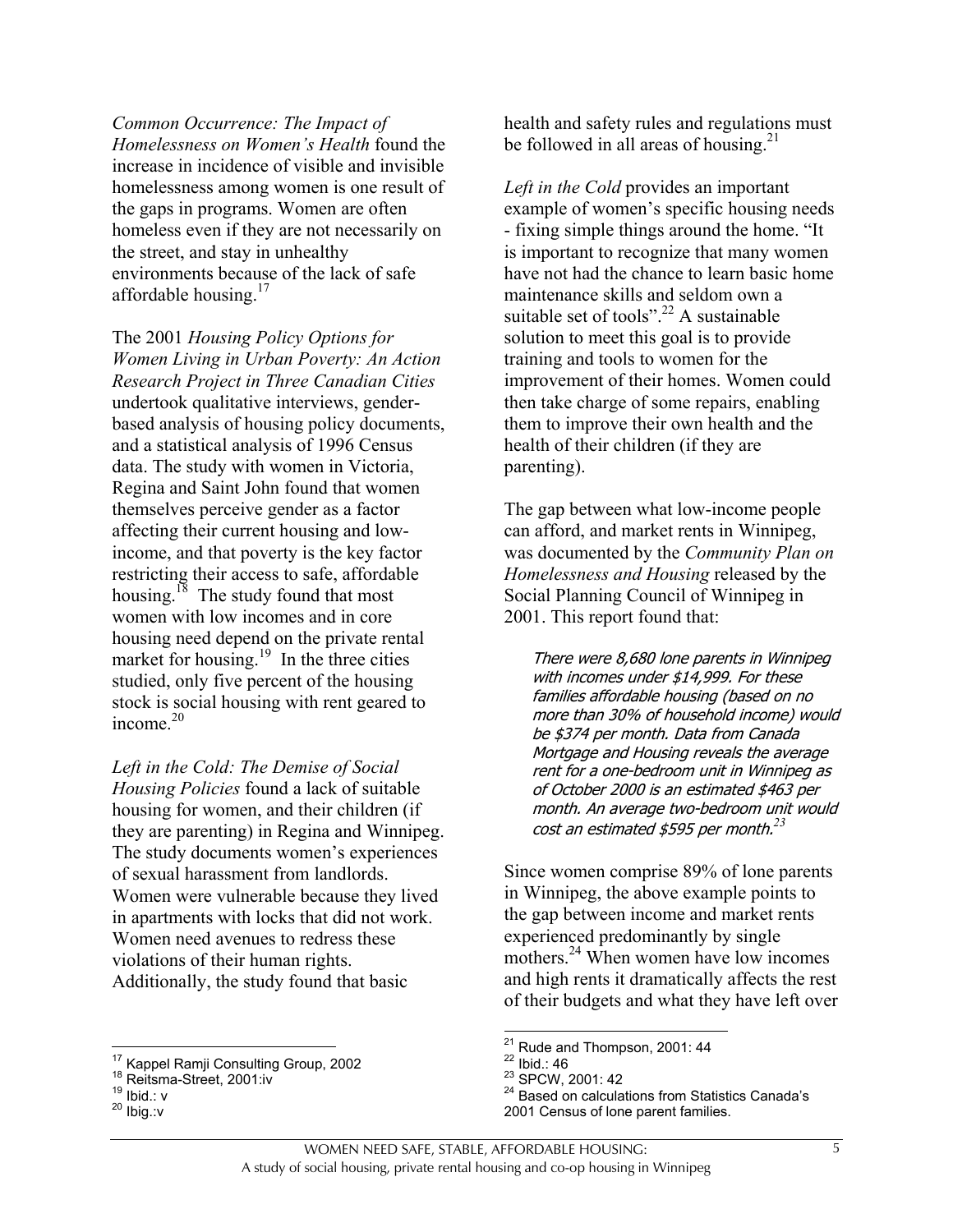*Common Occurrence: The Impact of Homelessness on Women's Health* found the increase in incidence of visible and invisible homelessness among women is one result of the gaps in programs. Women are often homeless even if they are not necessarily on the street, and stay in unhealthy environments because of the lack of safe affordable housing.<sup>17</sup>

The 2001 *Housing Policy Options for Women Living in Urban Poverty: An Action Research Project in Three Canadian Cities* undertook qualitative interviews, genderbased analysis of housing policy documents, and a statistical analysis of 1996 Census data. The study with women in Victoria, Regina and Saint John found that women themselves perceive gender as a factor affecting their current housing and lowincome, and that poverty is the key factor restricting their access to safe, affordable housing.<sup>18</sup> The study found that most women with low incomes and in core housing need depend on the private rental market for housing.<sup>19</sup> In the three cities studied, only five percent of the housing stock is social housing with rent geared to income<sup>20</sup>

*Left in the Cold: The Demise of Social Housing Policies* found a lack of suitable housing for women, and their children (if they are parenting) in Regina and Winnipeg. The study documents women's experiences of sexual harassment from landlords. Women were vulnerable because they lived in apartments with locks that did not work. Women need avenues to redress these violations of their human rights. Additionally, the study found that basic

<sup>17</sup> Kappel Ramii Consulting Group, 2002

health and safety rules and regulations must be followed in all areas of housing.<sup>21</sup>

*Left in the Cold* provides an important example of women's specific housing needs - fixing simple things around the home. "It is important to recognize that many women have not had the chance to learn basic home maintenance skills and seldom own a suitable set of tools".<sup>22</sup> A sustainable solution to meet this goal is to provide training and tools to women for the improvement of their homes. Women could then take charge of some repairs, enabling them to improve their own health and the health of their children (if they are parenting).

The gap between what low-income people can afford, and market rents in Winnipeg, was documented by the *Community Plan on Homelessness and Housing* released by the Social Planning Council of Winnipeg in 2001. This report found that:

There were 8,680 lone parents in Winnipeg with incomes under \$14,999. For these families affordable housing (based on no more than 30% of household income) would be \$374 per month. Data from Canada Mortgage and Housing reveals the average rent for a one-bedroom unit in Winnipeg as of October 2000 is an estimated \$463 per month. An average two-bedroom unit would cost an estimated \$595 per month.*<sup>23</sup>*

Since women comprise 89% of lone parents in Winnipeg, the above example points to the gap between income and market rents experienced predominantly by single mothers.<sup>24</sup> When women have low incomes and high rents it dramatically affects the rest of their budgets and what they have left over

22 Ibid.: 46<br>
<sup>23</sup> SPCW, 2001: 42<br>
<sup>24</sup> Based on calculations from Statistics Canada's 2001 Census of lone parent families.

<sup>&</sup>lt;sup>18</sup> Reitsma-Street, 2001:iv<br><sup>19</sup> Ibid.: v<br><sup>20</sup> Ibid.:v

 $21$  Rude and Thompson, 2001: 44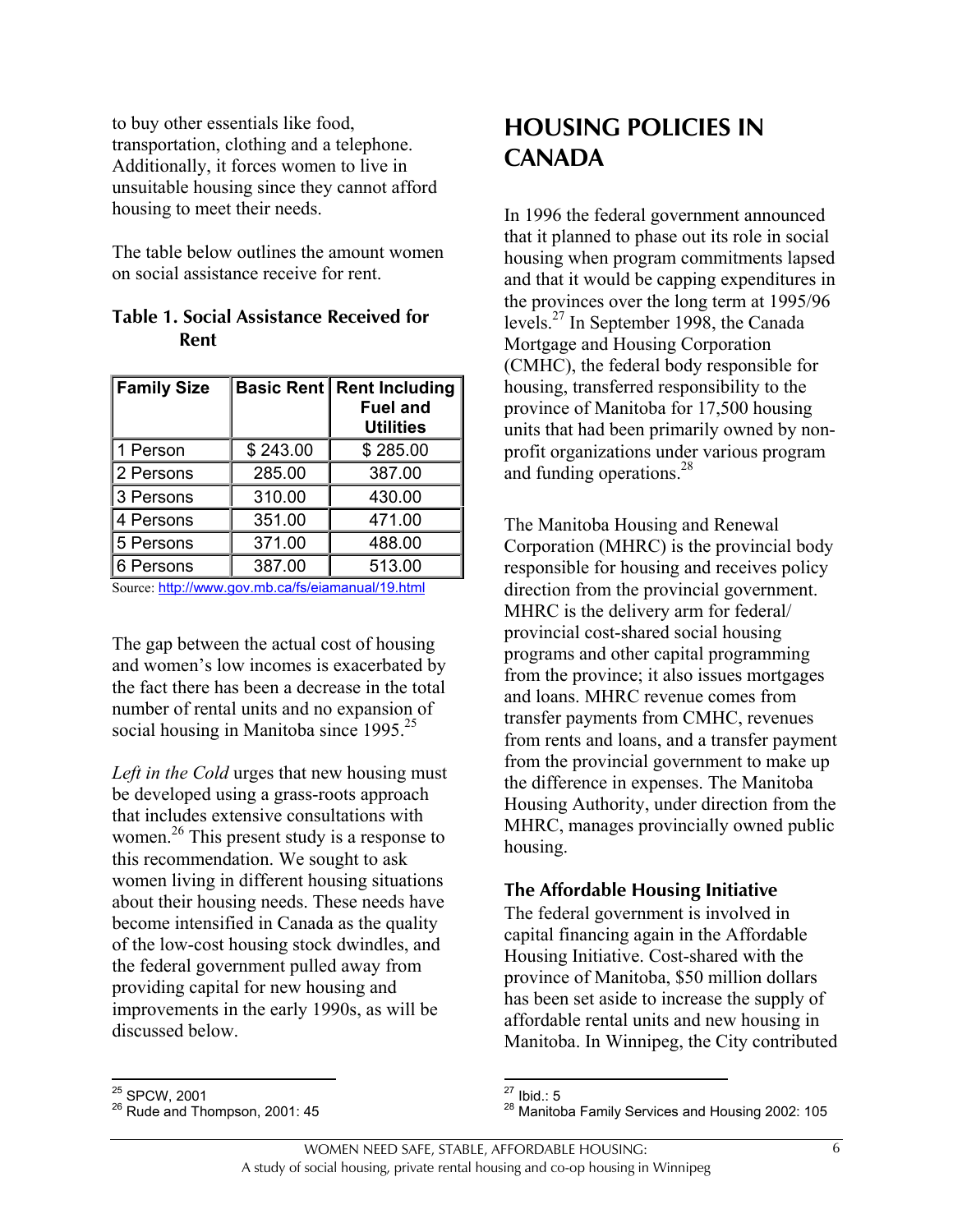to buy other essentials like food, transportation, clothing and a telephone. Additionally, it forces women to live in unsuitable housing since they cannot afford housing to meet their needs.

The table below outlines the amount women on social assistance receive for rent.

| <b>Table 1. Social Assistance Received for</b> |  |
|------------------------------------------------|--|
| Rent                                           |  |

| <b>Family Size</b> |          | <b>Basic Rent Rent Including</b><br><b>Fuel and</b><br><b>Utilities</b> |
|--------------------|----------|-------------------------------------------------------------------------|
| 1 Person           | \$243.00 | \$285.00                                                                |
| 2 Persons          | 285.00   | 387.00                                                                  |
| 3 Persons          | 310.00   | 430.00                                                                  |
| 4 Persons          | 351.00   | 471.00                                                                  |
| 5 Persons          | 371.00   | 488.00                                                                  |
| 6 Persons          | 387.00   | 513.00                                                                  |

Source: http://www.gov.mb.ca/fs/eiamanual/19.html

The gap between the actual cost of housing and women's low incomes is exacerbated by the fact there has been a decrease in the total number of rental units and no expansion of social housing in Manitoba since  $1995.^{25}$ 

*Left in the Cold* urges that new housing must be developed using a grass-roots approach that includes extensive consultations with women.<sup>26</sup> This present study is a response to this recommendation. We sought to ask women living in different housing situations about their housing needs. These needs have become intensified in Canada as the quality of the low-cost housing stock dwindles, and the federal government pulled away from providing capital for new housing and improvements in the early 1990s, as will be discussed below.

## **HOUSING POLICIES IN CANADA**

In 1996 the federal government announced that it planned to phase out its role in social housing when program commitments lapsed and that it would be capping expenditures in the provinces over the long term at 1995/96 levels.27 In September 1998, the Canada Mortgage and Housing Corporation (CMHC), the federal body responsible for housing, transferred responsibility to the province of Manitoba for 17,500 housing units that had been primarily owned by nonprofit organizations under various program and funding operations.<sup>28</sup>

The Manitoba Housing and Renewal Corporation (MHRC) is the provincial body responsible for housing and receives policy direction from the provincial government. MHRC is the delivery arm for federal/ provincial cost-shared social housing programs and other capital programming from the province; it also issues mortgages and loans. MHRC revenue comes from transfer payments from CMHC, revenues from rents and loans, and a transfer payment from the provincial government to make up the difference in expenses. The Manitoba Housing Authority, under direction from the MHRC, manages provincially owned public housing.

#### **The Affordable Housing Initiative**

The federal government is involved in capital financing again in the Affordable Housing Initiative. Cost-shared with the province of Manitoba, \$50 million dollars has been set aside to increase the supply of affordable rental units and new housing in Manitoba. In Winnipeg, the City contributed

 $\overline{a}$ 

<sup>&</sup>lt;sup>25</sup> SPCW, 2001<br><sup>26</sup> Rude and Thompson, 2001: 45

 $27$  Ibid.: 5

<sup>28</sup> Manitoba Family Services and Housing 2002: 105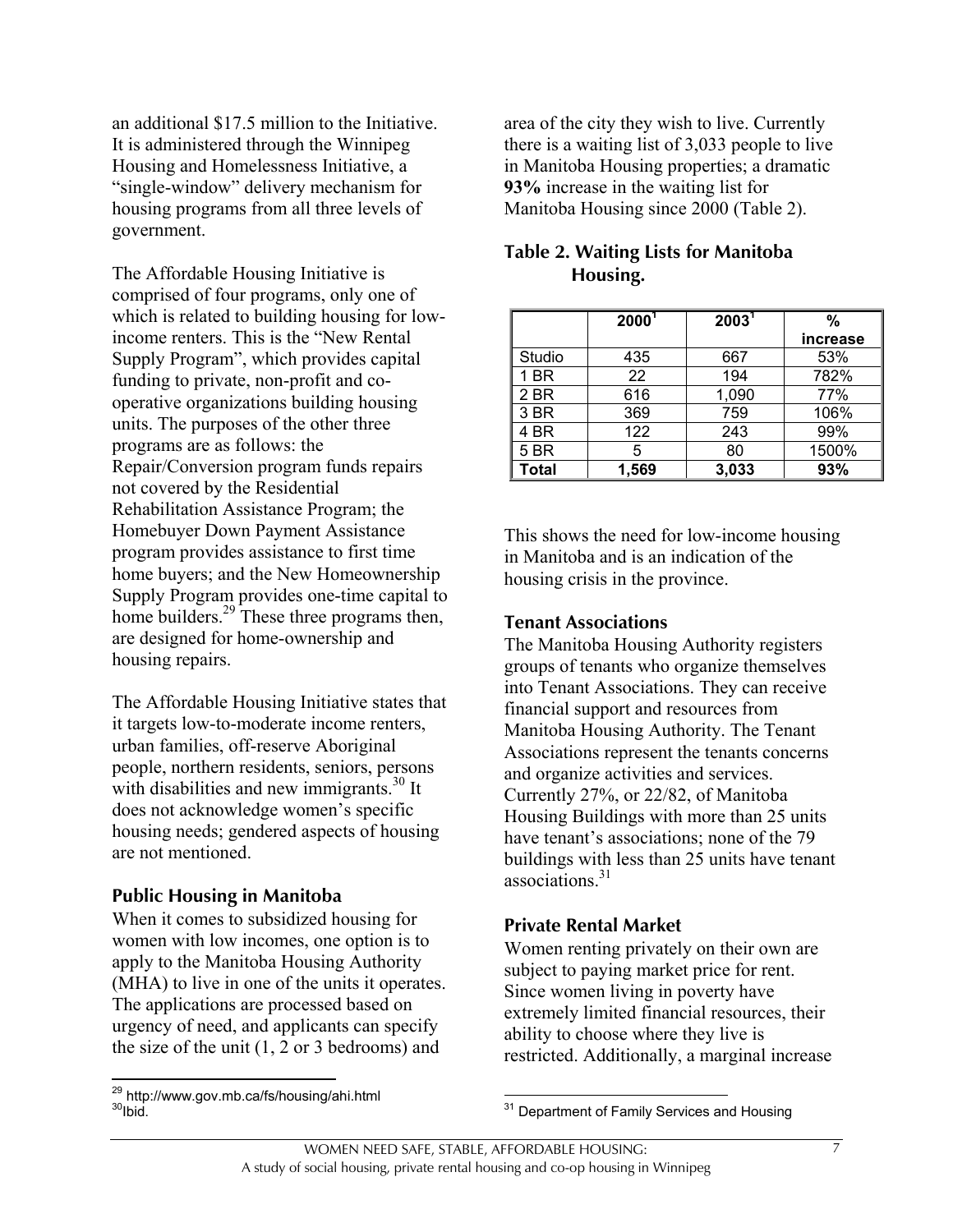an additional \$17.5 million to the Initiative. It is administered through the Winnipeg Housing and Homelessness Initiative, a "single-window" delivery mechanism for housing programs from all three levels of government.

The Affordable Housing Initiative is comprised of four programs, only one of which is related to building housing for lowincome renters. This is the "New Rental Supply Program", which provides capital funding to private, non-profit and cooperative organizations building housing units. The purposes of the other three programs are as follows: the Repair/Conversion program funds repairs not covered by the Residential Rehabilitation Assistance Program; the Homebuyer Down Payment Assistance program provides assistance to first time home buyers; and the New Homeownership Supply Program provides one-time capital to home builders.<sup>29</sup> These three programs then, are designed for home-ownership and housing repairs.

The Affordable Housing Initiative states that it targets low-to-moderate income renters, urban families, off-reserve Aboriginal people, northern residents, seniors, persons with disabilities and new immigrants. $30$  It does not acknowledge women's specific housing needs; gendered aspects of housing are not mentioned.

#### **Public Housing in Manitoba**

When it comes to subsidized housing for women with low incomes, one option is to apply to the Manitoba Housing Authority (MHA) to live in one of the units it operates. The applications are processed based on urgency of need, and applicants can specify the size of the unit (1, 2 or 3 bedrooms) and

area of the city they wish to live. Currently there is a waiting list of 3,033 people to live in Manitoba Housing properties; a dramatic **93%** increase in the waiting list for Manitoba Housing since 2000 (Table 2).

|             | $2000^1$ | 2003 <sup>1</sup> | %        |
|-------------|----------|-------------------|----------|
|             |          |                   | increase |
| Studio      | 435      | 667               | 53%      |
| 1 BR        | 22       | 194               | 782%     |
| 2 BR        | 616      | 1,090             | 77%      |
| 3 BR        | 369      | 759               | 106%     |
| 4 BR        | 122      | 243               | 99%      |
| <b>5 BR</b> | 5        | 80                | 1500%    |
| Total       | 1,569    | 3,033             | 93%      |

#### **Table 2. Waiting Lists for Manitoba Housing.**

This shows the need for low-income housing in Manitoba and is an indication of the housing crisis in the province.

#### **Tenant Associations**

The Manitoba Housing Authority registers groups of tenants who organize themselves into Tenant Associations. They can receive financial support and resources from Manitoba Housing Authority. The Tenant Associations represent the tenants concerns and organize activities and services. Currently 27%, or 22/82, of Manitoba Housing Buildings with more than 25 units have tenant's associations; none of the 79 buildings with less than 25 units have tenant associations<sup>31</sup>

#### **Private Rental Market**

Women renting privately on their own are subject to paying market price for rent. Since women living in poverty have extremely limited financial resources, their ability to choose where they live is restricted. Additionally, a marginal increase

1

<sup>&</sup>lt;sup>29</sup> http://www.gov.mb.ca/fs/housing/ahi.html<br><sup>30</sup>Ibid.

 $\overline{a}$ <sup>31</sup> Department of Family Services and Housing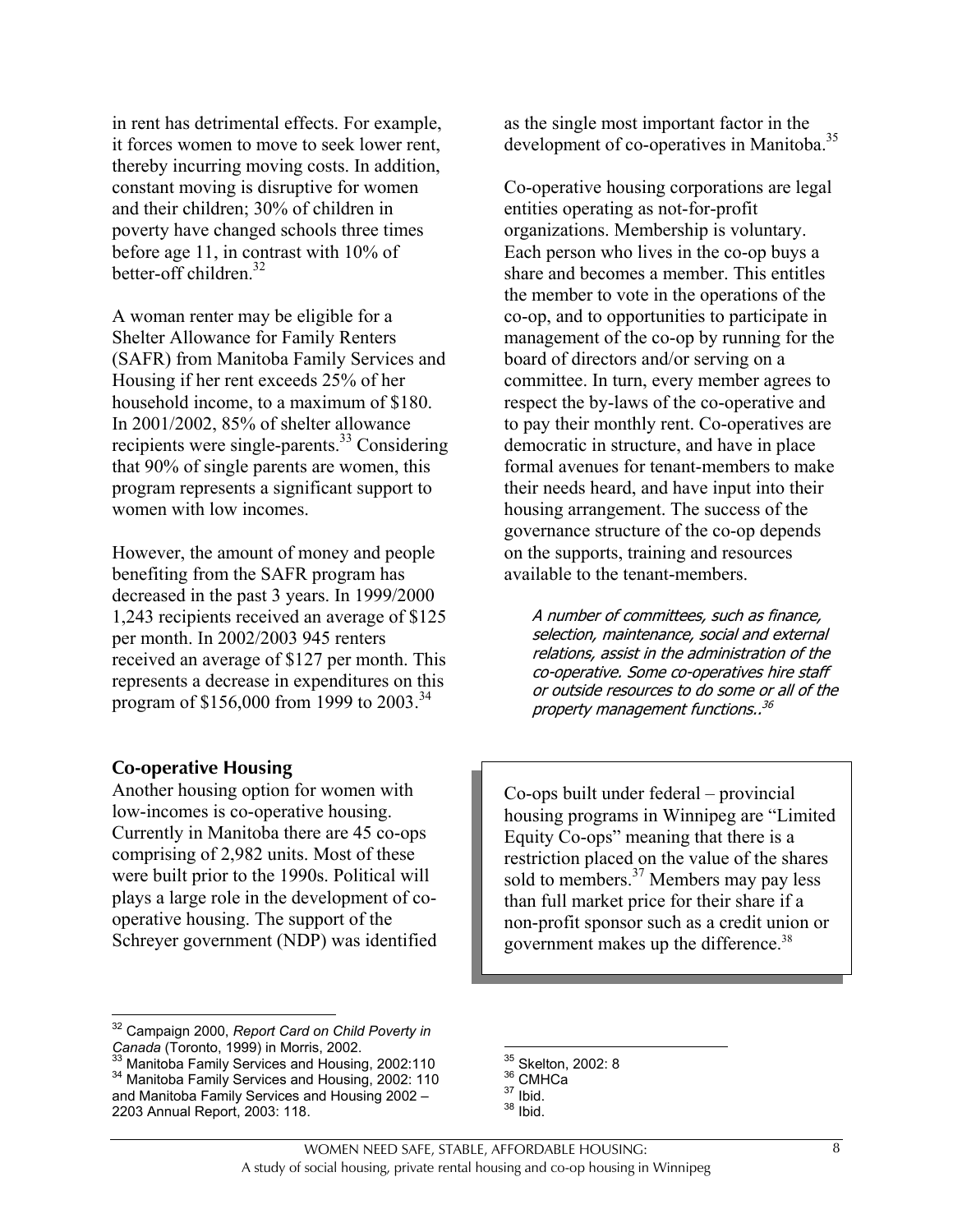in rent has detrimental effects. For example, it forces women to move to seek lower rent, thereby incurring moving costs. In addition, constant moving is disruptive for women and their children; 30% of children in poverty have changed schools three times before age 11, in contrast with 10% of better-off children.<sup>32</sup>

A woman renter may be eligible for a Shelter Allowance for Family Renters (SAFR) from Manitoba Family Services and Housing if her rent exceeds 25% of her household income, to a maximum of \$180. In 2001/2002, 85% of shelter allowance recipients were single-parents.<sup>33</sup> Considering that 90% of single parents are women, this program represents a significant support to women with low incomes.

However, the amount of money and people benefiting from the SAFR program has decreased in the past 3 years. In 1999/2000 1,243 recipients received an average of \$125 per month. In 2002/2003 945 renters received an average of \$127 per month. This represents a decrease in expenditures on this program of \$156,000 from 1999 to 2003.<sup>34</sup>

#### **Co-operative Housing**

 $\overline{a}$ 

Another housing option for women with low-incomes is co-operative housing. Currently in Manitoba there are 45 co-ops comprising of 2,982 units. Most of these were built prior to the 1990s. Political will plays a large role in the development of cooperative housing. The support of the Schreyer government (NDP) was identified as the single most important factor in the development of co-operatives in Manitoba.<sup>35</sup>

Co-operative housing corporations are legal entities operating as not-for-profit organizations. Membership is voluntary. Each person who lives in the co-op buys a share and becomes a member. This entitles the member to vote in the operations of the co-op, and to opportunities to participate in management of the co-op by running for the board of directors and/or serving on a committee. In turn, every member agrees to respect the by-laws of the co-operative and to pay their monthly rent. Co-operatives are democratic in structure, and have in place formal avenues for tenant-members to make their needs heard, and have input into their housing arrangement. The success of the governance structure of the co-op depends on the supports, training and resources available to the tenant-members.

A number of committees, such as finance, selection, maintenance, social and external relations, assist in the administration of the co-operative. Some co-operatives hire staff or outside resources to do some or all of the property management functions..<sup>36</sup>

Co-ops built under federal – provincial housing programs in Winnipeg are "Limited Equity Co-ops" meaning that there is a restriction placed on the value of the shares sold to members.<sup>37</sup> Members may pay less than full market price for their share if a non-profit sponsor such as a credit union or government makes up the difference.<sup>38</sup>

 $\overline{a}$ 

<sup>32</sup> Campaign 2000, *Report Card on Child Poverty in*

*Canada* (Toronto, 1999) in Morris, 2002.<br><sup>33</sup> Manitoba Family Services and Housing, 2002:110<br><sup>34</sup> Manitoba Family Services and Housing, 2002: 110 and Manitoba Family Services and Housing 2002 – 2203 Annual Report, 2003: 118.

<sup>&</sup>lt;sup>35</sup> Skelton, 2002: 8<br><sup>36</sup> CMHCa<br><sup>37</sup> Ibid.<br><sup>38</sup> Ibid.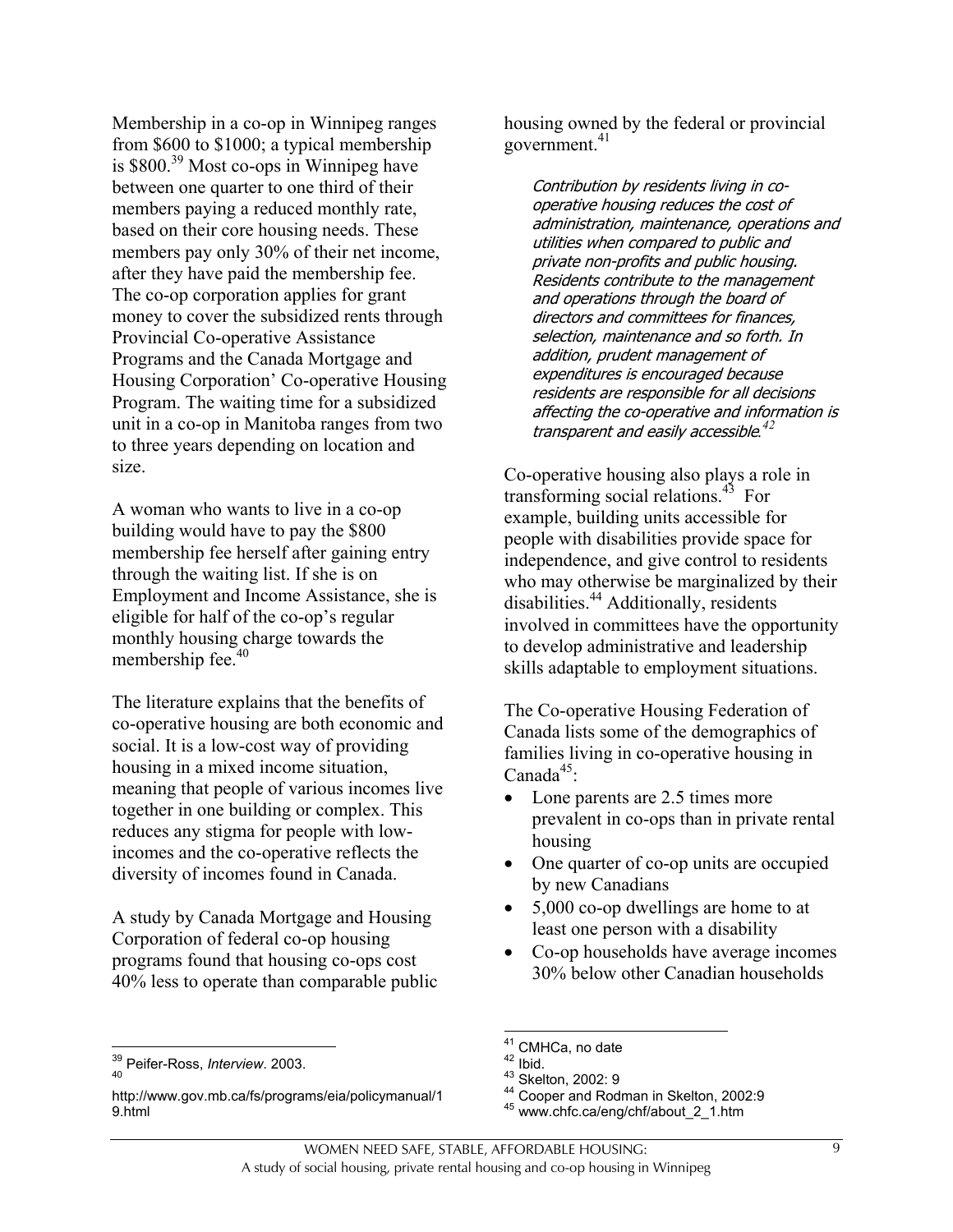Membership in a co-op in Winnipeg ranges from \$600 to \$1000; a typical membership is \$800.39 Most co-ops in Winnipeg have between one quarter to one third of their members paying a reduced monthly rate, based on their core housing needs. These members pay only 30% of their net income, after they have paid the membership fee. The co-op corporation applies for grant money to cover the subsidized rents through Provincial Co-operative Assistance Programs and the Canada Mortgage and Housing Corporation' Co-operative Housing Program. The waiting time for a subsidized unit in a co-op in Manitoba ranges from two to three years depending on location and size.

A woman who wants to live in a co-op building would have to pay the \$800 membership fee herself after gaining entry through the waiting list. If she is on Employment and Income Assistance, she is eligible for half of the co-op's regular monthly housing charge towards the membership fee.<sup>40</sup>

The literature explains that the benefits of co-operative housing are both economic and social. It is a low-cost way of providing housing in a mixed income situation, meaning that people of various incomes live together in one building or complex. This reduces any stigma for people with lowincomes and the co-operative reflects the diversity of incomes found in Canada.

A study by Canada Mortgage and Housing Corporation of federal co-op housing programs found that housing co-ops cost 40% less to operate than comparable public

 $\overline{a}$ 

housing owned by the federal or provincial government.<sup>41</sup>

Contribution by residents living in cooperative housing reduces the cost of administration, maintenance, operations and utilities when compared to public and private non-profits and public housing. Residents contribute to the management and operations through the board of directors and committees for finances, selection, maintenance and so forth. In addition, prudent management of expenditures is encouraged because residents are responsible for all decisions affecting the co-operative and information is transparent and easily accessible*. 42*

Co-operative housing also plays a role in transforming social relations.<sup>43</sup> For example, building units accessible for people with disabilities provide space for independence, and give control to residents who may otherwise be marginalized by their disabilities.<sup>44</sup> Additionally, residents involved in committees have the opportunity to develop administrative and leadership skills adaptable to employment situations.

The Co-operative Housing Federation of Canada lists some of the demographics of families living in co-operative housing in Canada $45$ :

- Lone parents are 2.5 times more prevalent in co-ops than in private rental housing
- One quarter of co-op units are occupied by new Canadians
- 5,000 co-op dwellings are home to at least one person with a disability
- Co-op households have average incomes 30% below other Canadian households

<sup>&</sup>lt;sup>39</sup> Peifer-Ross, *Interview.* 2003.

http://www.gov.mb.ca/fs/programs/eia/policymanual/1 9.html

 $\overline{a}$ 

<sup>&</sup>lt;sup>41</sup> CMHCa, no date<br><sup>42</sup> Ibid.<br><sup>43</sup> Skelton, 2002: 9<br><sup>44</sup> Cooper and Rodman in Skelton, 2002:9<br><sup>45</sup> www.chfc.ca/eng/chf/about\_2\_1.htm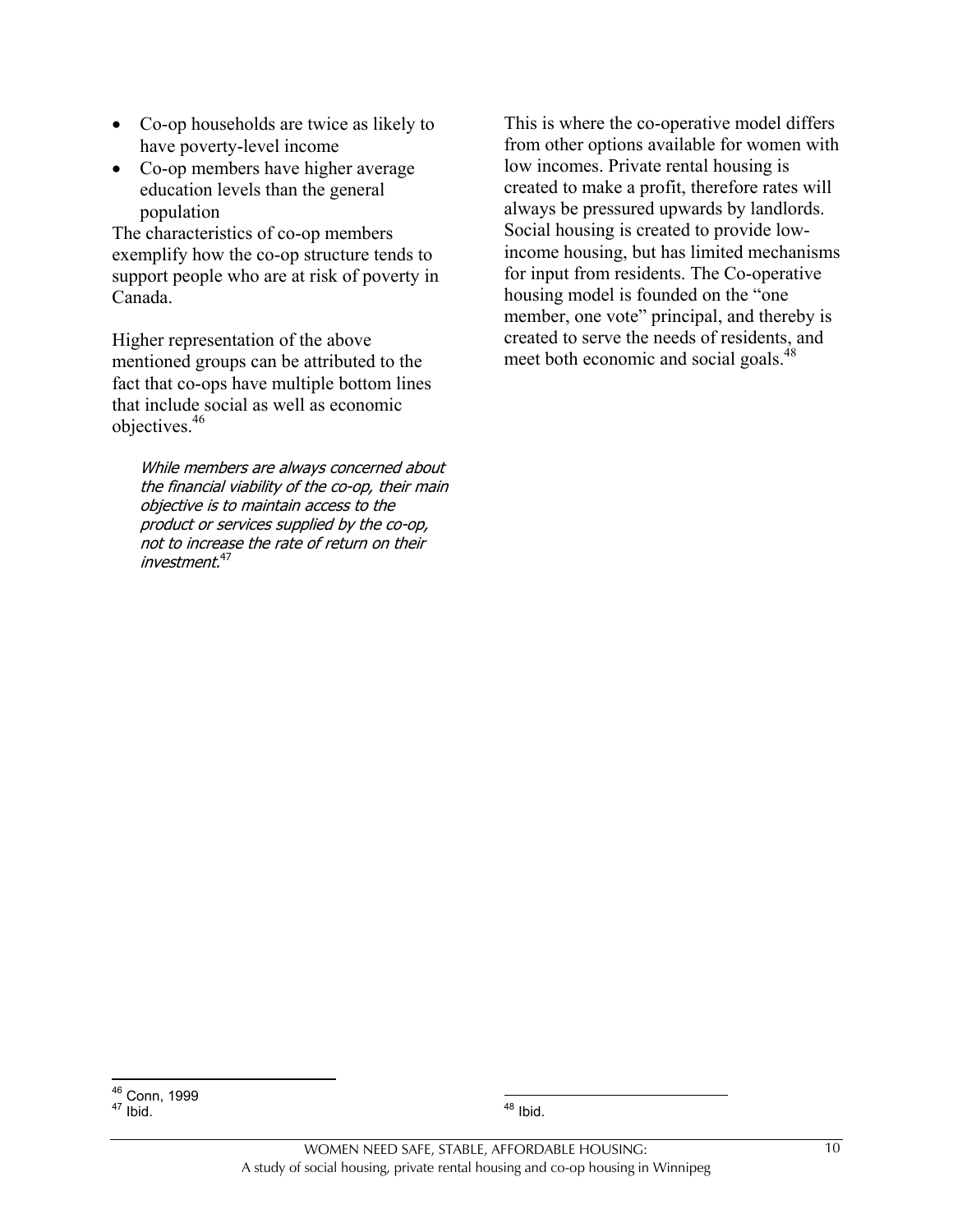- Co-op households are twice as likely to have poverty-level income
- Co-op members have higher average education levels than the general population

The characteristics of co-op members exemplify how the co-op structure tends to support people who are at risk of poverty in Canada.

Higher representation of the above mentioned groups can be attributed to the fact that co-ops have multiple bottom lines that include social as well as economic objectives.46

While members are always concerned about the financial viability of the co-op, their main objective is to maintain access to the product or services supplied by the co-op, not to increase the rate of return on their investment.<sup>47</sup>

This is where the co-operative model differs from other options available for women with low incomes. Private rental housing is created to make a profit, therefore rates will always be pressured upwards by landlords. Social housing is created to provide lowincome housing, but has limited mechanisms for input from residents. The Co-operative housing model is founded on the "one member, one vote" principal, and thereby is created to serve the needs of residents, and meet both economic and social goals.<sup>48</sup>

 $\overline{a}$ <sup>48</sup> Ibid.

 $\overline{a}$ <sup>46</sup> Conn, 1999<br><sup>47</sup> Ibid.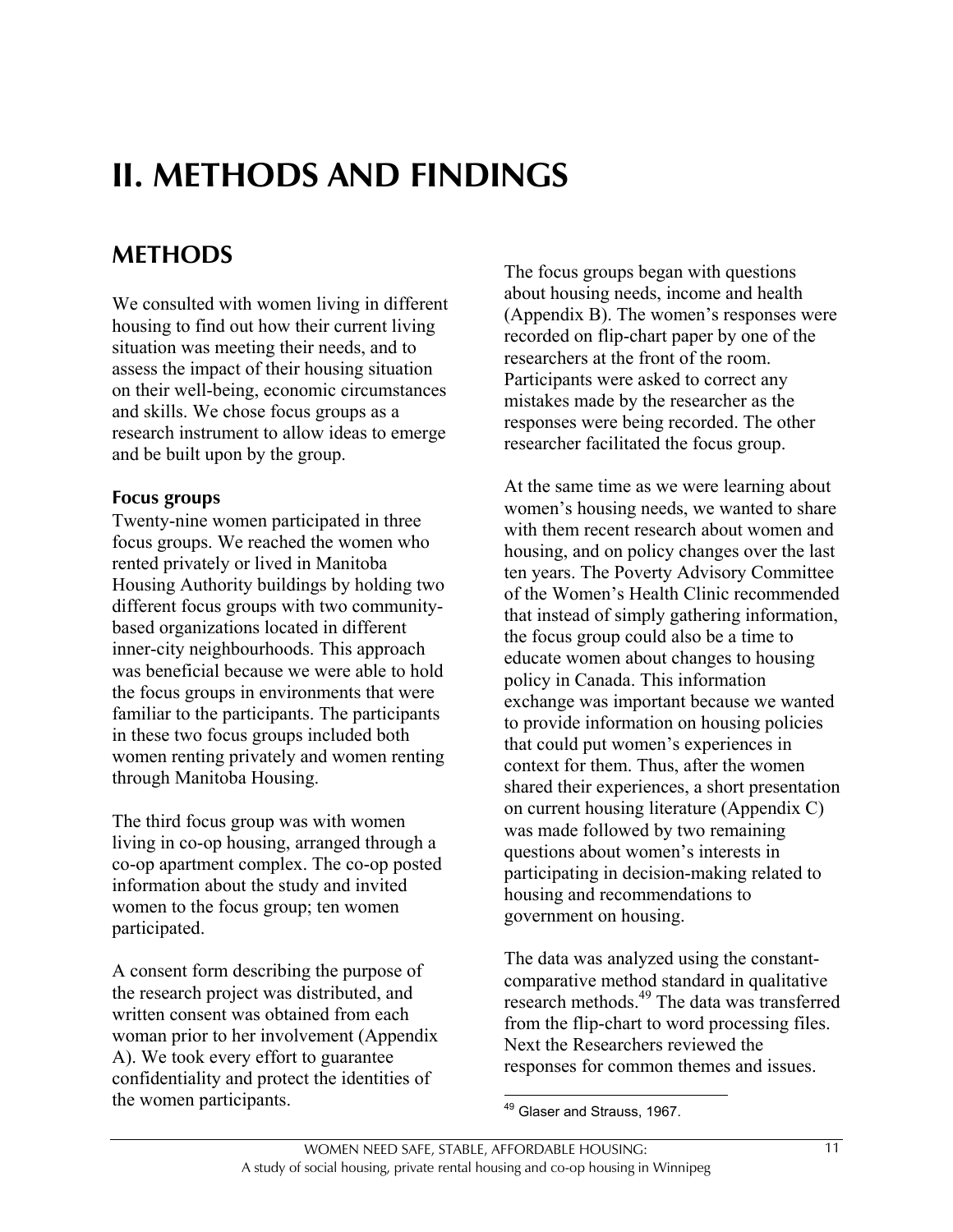# **II. METHODS AND FINDINGS**

# **METHODS**

We consulted with women living in different housing to find out how their current living situation was meeting their needs, and to assess the impact of their housing situation on their well-being, economic circumstances and skills. We chose focus groups as a research instrument to allow ideas to emerge and be built upon by the group.

#### **Focus groups**

Twenty-nine women participated in three focus groups. We reached the women who rented privately or lived in Manitoba Housing Authority buildings by holding two different focus groups with two communitybased organizations located in different inner-city neighbourhoods. This approach was beneficial because we were able to hold the focus groups in environments that were familiar to the participants. The participants in these two focus groups included both women renting privately and women renting through Manitoba Housing.

The third focus group was with women living in co-op housing, arranged through a co-op apartment complex. The co-op posted information about the study and invited women to the focus group; ten women participated.

A consent form describing the purpose of the research project was distributed, and written consent was obtained from each woman prior to her involvement (Appendix A). We took every effort to guarantee confidentiality and protect the identities of the women participants.

The focus groups began with questions about housing needs, income and health (Appendix B). The women's responses were recorded on flip-chart paper by one of the researchers at the front of the room. Participants were asked to correct any mistakes made by the researcher as the responses were being recorded. The other researcher facilitated the focus group.

At the same time as we were learning about women's housing needs, we wanted to share with them recent research about women and housing, and on policy changes over the last ten years. The Poverty Advisory Committee of the Women's Health Clinic recommended that instead of simply gathering information, the focus group could also be a time to educate women about changes to housing policy in Canada. This information exchange was important because we wanted to provide information on housing policies that could put women's experiences in context for them. Thus, after the women shared their experiences, a short presentation on current housing literature (Appendix C) was made followed by two remaining questions about women's interests in participating in decision-making related to housing and recommendations to government on housing.

The data was analyzed using the constantcomparative method standard in qualitative research methods.49 The data was transferred from the flip-chart to word processing files. Next the Researchers reviewed the responses for common themes and issues.

 $\overline{a}$ <sup>49</sup> Glaser and Strauss, 1967.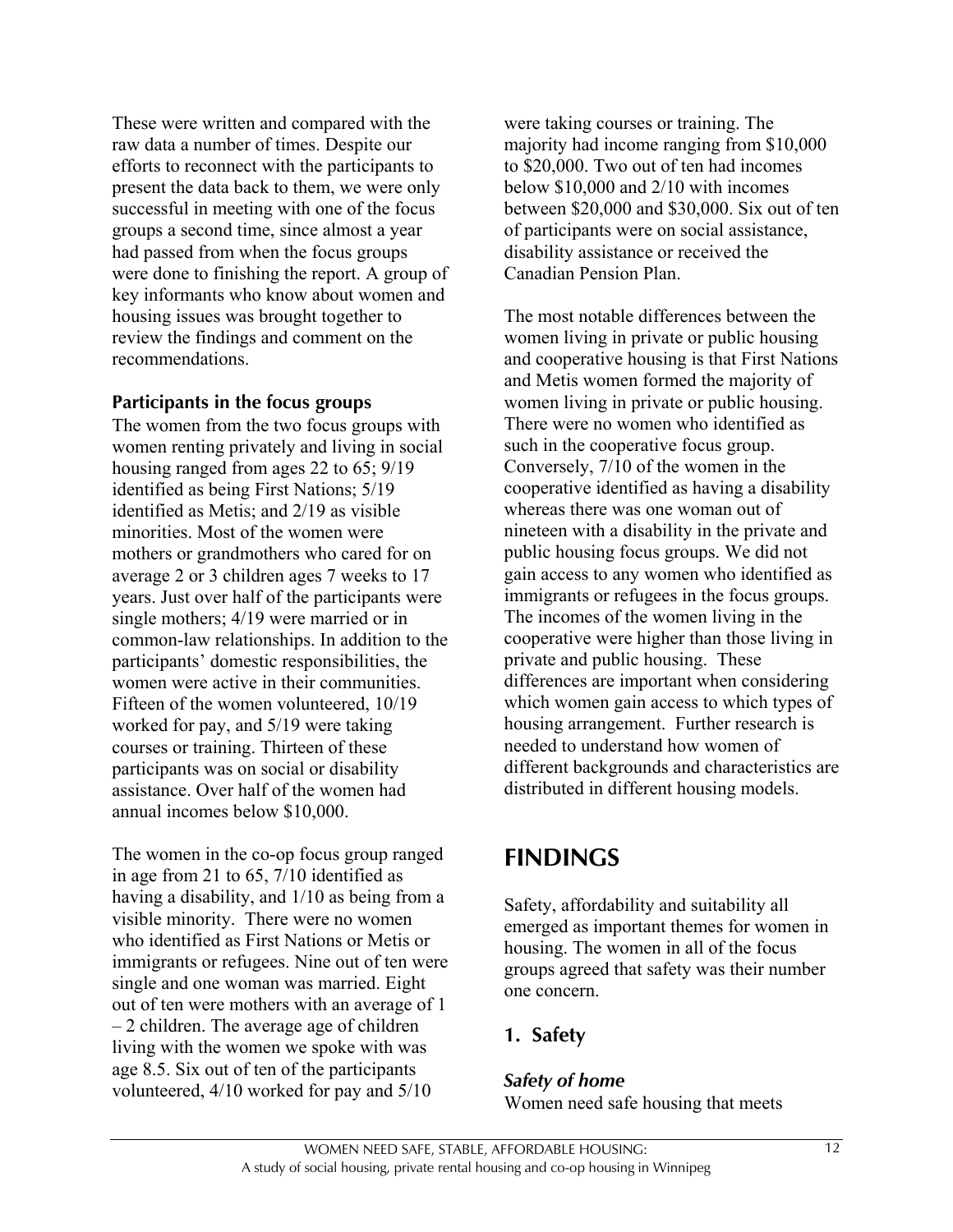These were written and compared with the raw data a number of times. Despite our efforts to reconnect with the participants to present the data back to them, we were only successful in meeting with one of the focus groups a second time, since almost a year had passed from when the focus groups were done to finishing the report. A group of key informants who know about women and housing issues was brought together to review the findings and comment on the recommendations.

#### **Participants in the focus groups**

The women from the two focus groups with women renting privately and living in social housing ranged from ages 22 to 65; 9/19 identified as being First Nations; 5/19 identified as Metis; and 2/19 as visible minorities. Most of the women were mothers or grandmothers who cared for on average 2 or 3 children ages 7 weeks to 17 years. Just over half of the participants were single mothers; 4/19 were married or in common-law relationships. In addition to the participants' domestic responsibilities, the women were active in their communities. Fifteen of the women volunteered, 10/19 worked for pay, and 5/19 were taking courses or training. Thirteen of these participants was on social or disability assistance. Over half of the women had annual incomes below \$10,000.

The women in the co-op focus group ranged in age from 21 to 65, 7/10 identified as having a disability, and 1/10 as being from a visible minority. There were no women who identified as First Nations or Metis or immigrants or refugees. Nine out of ten were single and one woman was married. Eight out of ten were mothers with an average of 1 – 2 children. The average age of children living with the women we spoke with was age 8.5. Six out of ten of the participants volunteered, 4/10 worked for pay and 5/10

were taking courses or training. The majority had income ranging from \$10,000 to \$20,000. Two out of ten had incomes below \$10,000 and 2/10 with incomes between \$20,000 and \$30,000. Six out of ten of participants were on social assistance, disability assistance or received the Canadian Pension Plan.

The most notable differences between the women living in private or public housing and cooperative housing is that First Nations and Metis women formed the majority of women living in private or public housing. There were no women who identified as such in the cooperative focus group. Conversely, 7/10 of the women in the cooperative identified as having a disability whereas there was one woman out of nineteen with a disability in the private and public housing focus groups. We did not gain access to any women who identified as immigrants or refugees in the focus groups. The incomes of the women living in the cooperative were higher than those living in private and public housing. These differences are important when considering which women gain access to which types of housing arrangement. Further research is needed to understand how women of different backgrounds and characteristics are distributed in different housing models.

## **FINDINGS**

Safety, affordability and suitability all emerged as important themes for women in housing. The women in all of the focus groups agreed that safety was their number one concern.

### **1. Safety**

#### *Safety of home*

Women need safe housing that meets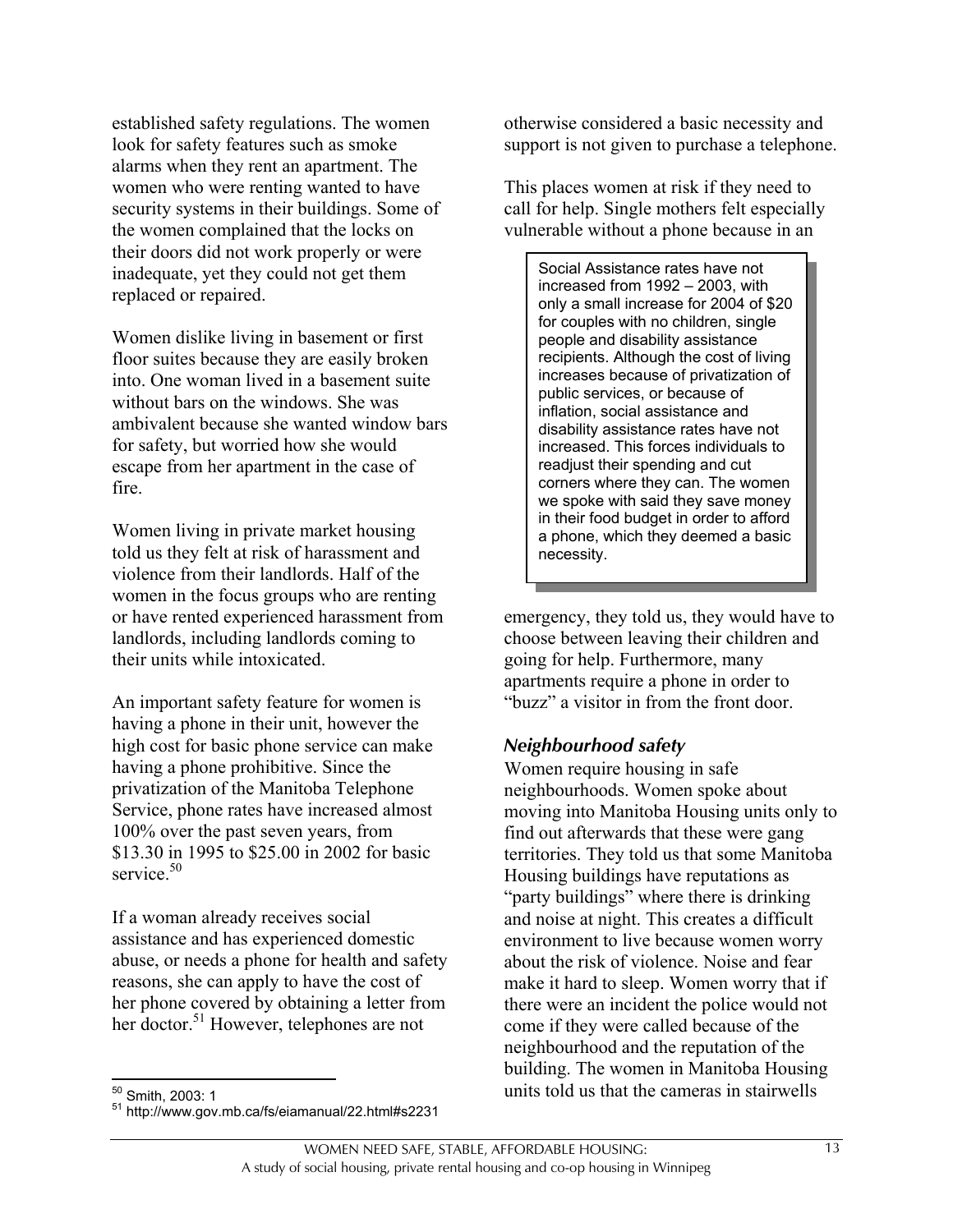established safety regulations. The women look for safety features such as smoke alarms when they rent an apartment. The women who were renting wanted to have security systems in their buildings. Some of the women complained that the locks on their doors did not work properly or were inadequate, yet they could not get them replaced or repaired.

Women dislike living in basement or first floor suites because they are easily broken into. One woman lived in a basement suite without bars on the windows. She was ambivalent because she wanted window bars for safety, but worried how she would escape from her apartment in the case of fire.

Women living in private market housing told us they felt at risk of harassment and violence from their landlords. Half of the women in the focus groups who are renting or have rented experienced harassment from landlords, including landlords coming to their units while intoxicated.

An important safety feature for women is having a phone in their unit, however the high cost for basic phone service can make having a phone prohibitive. Since the privatization of the Manitoba Telephone Service, phone rates have increased almost 100% over the past seven years, from \$13.30 in 1995 to \$25.00 in 2002 for basic service.<sup>50</sup>

If a woman already receives social assistance and has experienced domestic abuse, or needs a phone for health and safety reasons, she can apply to have the cost of her phone covered by obtaining a letter from her doctor.<sup>51</sup> However, telephones are not

otherwise considered a basic necessity and support is not given to purchase a telephone.

This places women at risk if they need to call for help. Single mothers felt especially vulnerable without a phone because in an

Social Assistance rates have not increased from 1992 – 2003, with only a small increase for 2004 of \$20 for couples with no children, single people and disability assistance recipients. Although the cost of living increases because of privatization of public services, or because of inflation, social assistance and disability assistance rates have not increased. This forces individuals to readjust their spending and cut corners where they can. The women we spoke with said they save money in their food budget in order to afford a phone, which they deemed a basic necessity.

emergency, they told us, they would have to choose between leaving their children and going for help. Furthermore, many apartments require a phone in order to "buzz" a visitor in from the front door.

#### *Neighbourhood safety*

Women require housing in safe neighbourhoods. Women spoke about moving into Manitoba Housing units only to find out afterwards that these were gang territories. They told us that some Manitoba Housing buildings have reputations as "party buildings" where there is drinking and noise at night. This creates a difficult environment to live because women worry about the risk of violence. Noise and fear make it hard to sleep. Women worry that if there were an incident the police would not come if they were called because of the neighbourhood and the reputation of the building. The women in Manitoba Housing units told us that the cameras in stairwells

 $50$  Smith, 2003: 1

<sup>51</sup> http://www.gov.mb.ca/fs/eiamanual/22.html#s2231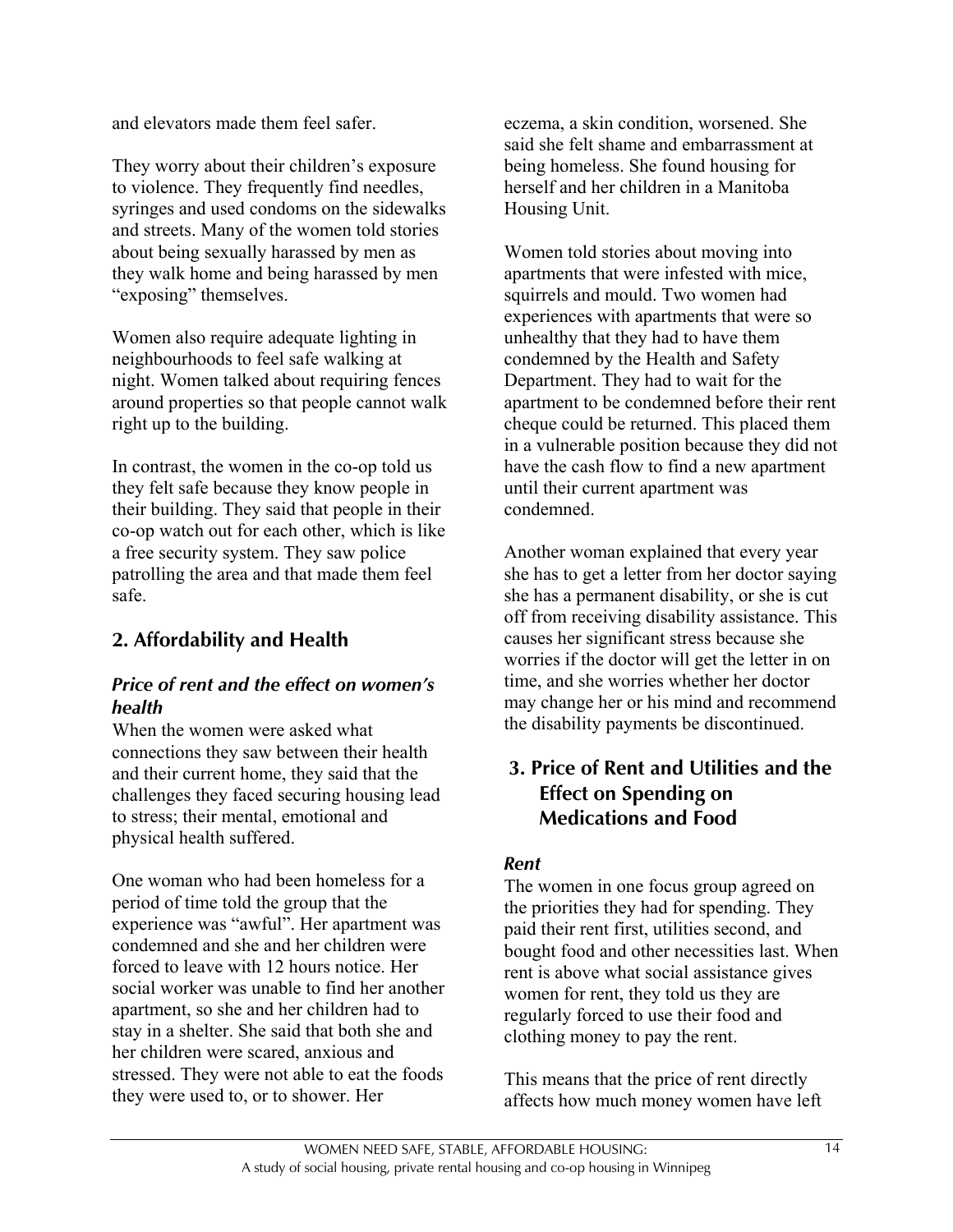and elevators made them feel safer.

They worry about their children's exposure to violence. They frequently find needles, syringes and used condoms on the sidewalks and streets. Many of the women told stories about being sexually harassed by men as they walk home and being harassed by men "exposing" themselves.

Women also require adequate lighting in neighbourhoods to feel safe walking at night. Women talked about requiring fences around properties so that people cannot walk right up to the building.

In contrast, the women in the co-op told us they felt safe because they know people in their building. They said that people in their co-op watch out for each other, which is like a free security system. They saw police patrolling the area and that made them feel safe.

## **2. Affordability and Health**

#### *Price of rent and the effect on women's health*

When the women were asked what connections they saw between their health and their current home, they said that the challenges they faced securing housing lead to stress; their mental, emotional and physical health suffered.

One woman who had been homeless for a period of time told the group that the experience was "awful". Her apartment was condemned and she and her children were forced to leave with 12 hours notice. Her social worker was unable to find her another apartment, so she and her children had to stay in a shelter. She said that both she and her children were scared, anxious and stressed. They were not able to eat the foods they were used to, or to shower. Her

eczema, a skin condition, worsened. She said she felt shame and embarrassment at being homeless. She found housing for herself and her children in a Manitoba Housing Unit.

Women told stories about moving into apartments that were infested with mice, squirrels and mould. Two women had experiences with apartments that were so unhealthy that they had to have them condemned by the Health and Safety Department. They had to wait for the apartment to be condemned before their rent cheque could be returned. This placed them in a vulnerable position because they did not have the cash flow to find a new apartment until their current apartment was condemned.

Another woman explained that every year she has to get a letter from her doctor saying she has a permanent disability, or she is cut off from receiving disability assistance. This causes her significant stress because she worries if the doctor will get the letter in on time, and she worries whether her doctor may change her or his mind and recommend the disability payments be discontinued.

### **3. Price of Rent and Utilities and the Effect on Spending on Medications and Food**

#### *Rent*

The women in one focus group agreed on the priorities they had for spending. They paid their rent first, utilities second, and bought food and other necessities last. When rent is above what social assistance gives women for rent, they told us they are regularly forced to use their food and clothing money to pay the rent.

This means that the price of rent directly affects how much money women have left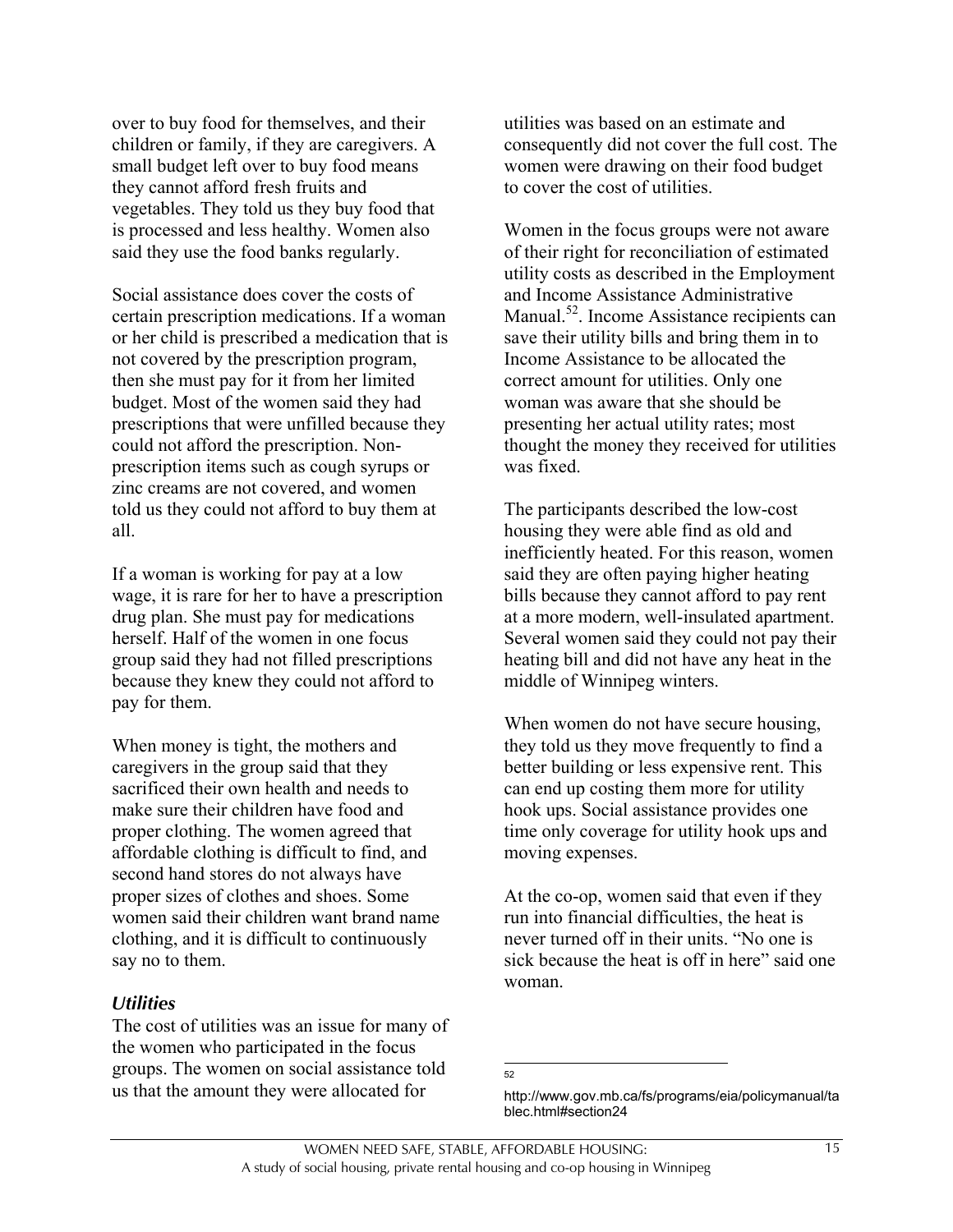over to buy food for themselves, and their children or family, if they are caregivers. A small budget left over to buy food means they cannot afford fresh fruits and vegetables. They told us they buy food that is processed and less healthy. Women also said they use the food banks regularly.

Social assistance does cover the costs of certain prescription medications. If a woman or her child is prescribed a medication that is not covered by the prescription program, then she must pay for it from her limited budget. Most of the women said they had prescriptions that were unfilled because they could not afford the prescription. Nonprescription items such as cough syrups or zinc creams are not covered, and women told us they could not afford to buy them at all.

If a woman is working for pay at a low wage, it is rare for her to have a prescription drug plan. She must pay for medications herself. Half of the women in one focus group said they had not filled prescriptions because they knew they could not afford to pay for them.

When money is tight, the mothers and caregivers in the group said that they sacrificed their own health and needs to make sure their children have food and proper clothing. The women agreed that affordable clothing is difficult to find, and second hand stores do not always have proper sizes of clothes and shoes. Some women said their children want brand name clothing, and it is difficult to continuously say no to them.

#### *Utilities*

The cost of utilities was an issue for many of the women who participated in the focus groups. The women on social assistance told us that the amount they were allocated for

utilities was based on an estimate and consequently did not cover the full cost. The women were drawing on their food budget to cover the cost of utilities.

Women in the focus groups were not aware of their right for reconciliation of estimated utility costs as described in the Employment and Income Assistance Administrative Manual.<sup>52</sup>. Income Assistance recipients can save their utility bills and bring them in to Income Assistance to be allocated the correct amount for utilities. Only one woman was aware that she should be presenting her actual utility rates; most thought the money they received for utilities was fixed.

The participants described the low-cost housing they were able find as old and inefficiently heated. For this reason, women said they are often paying higher heating bills because they cannot afford to pay rent at a more modern, well-insulated apartment. Several women said they could not pay their heating bill and did not have any heat in the middle of Winnipeg winters.

When women do not have secure housing, they told us they move frequently to find a better building or less expensive rent. This can end up costing them more for utility hook ups. Social assistance provides one time only coverage for utility hook ups and moving expenses.

At the co-op, women said that even if they run into financial difficulties, the heat is never turned off in their units. "No one is sick because the heat is off in here" said one woman.

 52

http://www.gov.mb.ca/fs/programs/eia/policymanual/ta blec.html#section24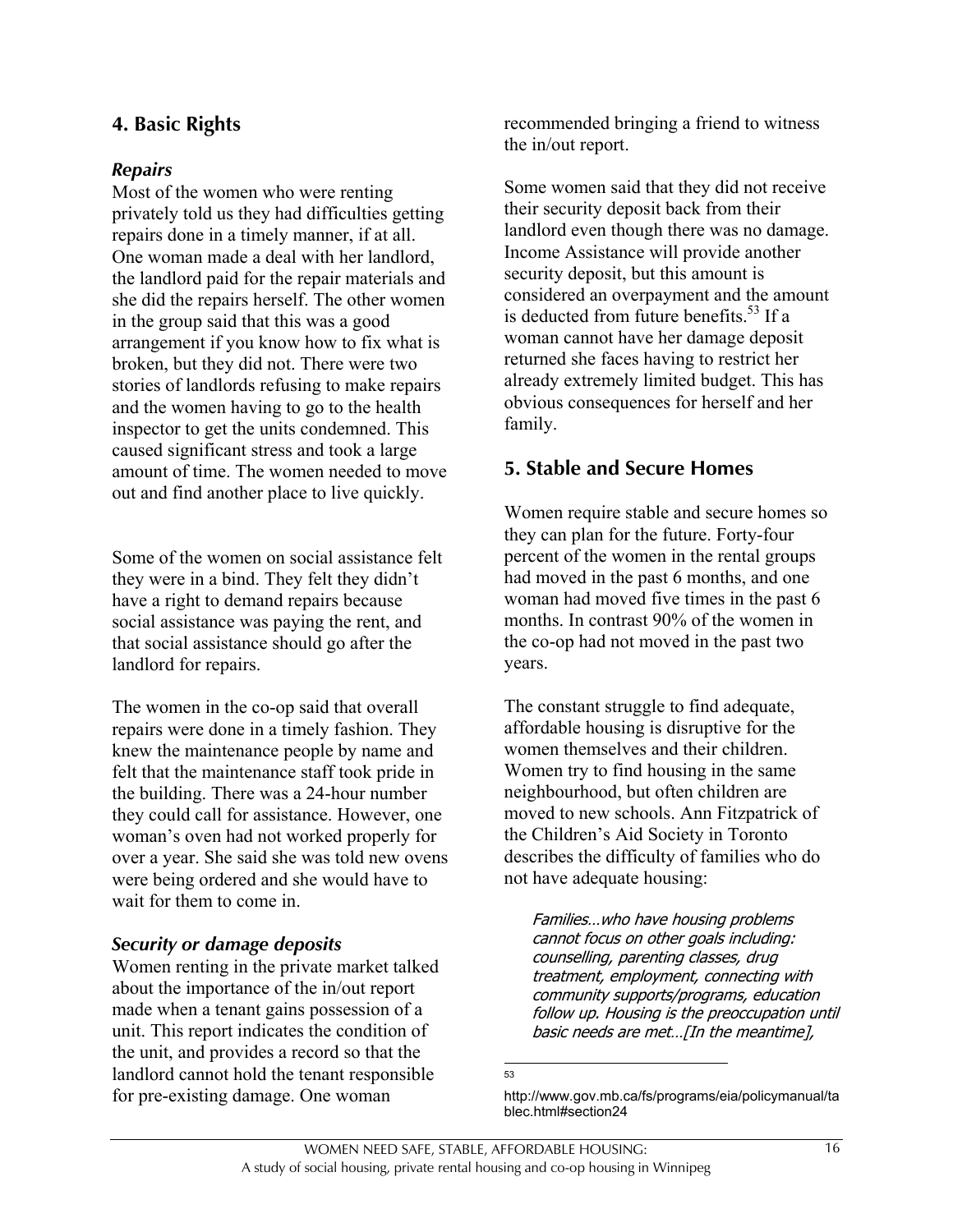### **4. Basic Rights**

#### *Repairs*

Most of the women who were renting privately told us they had difficulties getting repairs done in a timely manner, if at all. One woman made a deal with her landlord, the landlord paid for the repair materials and she did the repairs herself. The other women in the group said that this was a good arrangement if you know how to fix what is broken, but they did not. There were two stories of landlords refusing to make repairs and the women having to go to the health inspector to get the units condemned. This caused significant stress and took a large amount of time. The women needed to move out and find another place to live quickly.

Some of the women on social assistance felt they were in a bind. They felt they didn't have a right to demand repairs because social assistance was paying the rent, and that social assistance should go after the landlord for repairs.

The women in the co-op said that overall repairs were done in a timely fashion. They knew the maintenance people by name and felt that the maintenance staff took pride in the building. There was a 24-hour number they could call for assistance. However, one woman's oven had not worked properly for over a year. She said she was told new ovens were being ordered and she would have to wait for them to come in.

#### *Security or damage deposits*

Women renting in the private market talked about the importance of the in/out report made when a tenant gains possession of a unit. This report indicates the condition of the unit, and provides a record so that the landlord cannot hold the tenant responsible for pre-existing damage. One woman

recommended bringing a friend to witness the in/out report.

Some women said that they did not receive their security deposit back from their landlord even though there was no damage. Income Assistance will provide another security deposit, but this amount is considered an overpayment and the amount is deducted from future benefits.<sup>53</sup> If a woman cannot have her damage deposit returned she faces having to restrict her already extremely limited budget. This has obvious consequences for herself and her family.

### **5. Stable and Secure Homes**

Women require stable and secure homes so they can plan for the future. Forty-four percent of the women in the rental groups had moved in the past 6 months, and one woman had moved five times in the past 6 months. In contrast 90% of the women in the co-op had not moved in the past two years.

The constant struggle to find adequate, affordable housing is disruptive for the women themselves and their children. Women try to find housing in the same neighbourhood, but often children are moved to new schools. Ann Fitzpatrick of the Children's Aid Society in Toronto describes the difficulty of families who do not have adequate housing:

Families…who have housing problems cannot focus on other goals including: counselling, parenting classes, drug treatment, employment, connecting with community supports/programs, education follow up. Housing is the preoccupation until basic needs are met…[In the meantime],

blec.html#section24

-<br>53

http://www.gov.mb.ca/fs/programs/eia/policymanual/ta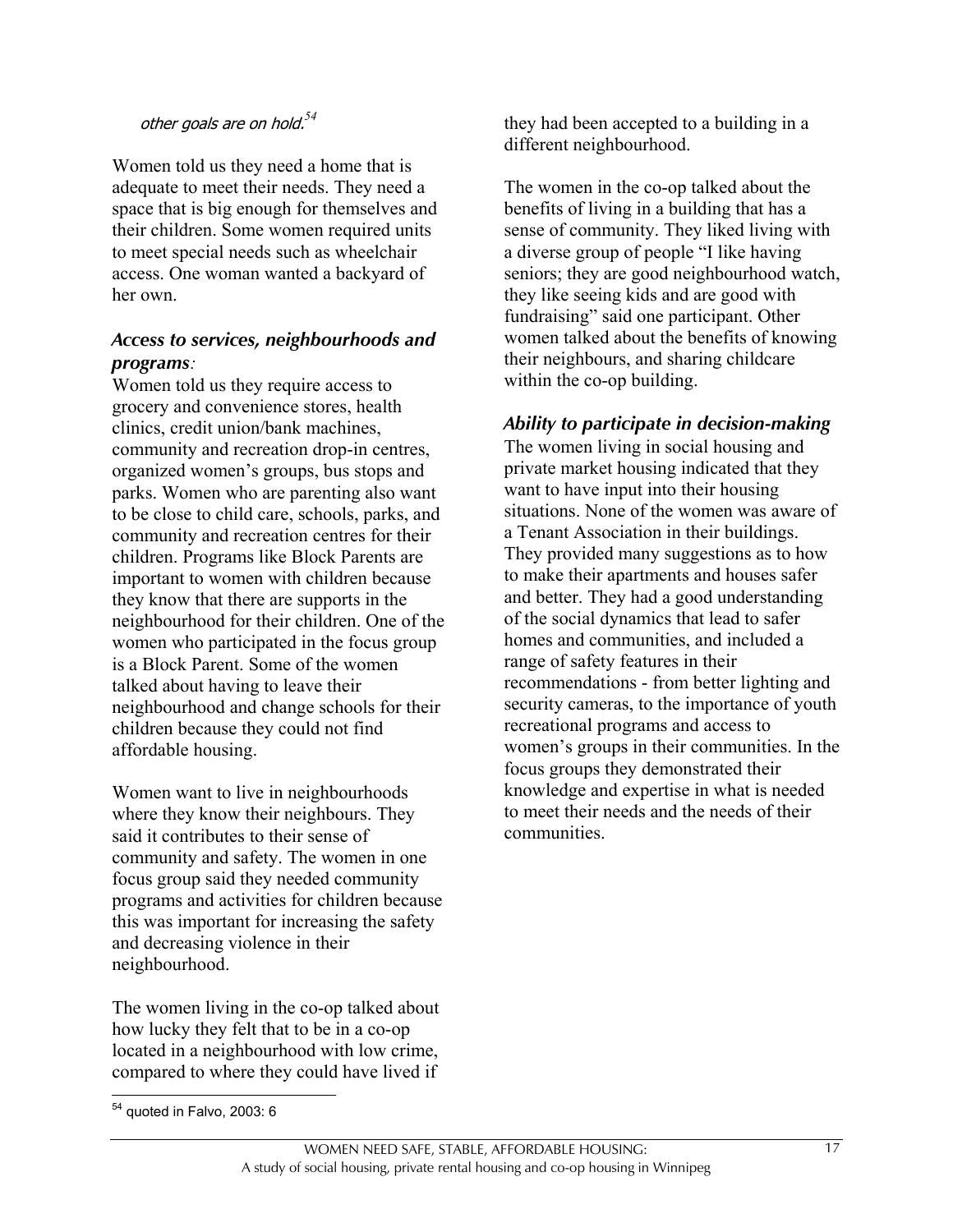## other goals are on hold.*<sup>54</sup>*

Women told us they need a home that is adequate to meet their needs. They need a space that is big enough for themselves and their children. Some women required units to meet special needs such as wheelchair access. One woman wanted a backyard of her own.

### *Access to services, neighbourhoods and programs:*

Women told us they require access to grocery and convenience stores, health clinics, credit union/bank machines, community and recreation drop-in centres, organized women's groups, bus stops and parks. Women who are parenting also want to be close to child care, schools, parks, and community and recreation centres for their children. Programs like Block Parents are important to women with children because they know that there are supports in the neighbourhood for their children. One of the women who participated in the focus group is a Block Parent. Some of the women talked about having to leave their neighbourhood and change schools for their children because they could not find affordable housing.

Women want to live in neighbourhoods where they know their neighbours. They said it contributes to their sense of community and safety. The women in one focus group said they needed community programs and activities for children because this was important for increasing the safety and decreasing violence in their neighbourhood.

The women living in the co-op talked about how lucky they felt that to be in a co-op located in a neighbourhood with low crime, compared to where they could have lived if

The women in the co-op talked about the benefits of living in a building that has a sense of community. They liked living with a diverse group of people "I like having seniors; they are good neighbourhood watch, they like seeing kids and are good with fundraising" said one participant. Other women talked about the benefits of knowing their neighbours, and sharing childcare within the co-op building.

#### *Ability to participate in decision-making*

The women living in social housing and private market housing indicated that they want to have input into their housing situations. None of the women was aware of a Tenant Association in their buildings. They provided many suggestions as to how to make their apartments and houses safer and better. They had a good understanding of the social dynamics that lead to safer homes and communities, and included a range of safety features in their recommendations - from better lighting and security cameras, to the importance of youth recreational programs and access to women's groups in their communities. In the focus groups they demonstrated their knowledge and expertise in what is needed to meet their needs and the needs of their communities.

 $\overline{a}$ 

they had been accepted to a building in a different neighbourhood.

 $54$  quoted in Falvo, 2003: 6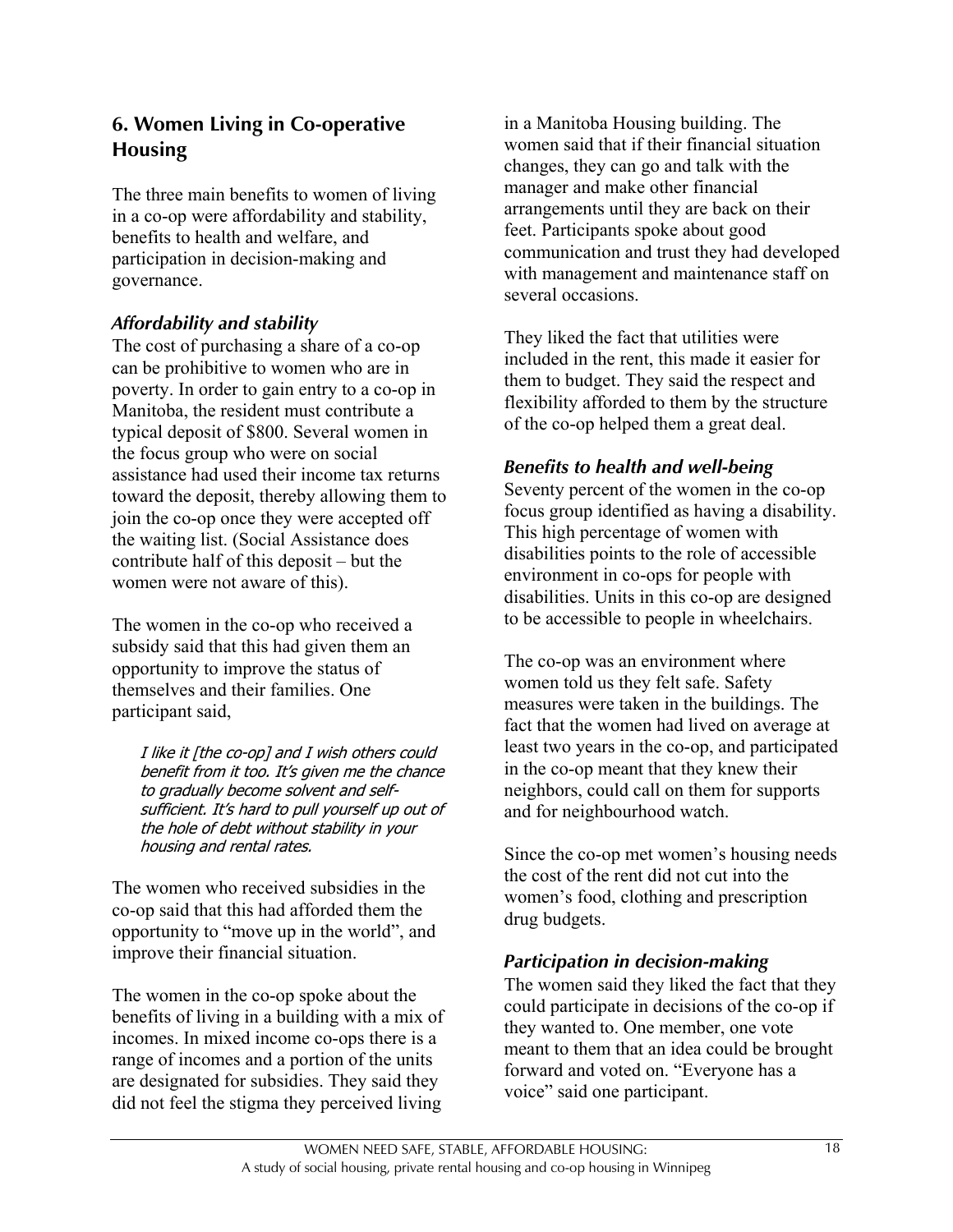### **6. Women Living in Co-operative Housing**

The three main benefits to women of living in a co-op were affordability and stability, benefits to health and welfare, and participation in decision-making and governance.

### *Affordability and stability*

The cost of purchasing a share of a co-op can be prohibitive to women who are in poverty. In order to gain entry to a co-op in Manitoba, the resident must contribute a typical deposit of \$800. Several women in the focus group who were on social assistance had used their income tax returns toward the deposit, thereby allowing them to join the co-op once they were accepted off the waiting list. (Social Assistance does contribute half of this deposit – but the women were not aware of this).

The women in the co-op who received a subsidy said that this had given them an opportunity to improve the status of themselves and their families. One participant said,

I like it [the co-op] and I wish others could benefit from it too. It's given me the chance to gradually become solvent and selfsufficient. It's hard to pull yourself up out of the hole of debt without stability in your housing and rental rates.

The women who received subsidies in the co-op said that this had afforded them the opportunity to "move up in the world", and improve their financial situation.

The women in the co-op spoke about the benefits of living in a building with a mix of incomes. In mixed income co-ops there is a range of incomes and a portion of the units are designated for subsidies. They said they did not feel the stigma they perceived living

in a Manitoba Housing building. The women said that if their financial situation changes, they can go and talk with the manager and make other financial arrangements until they are back on their feet. Participants spoke about good communication and trust they had developed with management and maintenance staff on several occasions.

They liked the fact that utilities were included in the rent, this made it easier for them to budget. They said the respect and flexibility afforded to them by the structure of the co-op helped them a great deal.

#### *Benefits to health and well-being*

Seventy percent of the women in the co-op focus group identified as having a disability. This high percentage of women with disabilities points to the role of accessible environment in co-ops for people with disabilities. Units in this co-op are designed to be accessible to people in wheelchairs.

The co-op was an environment where women told us they felt safe. Safety measures were taken in the buildings. The fact that the women had lived on average at least two years in the co-op, and participated in the co-op meant that they knew their neighbors, could call on them for supports and for neighbourhood watch.

Since the co-op met women's housing needs the cost of the rent did not cut into the women's food, clothing and prescription drug budgets.

### *Participation in decision-making*

The women said they liked the fact that they could participate in decisions of the co-op if they wanted to. One member, one vote meant to them that an idea could be brought forward and voted on. "Everyone has a voice" said one participant.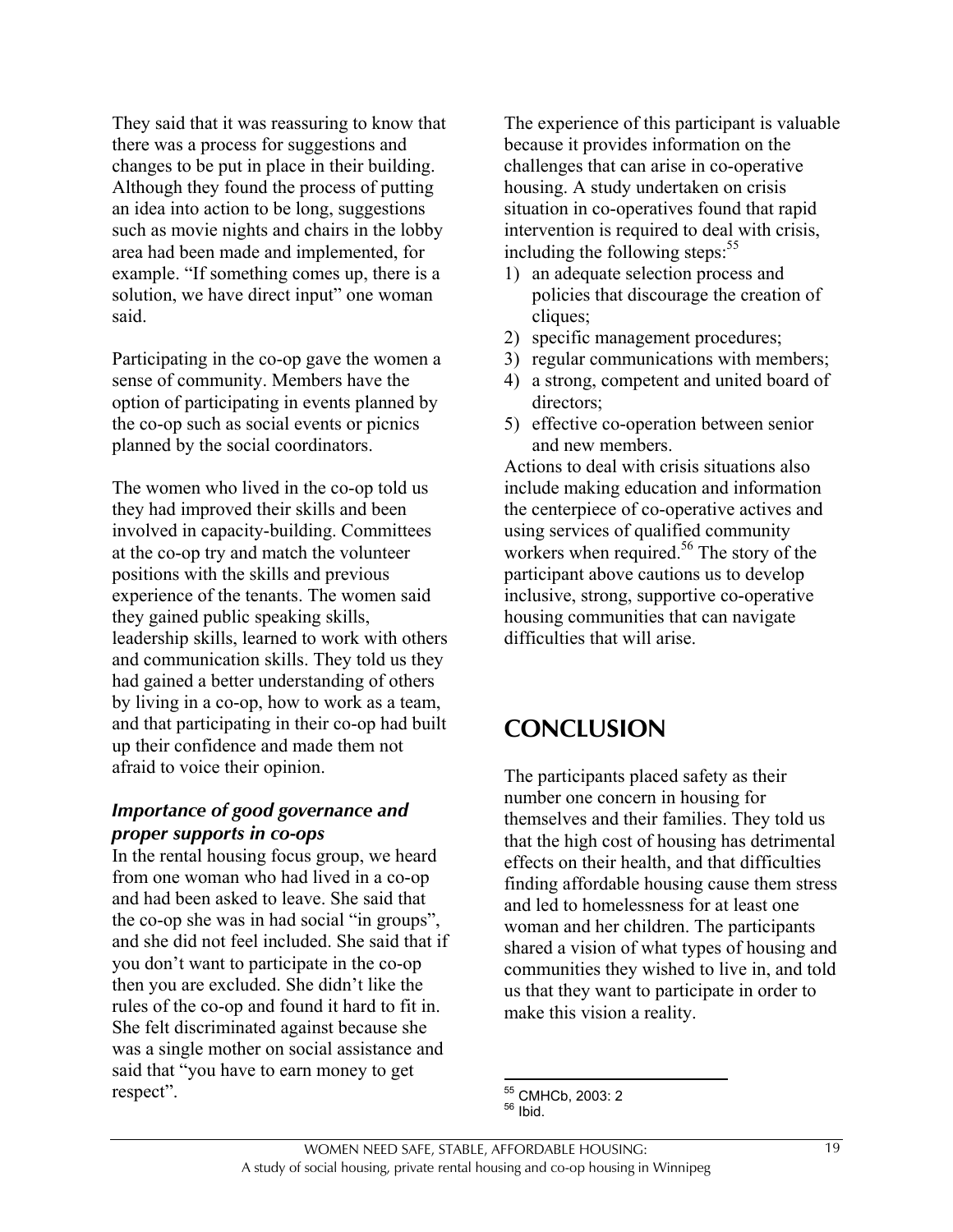They said that it was reassuring to know that there was a process for suggestions and changes to be put in place in their building. Although they found the process of putting an idea into action to be long, suggestions such as movie nights and chairs in the lobby area had been made and implemented, for example. "If something comes up, there is a solution, we have direct input" one woman said.

Participating in the co-op gave the women a sense of community. Members have the option of participating in events planned by the co-op such as social events or picnics planned by the social coordinators.

The women who lived in the co-op told us they had improved their skills and been involved in capacity-building. Committees at the co-op try and match the volunteer positions with the skills and previous experience of the tenants. The women said they gained public speaking skills, leadership skills, learned to work with others and communication skills. They told us they had gained a better understanding of others by living in a co-op, how to work as a team, and that participating in their co-op had built up their confidence and made them not afraid to voice their opinion.

#### *Importance of good governance and proper supports in co-ops*

In the rental housing focus group, we heard from one woman who had lived in a co-op and had been asked to leave. She said that the co-op she was in had social "in groups", and she did not feel included. She said that if you don't want to participate in the co-op then you are excluded. She didn't like the rules of the co-op and found it hard to fit in. She felt discriminated against because she was a single mother on social assistance and said that "you have to earn money to get respect".

The experience of this participant is valuable because it provides information on the challenges that can arise in co-operative housing. A study undertaken on crisis situation in co-operatives found that rapid intervention is required to deal with crisis, including the following steps: $55$ 

- 1) an adequate selection process and policies that discourage the creation of cliques;
- 2) specific management procedures;
- 3) regular communications with members;
- 4) a strong, competent and united board of directors;
- 5) effective co-operation between senior and new members.

Actions to deal with crisis situations also include making education and information the centerpiece of co-operative actives and using services of qualified community workers when required.<sup>56</sup> The story of the participant above cautions us to develop inclusive, strong, supportive co-operative housing communities that can navigate difficulties that will arise.

## **CONCLUSION**

The participants placed safety as their number one concern in housing for themselves and their families. They told us that the high cost of housing has detrimental effects on their health, and that difficulties finding affordable housing cause them stress and led to homelessness for at least one woman and her children. The participants shared a vision of what types of housing and communities they wished to live in, and told us that they want to participate in order to make this vision a reality.

 $\overline{a}$ <sup>55</sup> CMHCb, 2003: 2<br><sup>56</sup> Ibid.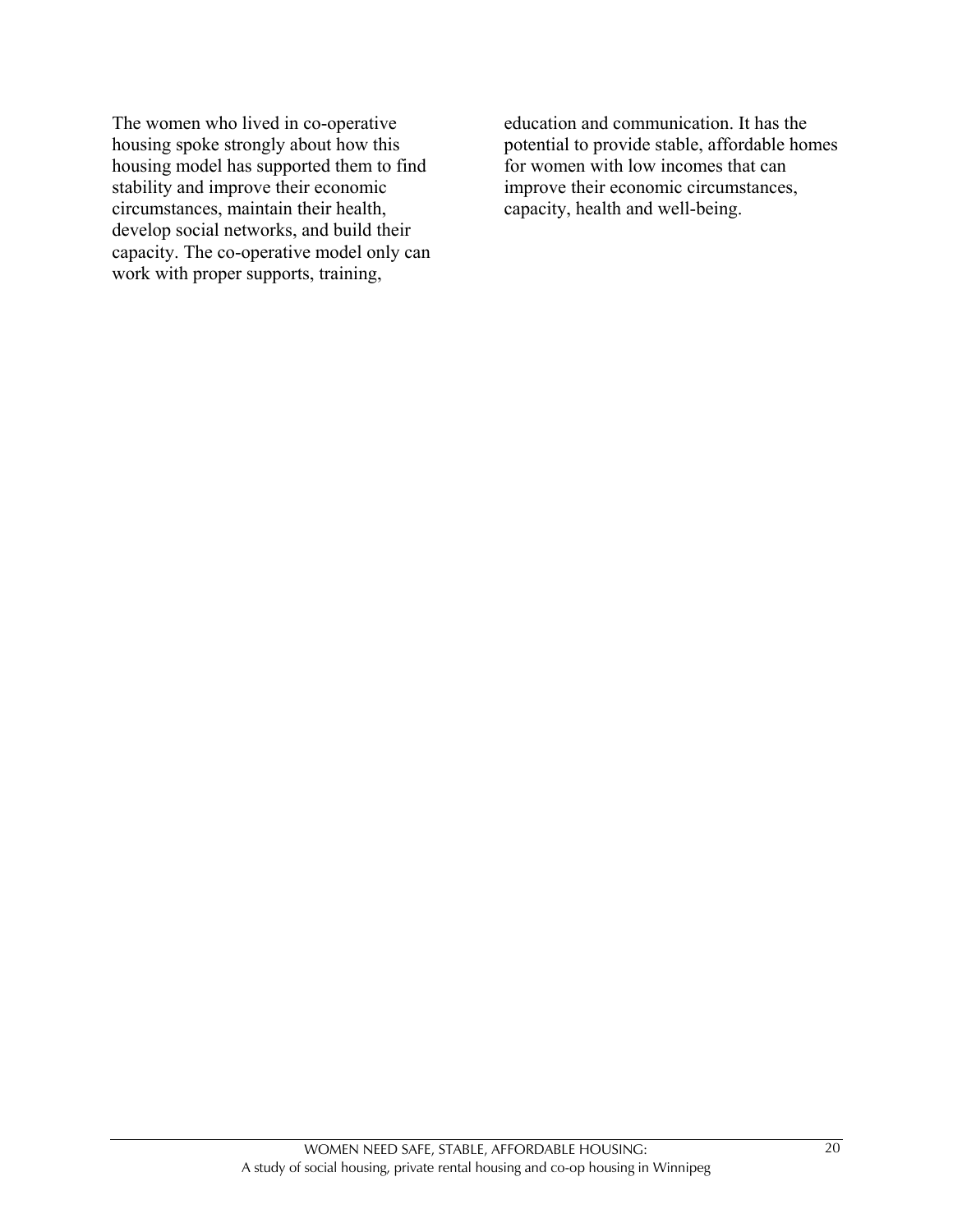The women who lived in co-operative housing spoke strongly about how this housing model has supported them to find stability and improve their economic circumstances, maintain their health, develop social networks, and build their capacity. The co-operative model only can work with proper supports, training,

education and communication. It has the potential to provide stable, affordable homes for women with low incomes that can improve their economic circumstances, capacity, health and well-being.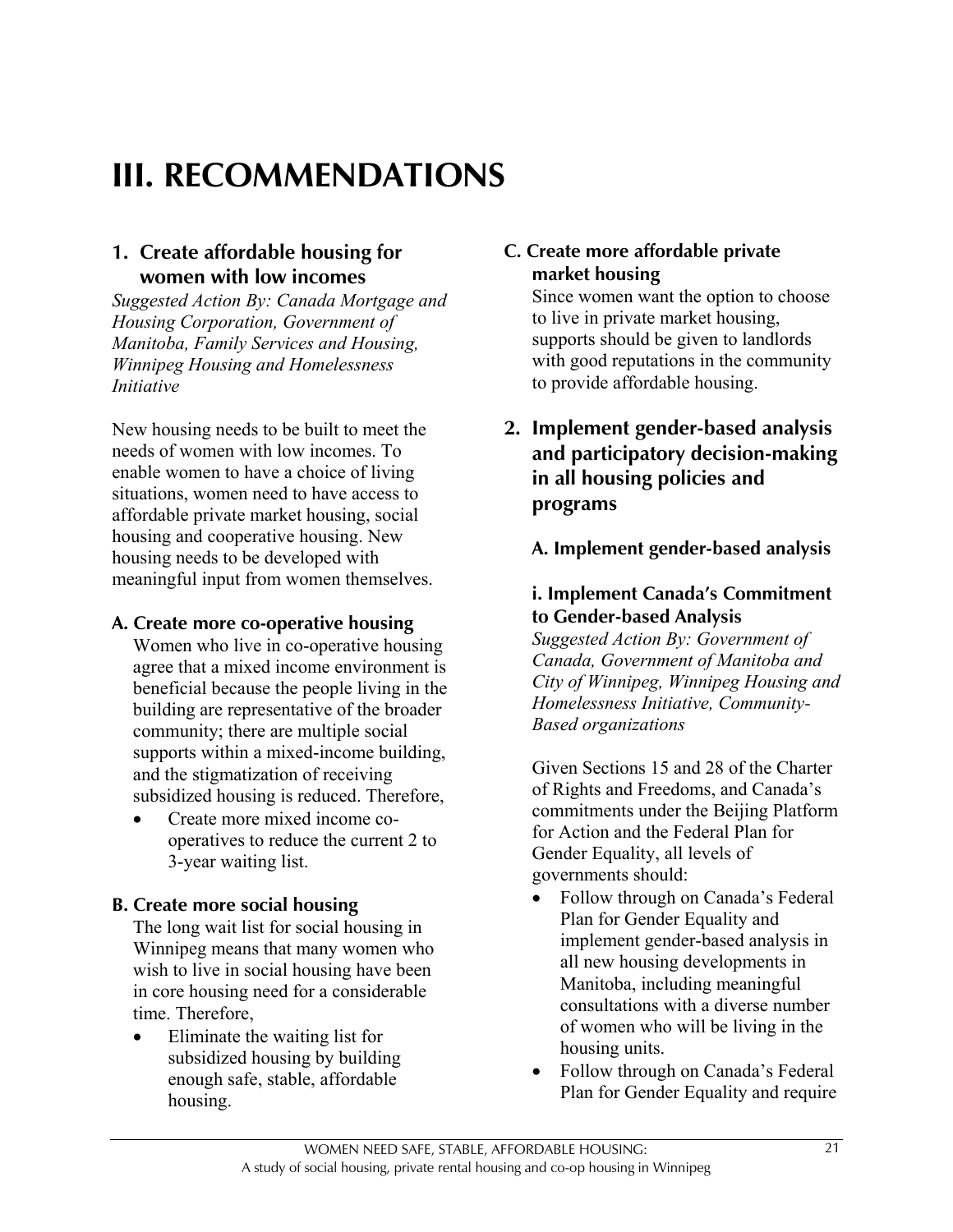# **III. RECOMMENDATIONS**

### **1. Create affordable housing for women with low incomes**

*Suggested Action By: Canada Mortgage and Housing Corporation, Government of Manitoba, Family Services and Housing, Winnipeg Housing and Homelessness Initiative*

New housing needs to be built to meet the needs of women with low incomes. To enable women to have a choice of living situations, women need to have access to affordable private market housing, social housing and cooperative housing. New housing needs to be developed with meaningful input from women themselves.

#### **A. Create more co-operative housing**

Women who live in co-operative housing agree that a mixed income environment is beneficial because the people living in the building are representative of the broader community; there are multiple social supports within a mixed-income building, and the stigmatization of receiving subsidized housing is reduced. Therefore,

• Create more mixed income cooperatives to reduce the current 2 to 3-year waiting list.

#### **B. Create more social housing**

The long wait list for social housing in Winnipeg means that many women who wish to live in social housing have been in core housing need for a considerable time. Therefore,

• Eliminate the waiting list for subsidized housing by building enough safe, stable, affordable housing.

### **C. Create more affordable private market housing**

Since women want the option to choose to live in private market housing, supports should be given to landlords with good reputations in the community to provide affordable housing.

**2. Implement gender-based analysis and participatory decision-making in all housing policies and programs**

**A. Implement gender-based analysis**

#### **i. Implement Canada's Commitment to Gender-based Analysis**

*Suggested Action By: Government of Canada, Government of Manitoba and City of Winnipeg, Winnipeg Housing and Homelessness Initiative, Community-Based organizations*

Given Sections 15 and 28 of the Charter of Rights and Freedoms, and Canada's commitments under the Beijing Platform for Action and the Federal Plan for Gender Equality, all levels of governments should:

- Follow through on Canada's Federal Plan for Gender Equality and implement gender-based analysis in all new housing developments in Manitoba, including meaningful consultations with a diverse number of women who will be living in the housing units.
- Follow through on Canada's Federal Plan for Gender Equality and require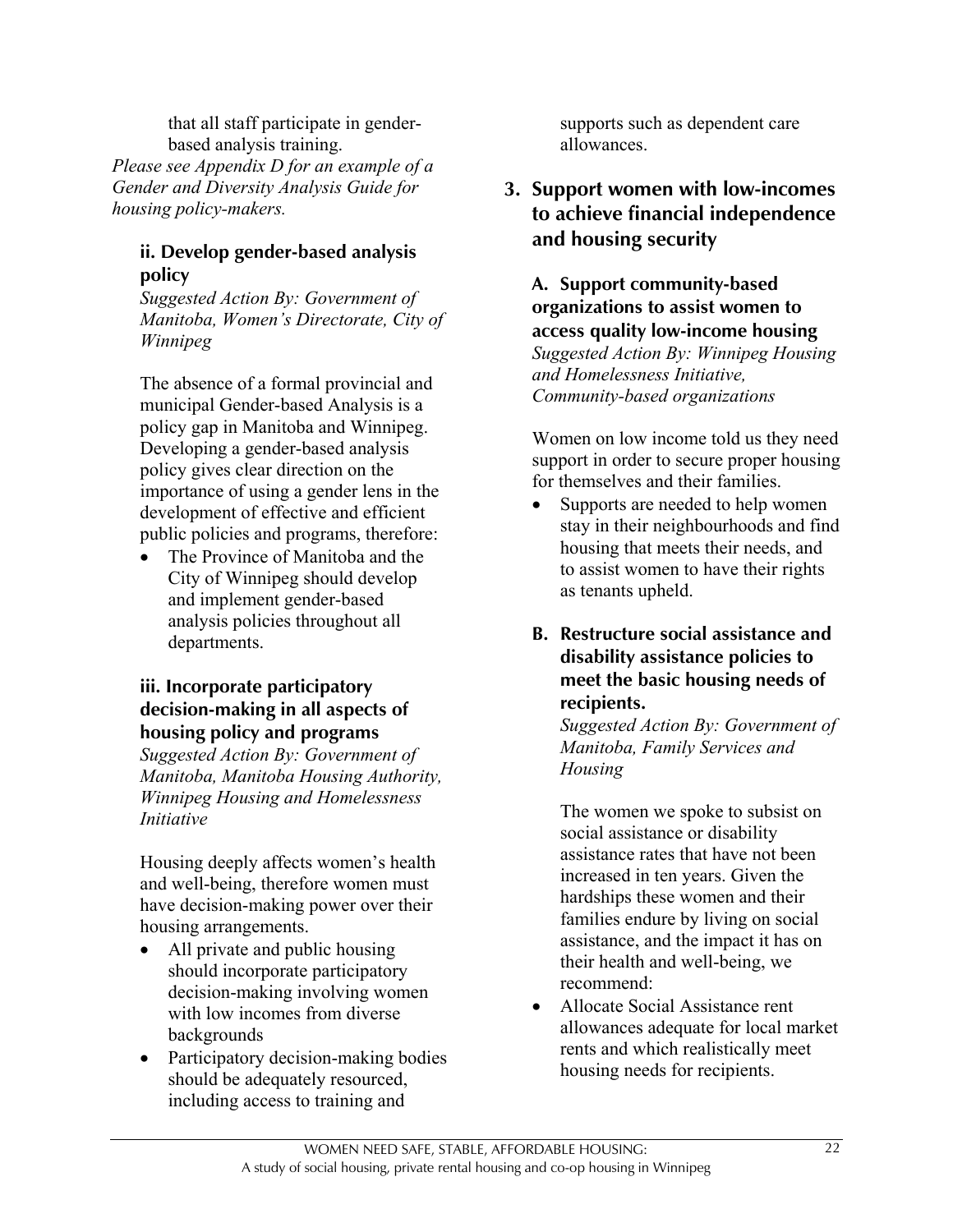that all staff participate in genderbased analysis training.

*Please see Appendix D for an example of a Gender and Diversity Analysis Guide for housing policy-makers.*

#### **ii. Develop gender-based analysis policy**

*Suggested Action By: Government of Manitoba, Women's Directorate, City of Winnipeg*

The absence of a formal provincial and municipal Gender-based Analysis is a policy gap in Manitoba and Winnipeg. Developing a gender-based analysis policy gives clear direction on the importance of using a gender lens in the development of effective and efficient public policies and programs, therefore:

The Province of Manitoba and the City of Winnipeg should develop and implement gender-based analysis policies throughout all departments.

### **iii. Incorporate participatory decision-making in all aspects of housing policy and programs**

*Suggested Action By: Government of Manitoba, Manitoba Housing Authority, Winnipeg Housing and Homelessness Initiative*

Housing deeply affects women's health and well-being, therefore women must have decision-making power over their housing arrangements.

- All private and public housing should incorporate participatory decision-making involving women with low incomes from diverse backgrounds
- Participatory decision-making bodies should be adequately resourced, including access to training and

supports such as dependent care allowances.

**3. Support women with low-incomes to achieve financial independence and housing security**

**A. Support community-based organizations to assist women to access quality low-income housing** *Suggested Action By: Winnipeg Housing and Homelessness Initiative, Community-based organizations*

Women on low income told us they need support in order to secure proper housing for themselves and their families.

- Supports are needed to help women stay in their neighbourhoods and find housing that meets their needs, and to assist women to have their rights as tenants upheld.
- **B. Restructure social assistance and disability assistance policies to meet the basic housing needs of recipients.**

*Suggested Action By: Government of Manitoba, Family Services and Housing*

The women we spoke to subsist on social assistance or disability assistance rates that have not been increased in ten years. Given the hardships these women and their families endure by living on social assistance, and the impact it has on their health and well-being, we recommend:

• Allocate Social Assistance rent allowances adequate for local market rents and which realistically meet housing needs for recipients.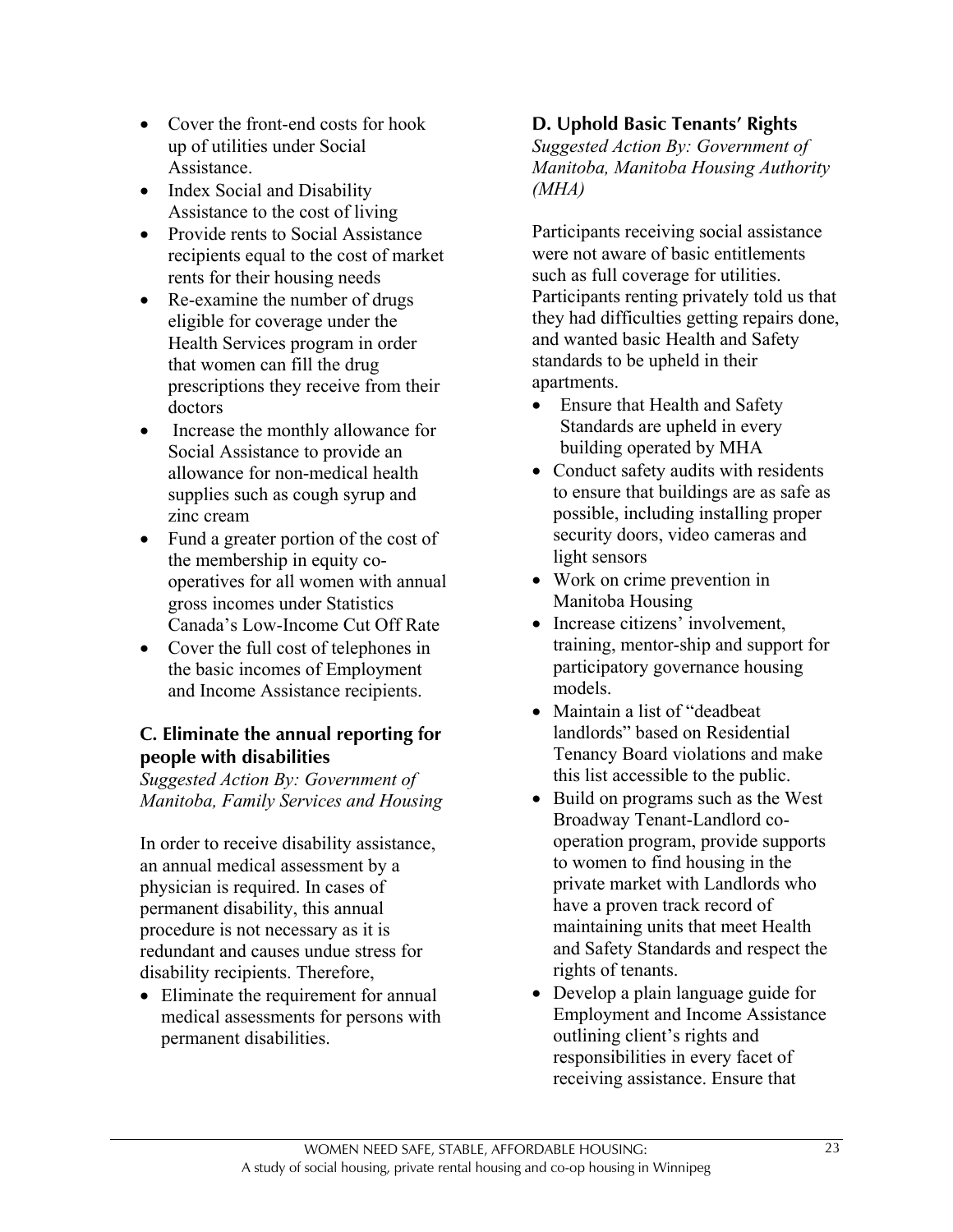- Cover the front-end costs for hook up of utilities under Social Assistance.
- Index Social and Disability Assistance to the cost of living
- Provide rents to Social Assistance recipients equal to the cost of market rents for their housing needs
- Re-examine the number of drugs eligible for coverage under the Health Services program in order that women can fill the drug prescriptions they receive from their doctors
- Increase the monthly allowance for Social Assistance to provide an allowance for non-medical health supplies such as cough syrup and zinc cream
- Fund a greater portion of the cost of the membership in equity cooperatives for all women with annual gross incomes under Statistics Canada's Low-Income Cut Off Rate
- Cover the full cost of telephones in the basic incomes of Employment and Income Assistance recipients.

### **C. Eliminate the annual reporting for people with disabilities**

*Suggested Action By: Government of Manitoba, Family Services and Housing*

In order to receive disability assistance, an annual medical assessment by a physician is required. In cases of permanent disability, this annual procedure is not necessary as it is redundant and causes undue stress for disability recipients. Therefore,

• Eliminate the requirement for annual medical assessments for persons with permanent disabilities.

### **D. Uphold Basic Tenants' Rights**

*Suggested Action By: Government of Manitoba, Manitoba Housing Authority (MHA)*

Participants receiving social assistance were not aware of basic entitlements such as full coverage for utilities. Participants renting privately told us that they had difficulties getting repairs done, and wanted basic Health and Safety standards to be upheld in their apartments.

- Ensure that Health and Safety Standards are upheld in every building operated by MHA
- Conduct safety audits with residents to ensure that buildings are as safe as possible, including installing proper security doors, video cameras and light sensors
- Work on crime prevention in Manitoba Housing
- Increase citizens' involvement, training, mentor-ship and support for participatory governance housing models.
- Maintain a list of "deadbeat" landlords" based on Residential Tenancy Board violations and make this list accessible to the public.
- Build on programs such as the West Broadway Tenant-Landlord cooperation program, provide supports to women to find housing in the private market with Landlords who have a proven track record of maintaining units that meet Health and Safety Standards and respect the rights of tenants.
- Develop a plain language guide for Employment and Income Assistance outlining client's rights and responsibilities in every facet of receiving assistance. Ensure that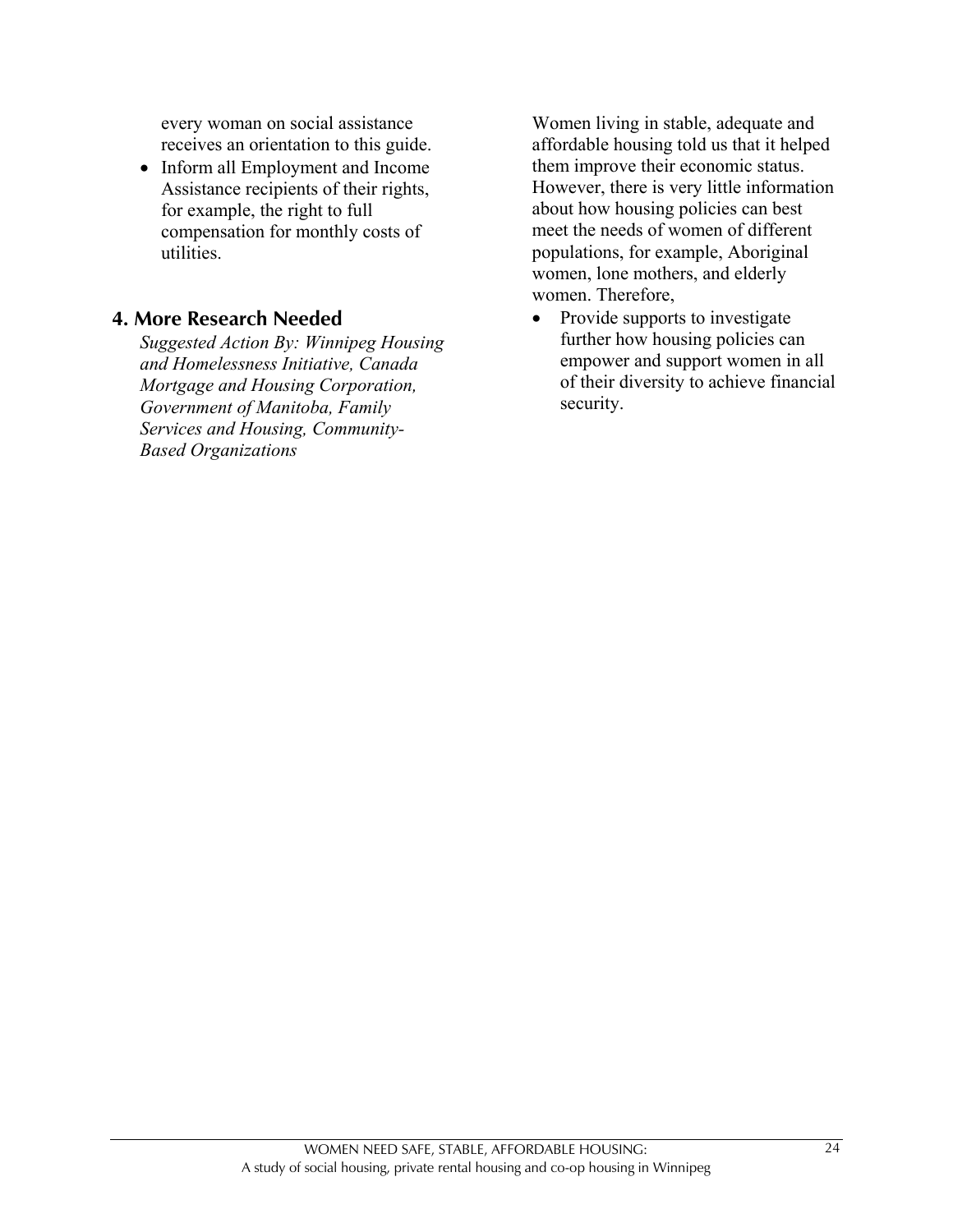every woman on social assistance receives an orientation to this guide.

• Inform all Employment and Income Assistance recipients of their rights, for example, the right to full compensation for monthly costs of utilities.

#### **4. More Research Needed**

*Suggested Action By: Winnipeg Housing and Homelessness Initiative, Canada Mortgage and Housing Corporation, Government of Manitoba, Family Services and Housing, Community-Based Organizations*

Women living in stable, adequate and affordable housing told us that it helped them improve their economic status. However, there is very little information about how housing policies can best meet the needs of women of different populations, for example, Aboriginal women, lone mothers, and elderly women. Therefore,

• Provide supports to investigate further how housing policies can empower and support women in all of their diversity to achieve financial security.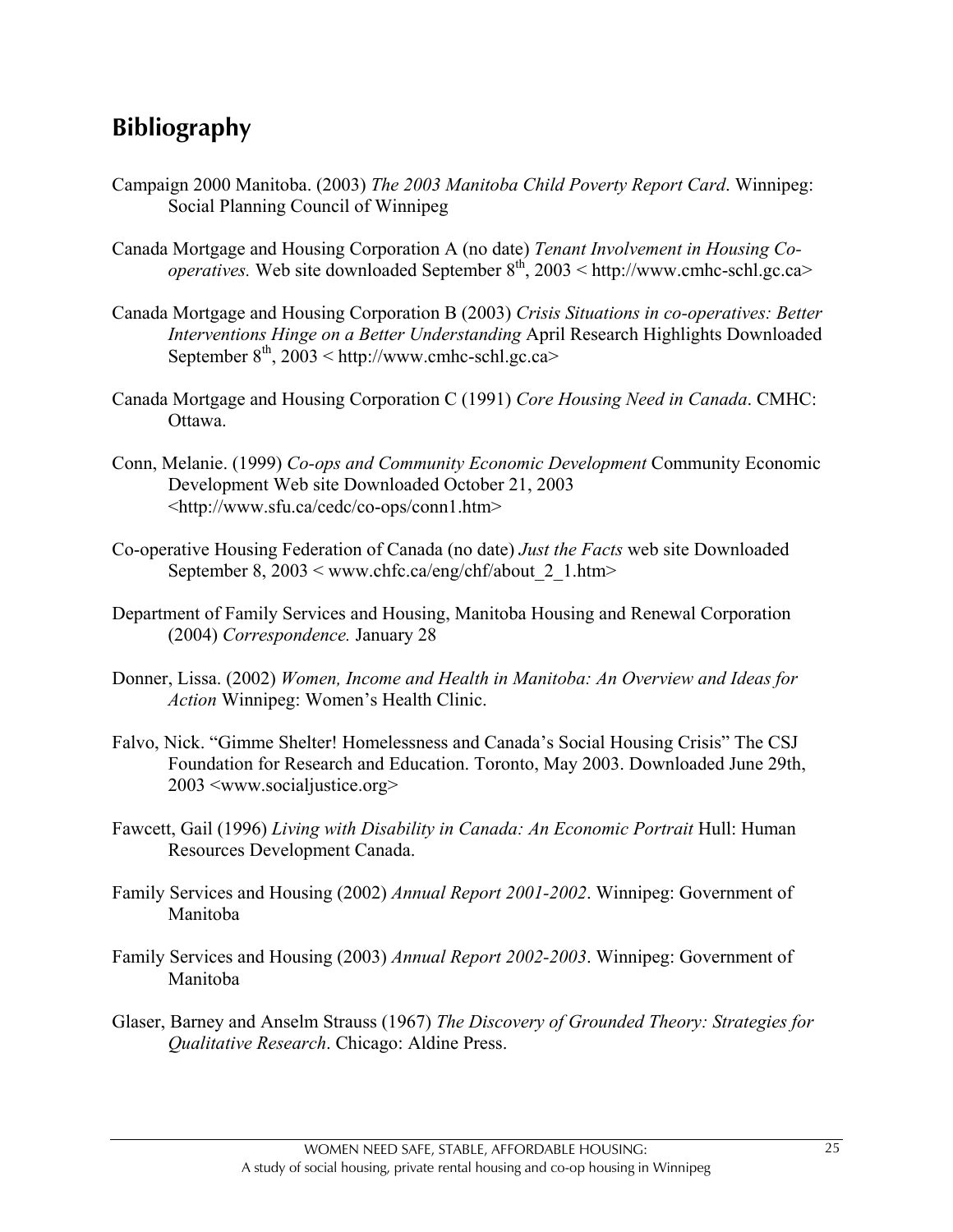## **Bibliography**

- Campaign 2000 Manitoba. (2003) *The 2003 Manitoba Child Poverty Report Card*. Winnipeg: Social Planning Council of Winnipeg
- Canada Mortgage and Housing Corporation A (no date) *Tenant Involvement in Housing Cooperatives.* Web site downloaded September 8<sup>th</sup>, 2003 < http://www.cmhc-schl.gc.ca>
- Canada Mortgage and Housing Corporation B (2003) *Crisis Situations in co-operatives: Better Interventions Hinge on a Better Understanding* April Research Highlights Downloaded September  $8<sup>th</sup>$ , 2003 < http://www.cmhc-schl.gc.ca>
- Canada Mortgage and Housing Corporation C (1991) *Core Housing Need in Canada*. CMHC: Ottawa.
- Conn, Melanie. (1999) *Co-ops and Community Economic Development* Community Economic Development Web site Downloaded October 21, 2003 <http://www.sfu.ca/cedc/co-ops/conn1.htm>
- Co-operative Housing Federation of Canada (no date) *Just the Facts* web site Downloaded September 8,  $2003 <$  www.chfc.ca/eng/chf/about 2 1.htm>
- Department of Family Services and Housing, Manitoba Housing and Renewal Corporation (2004) *Correspondence.* January 28
- Donner, Lissa. (2002) *Women, Income and Health in Manitoba: An Overview and Ideas for Action* Winnipeg: Women's Health Clinic.
- Falvo, Nick. "Gimme Shelter! Homelessness and Canada's Social Housing Crisis" The CSJ Foundation for Research and Education. Toronto, May 2003. Downloaded June 29th, 2003 <www.socialjustice.org>
- Fawcett, Gail (1996) *Living with Disability in Canada: An Economic Portrait* Hull: Human Resources Development Canada.
- Family Services and Housing (2002) *Annual Report 2001-2002*. Winnipeg: Government of Manitoba
- Family Services and Housing (2003) *Annual Report 2002-2003*. Winnipeg: Government of Manitoba
- Glaser, Barney and Anselm Strauss (1967) *The Discovery of Grounded Theory: Strategies for Qualitative Research*. Chicago: Aldine Press.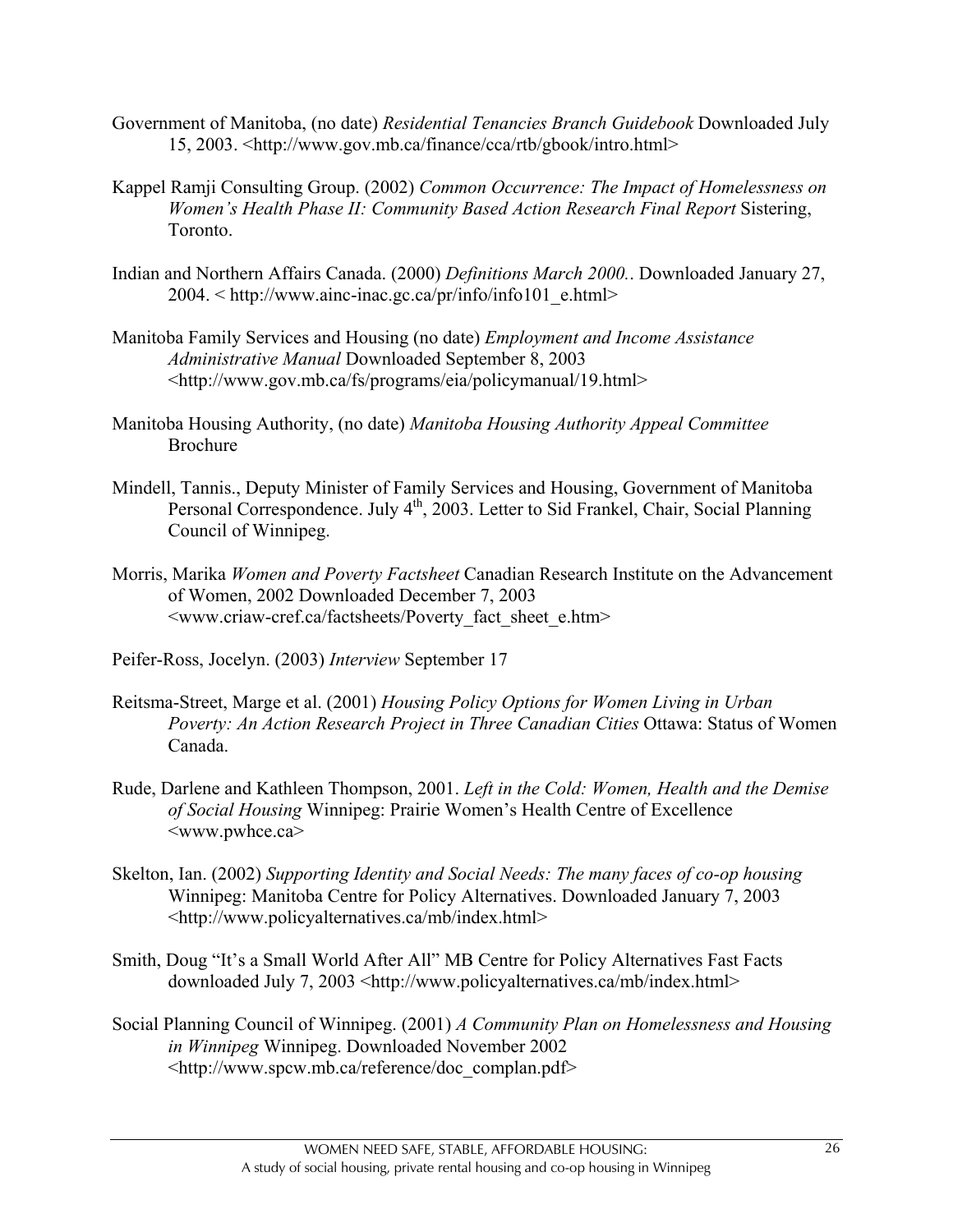- Government of Manitoba, (no date) *Residential Tenancies Branch Guidebook* Downloaded July 15, 2003. <http://www.gov.mb.ca/finance/cca/rtb/gbook/intro.html>
- Kappel Ramji Consulting Group. (2002) *Common Occurrence: The Impact of Homelessness on Women's Health Phase II: Community Based Action Research Final Report Sistering,* Toronto.
- Indian and Northern Affairs Canada. (2000) *Definitions March 2000.*. Downloaded January 27, 2004. < http://www.ainc-inac.gc.ca/pr/info/info101\_e.html>
- Manitoba Family Services and Housing (no date) *Employment and Income Assistance Administrative Manual* Downloaded September 8, 2003 <http://www.gov.mb.ca/fs/programs/eia/policymanual/19.html>
- Manitoba Housing Authority, (no date) *Manitoba Housing Authority Appeal Committee* Brochure
- Mindell, Tannis., Deputy Minister of Family Services and Housing, Government of Manitoba Personal Correspondence. July 4<sup>th</sup>, 2003. Letter to Sid Frankel, Chair, Social Planning Council of Winnipeg.
- Morris, Marika *Women and Poverty Factsheet* Canadian Research Institute on the Advancement of Women, 2002 Downloaded December 7, 2003 <www.criaw-cref.ca/factsheets/Poverty\_fact\_sheet\_e.htm>
- Peifer-Ross, Jocelyn. (2003) *Interview* September 17
- Reitsma-Street, Marge et al. (2001) *Housing Policy Options for Women Living in Urban Poverty: An Action Research Project in Three Canadian Cities* Ottawa: Status of Women Canada.
- Rude, Darlene and Kathleen Thompson, 2001. *Left in the Cold: Women, Health and the Demise of Social Housing* Winnipeg: Prairie Women's Health Centre of Excellence <www.pwhce.ca>
- Skelton, Ian. (2002) *Supporting Identity and Social Needs: The many faces of co-op housing* Winnipeg: Manitoba Centre for Policy Alternatives. Downloaded January 7, 2003 <http://www.policyalternatives.ca/mb/index.html>
- Smith, Doug "It's a Small World After All" MB Centre for Policy Alternatives Fast Facts downloaded July 7, 2003 <http://www.policyalternatives.ca/mb/index.html>
- Social Planning Council of Winnipeg. (2001) *A Community Plan on Homelessness and Housing in Winnipeg* Winnipeg. Downloaded November 2002 <http://www.spcw.mb.ca/reference/doc\_complan.pdf>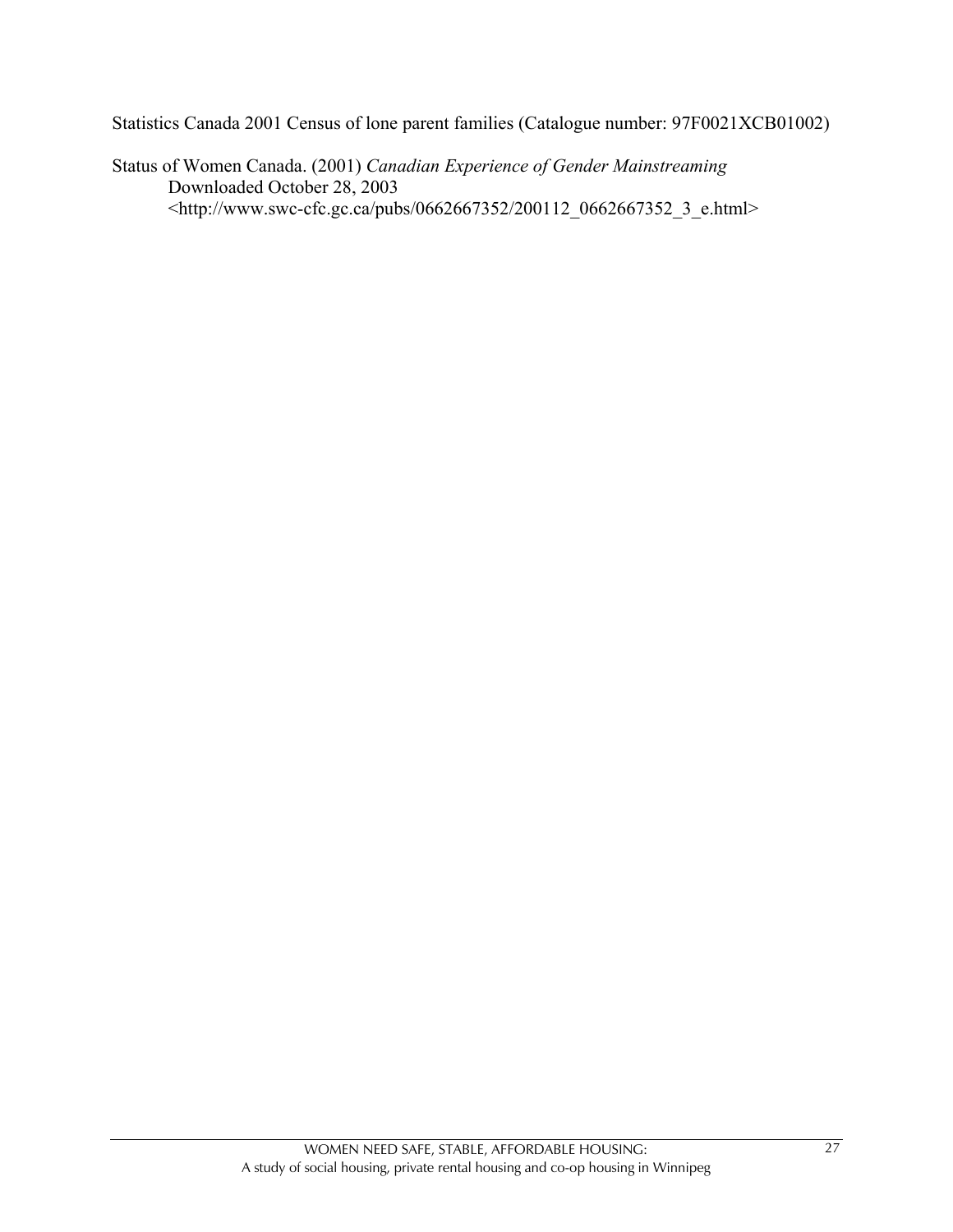Statistics Canada 2001 Census of lone parent families (Catalogue number: 97F0021XCB01002)

Status of Women Canada. (2001) *Canadian Experience of Gender Mainstreaming* Downloaded October 28, 2003 <http://www.swc-cfc.gc.ca/pubs/0662667352/200112\_0662667352\_3\_e.html>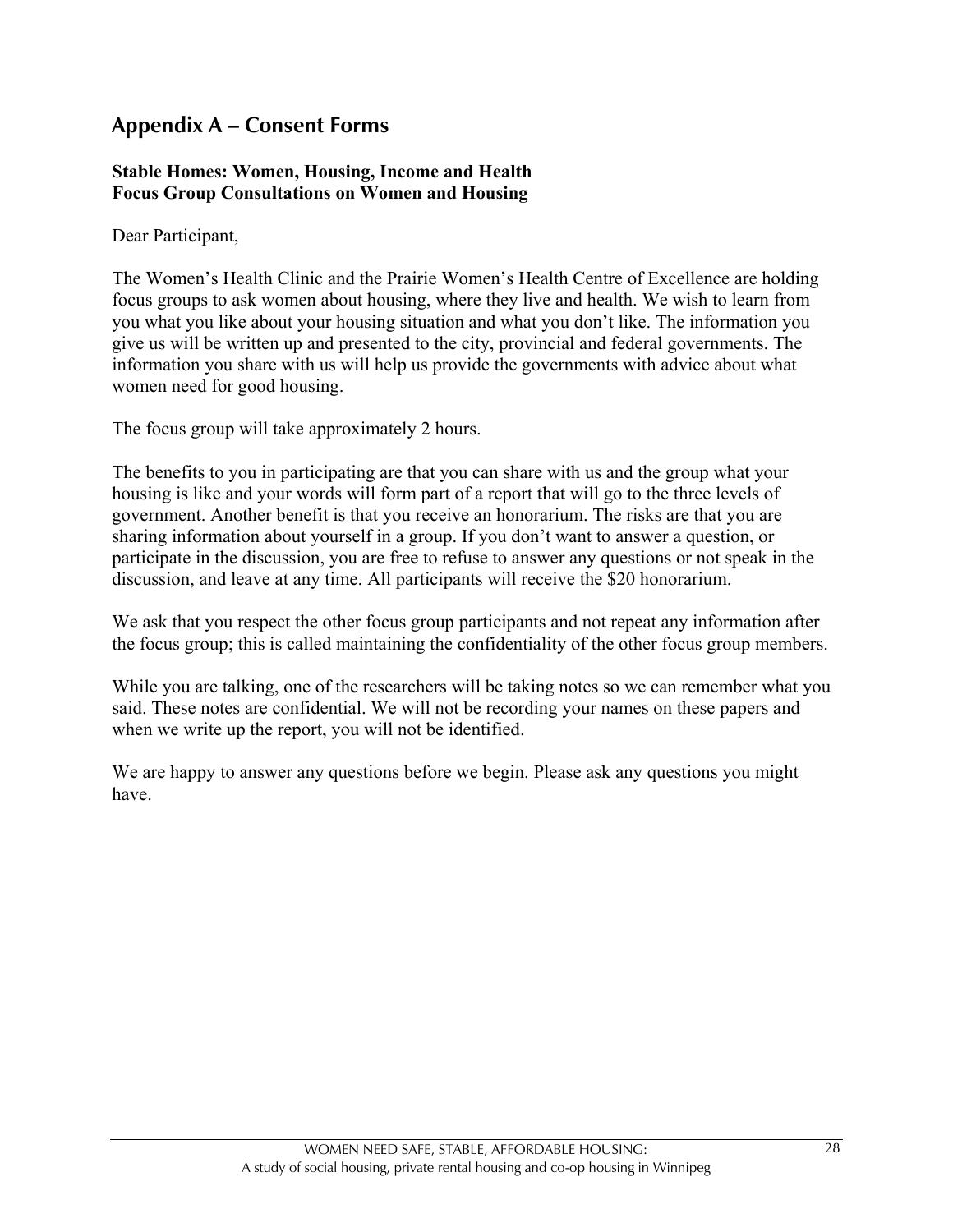## **Appendix A – Consent Forms**

#### **Stable Homes: Women, Housing, Income and Health Focus Group Consultations on Women and Housing**

Dear Participant,

The Women's Health Clinic and the Prairie Women's Health Centre of Excellence are holding focus groups to ask women about housing, where they live and health. We wish to learn from you what you like about your housing situation and what you don't like. The information you give us will be written up and presented to the city, provincial and federal governments. The information you share with us will help us provide the governments with advice about what women need for good housing.

The focus group will take approximately 2 hours.

The benefits to you in participating are that you can share with us and the group what your housing is like and your words will form part of a report that will go to the three levels of government. Another benefit is that you receive an honorarium. The risks are that you are sharing information about yourself in a group. If you don't want to answer a question, or participate in the discussion, you are free to refuse to answer any questions or not speak in the discussion, and leave at any time. All participants will receive the \$20 honorarium.

We ask that you respect the other focus group participants and not repeat any information after the focus group; this is called maintaining the confidentiality of the other focus group members.

While you are talking, one of the researchers will be taking notes so we can remember what you said. These notes are confidential. We will not be recording your names on these papers and when we write up the report, you will not be identified.

We are happy to answer any questions before we begin. Please ask any questions you might have.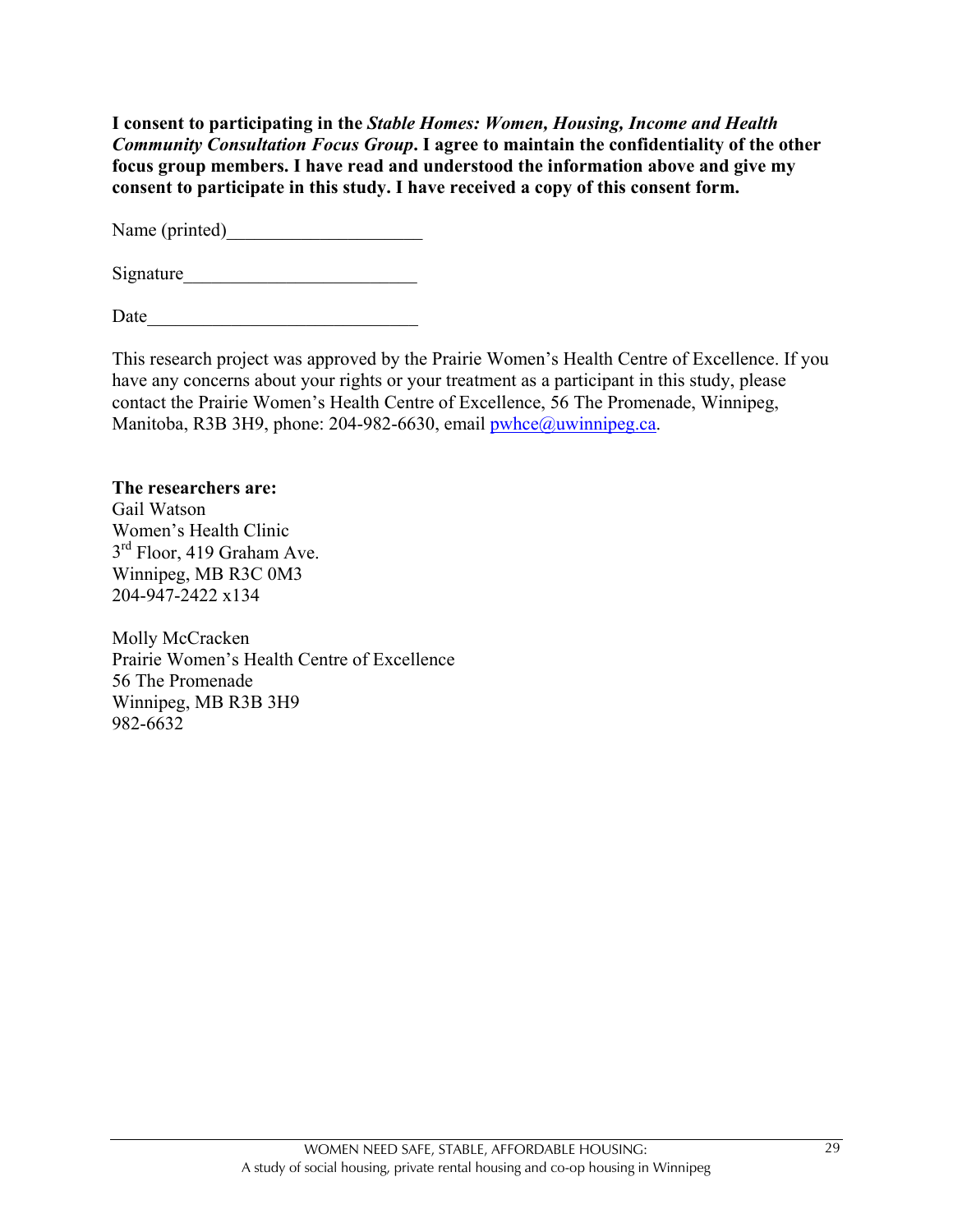**I consent to participating in the** *Stable Homes: Women, Housing, Income and Health Community Consultation Focus Group***. I agree to maintain the confidentiality of the other focus group members. I have read and understood the information above and give my consent to participate in this study. I have received a copy of this consent form.**

Name (printed)

Signature\_\_\_\_\_\_\_\_\_\_\_\_\_\_\_\_\_\_\_\_\_\_\_\_\_

Date

This research project was approved by the Prairie Women's Health Centre of Excellence. If you have any concerns about your rights or your treatment as a participant in this study, please contact the Prairie Women's Health Centre of Excellence, 56 The Promenade, Winnipeg, Manitoba, R3B 3H9, phone: 204-982-6630, email pwhce@uwinnipeg.ca.

#### **The researchers are:**

Gail Watson Women's Health Clinic 3<sup>rd</sup> Floor, 419 Graham Ave. Winnipeg, MB R3C 0M3 204-947-2422 x134

Molly McCracken Prairie Women's Health Centre of Excellence 56 The Promenade Winnipeg, MB R3B 3H9 982-6632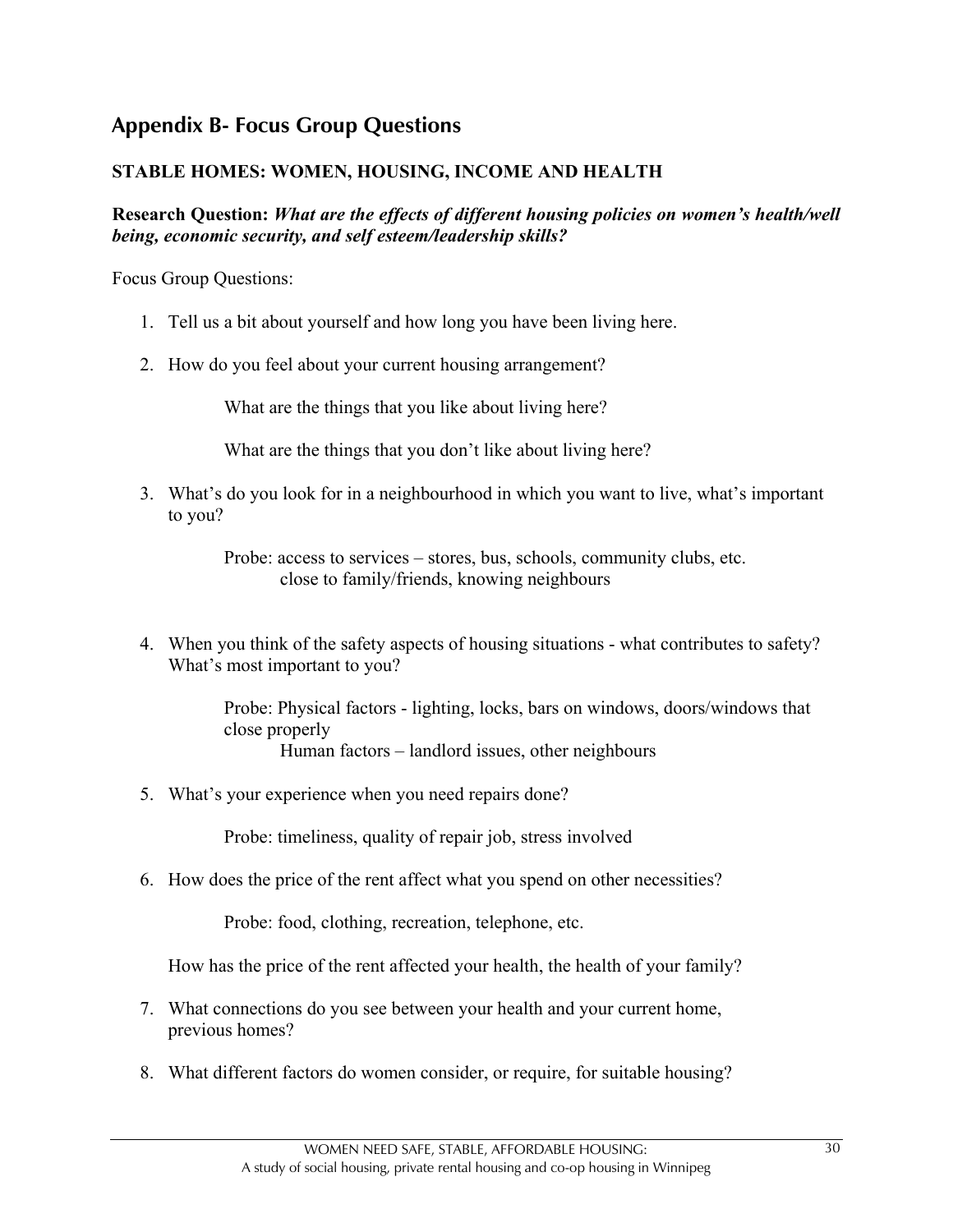## **Appendix B- Focus Group Questions**

#### **STABLE HOMES: WOMEN, HOUSING, INCOME AND HEALTH**

**Research Question:** *What are the effects of different housing policies on women's health/well being, economic security, and self esteem/leadership skills?*

Focus Group Questions:

- 1. Tell us a bit about yourself and how long you have been living here.
- 2. How do you feel about your current housing arrangement?

What are the things that you like about living here?

What are the things that you don't like about living here?

3. What's do you look for in a neighbourhood in which you want to live, what's important to you?

> Probe: access to services – stores, bus, schools, community clubs, etc. close to family/friends, knowing neighbours

4. When you think of the safety aspects of housing situations - what contributes to safety? What's most important to you?

> Probe: Physical factors - lighting, locks, bars on windows, doors/windows that close properly Human factors – landlord issues, other neighbours

5. What's your experience when you need repairs done?

Probe: timeliness, quality of repair job, stress involved

6. How does the price of the rent affect what you spend on other necessities?

Probe: food, clothing, recreation, telephone, etc.

How has the price of the rent affected your health, the health of your family?

- 7. What connections do you see between your health and your current home, previous homes?
- 8. What different factors do women consider, or require, for suitable housing?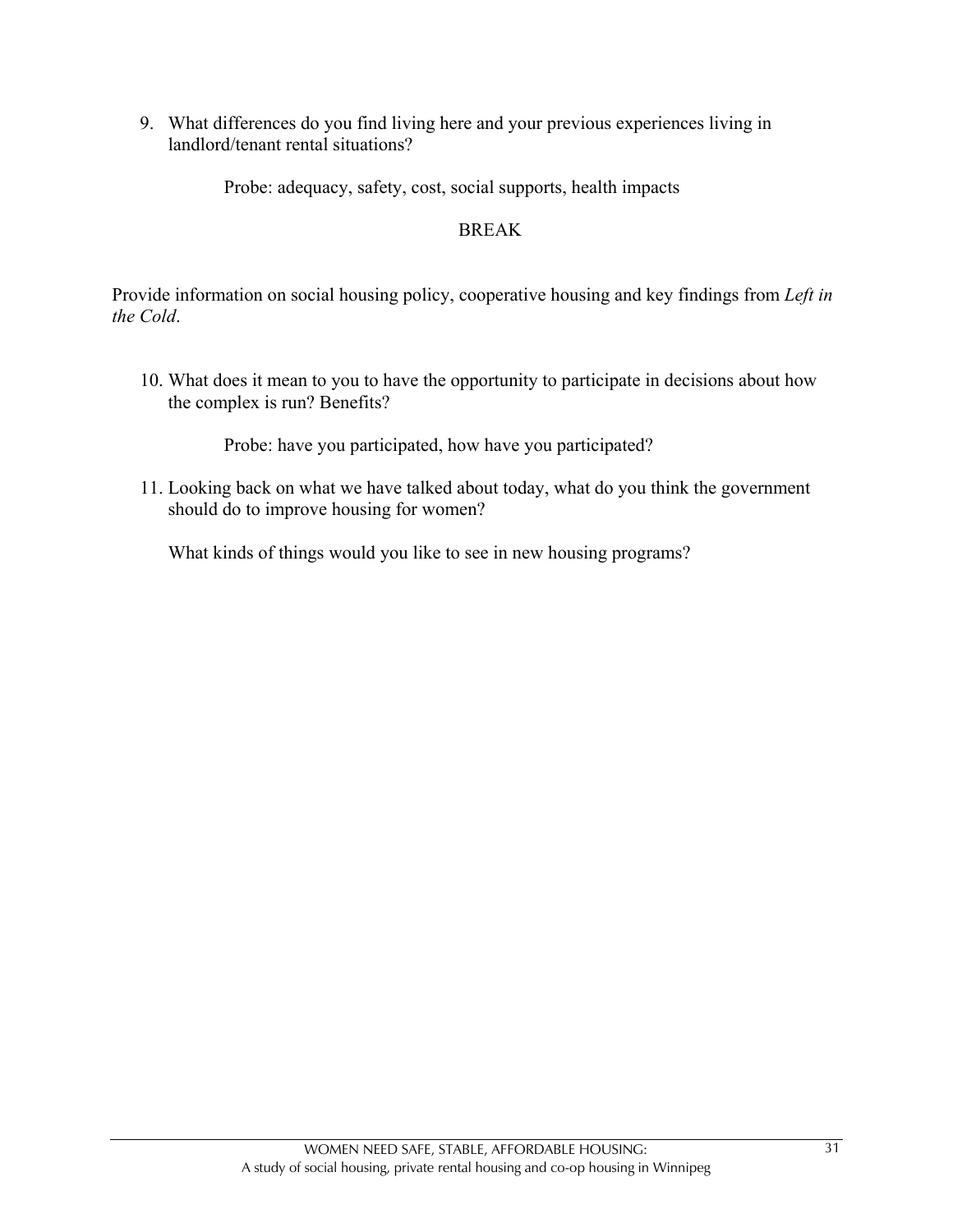9. What differences do you find living here and your previous experiences living in landlord/tenant rental situations?

Probe: adequacy, safety, cost, social supports, health impacts

#### BREAK

Provide information on social housing policy, cooperative housing and key findings from *Left in the Cold*.

10. What does it mean to you to have the opportunity to participate in decisions about how the complex is run? Benefits?

Probe: have you participated, how have you participated?

11. Looking back on what we have talked about today, what do you think the government should do to improve housing for women?

What kinds of things would you like to see in new housing programs?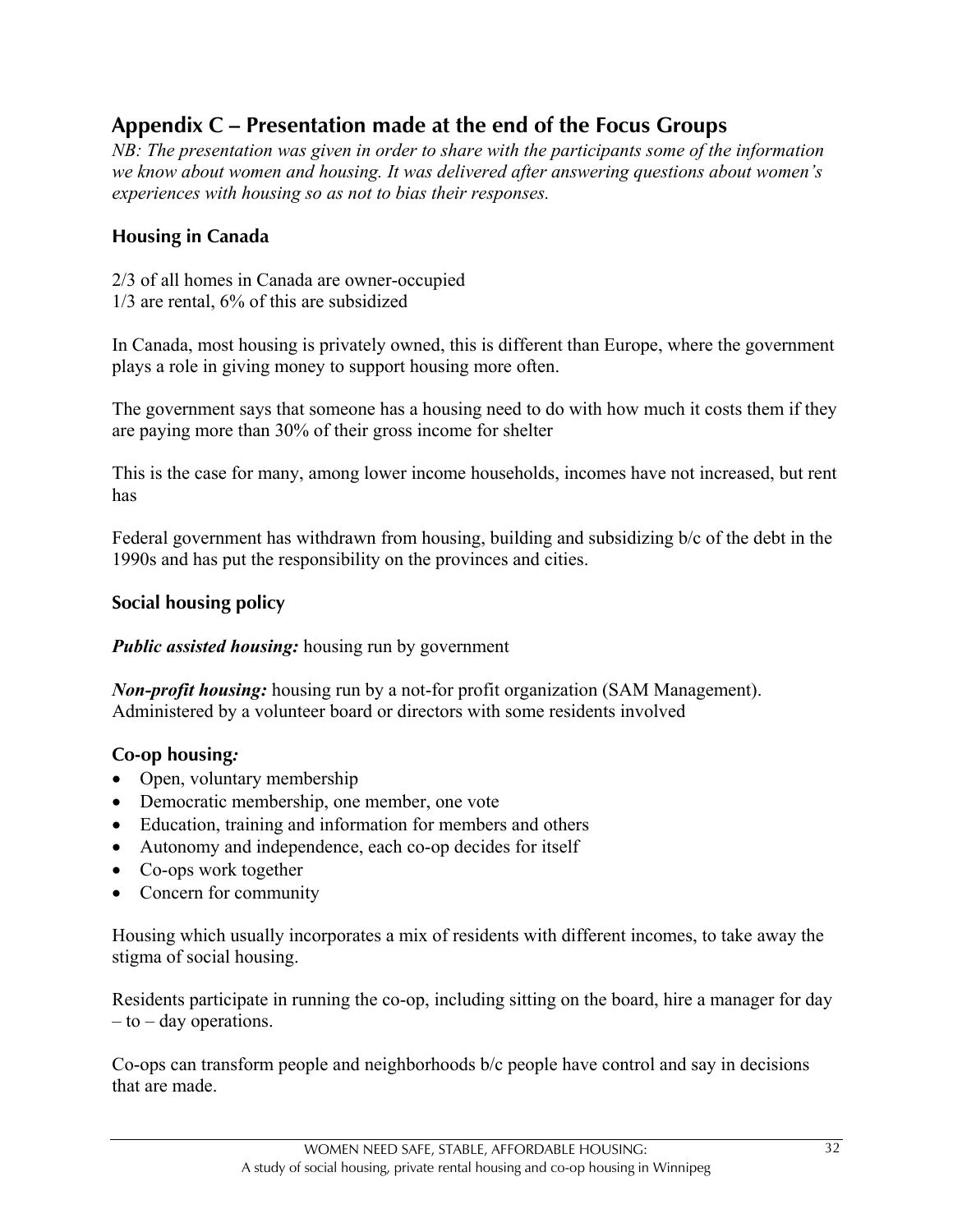## **Appendix C – Presentation made at the end of the Focus Groups**

*NB: The presentation was given in order to share with the participants some of the information we know about women and housing. It was delivered after answering questions about women's experiences with housing so as not to bias their responses.*

#### **Housing in Canada**

2/3 of all homes in Canada are owner-occupied 1/3 are rental, 6% of this are subsidized

In Canada, most housing is privately owned, this is different than Europe, where the government plays a role in giving money to support housing more often.

The government says that someone has a housing need to do with how much it costs them if they are paying more than 30% of their gross income for shelter

This is the case for many, among lower income households, incomes have not increased, but rent has

Federal government has withdrawn from housing, building and subsidizing b/c of the debt in the 1990s and has put the responsibility on the provinces and cities.

#### **Social housing policy**

*Public assisted housing:* housing run by government

*Non-profit housing:* housing run by a not-for profit organization (SAM Management). Administered by a volunteer board or directors with some residents involved

#### **Co-op housing***:*

- Open, voluntary membership
- Democratic membership, one member, one vote
- Education, training and information for members and others
- Autonomy and independence, each co-op decides for itself
- Co-ops work together
- Concern for community

Housing which usually incorporates a mix of residents with different incomes, to take away the stigma of social housing.

Residents participate in running the co-op, including sitting on the board, hire a manager for day – to – day operations.

Co-ops can transform people and neighborhoods b/c people have control and say in decisions that are made.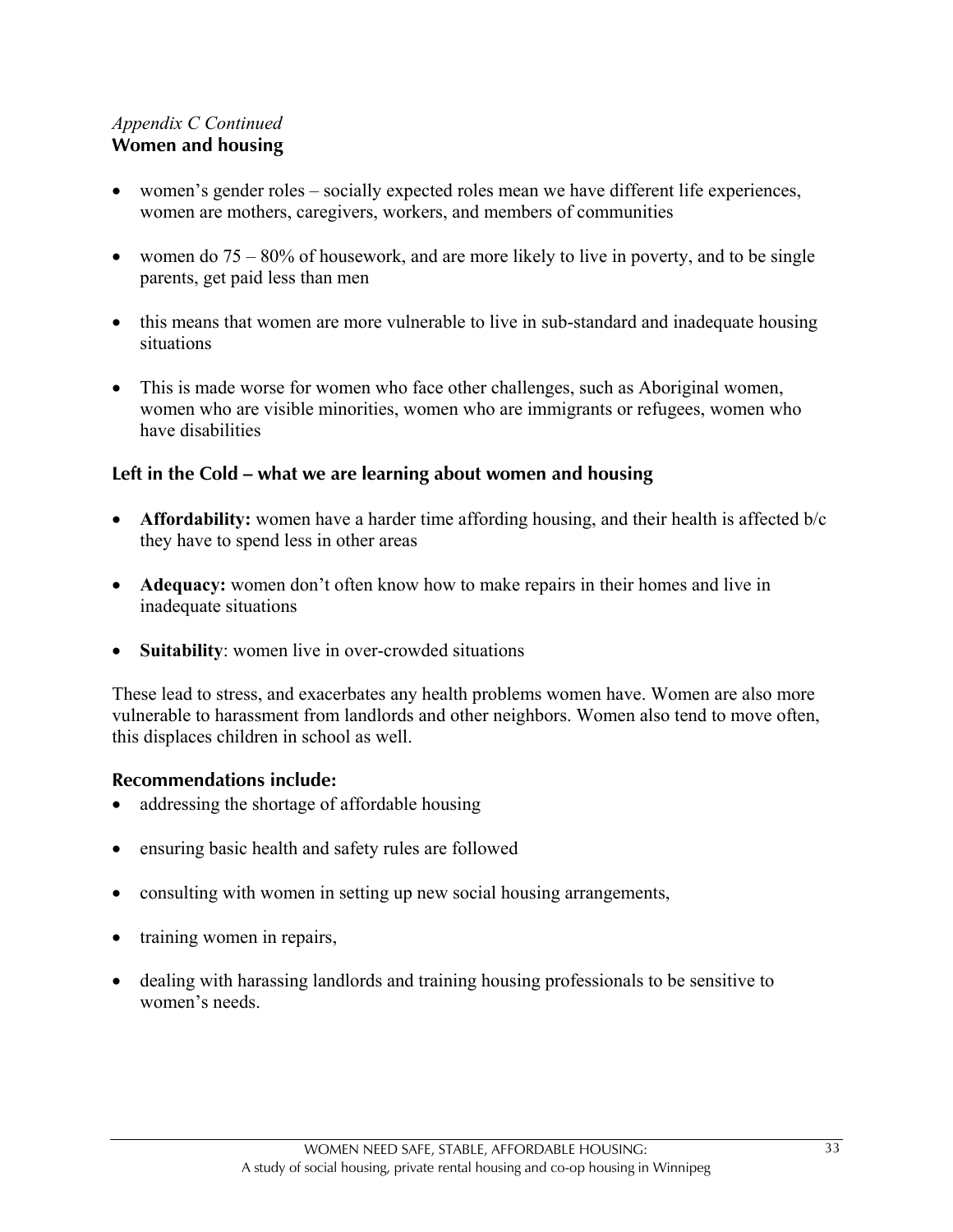#### *Appendix C Continued* **Women and housing**

- women's gender roles socially expected roles mean we have different life experiences, women are mothers, caregivers, workers, and members of communities
- women do  $75 80\%$  of housework, and are more likely to live in poverty, and to be single parents, get paid less than men
- this means that women are more vulnerable to live in sub-standard and inadequate housing situations
- This is made worse for women who face other challenges, such as Aboriginal women, women who are visible minorities, women who are immigrants or refugees, women who have disabilities

#### **Left in the Cold – what we are learning about women and housing**

- **Affordability:** women have a harder time affording housing, and their health is affected b/c they have to spend less in other areas
- **Adequacy:** women don't often know how to make repairs in their homes and live in inadequate situations
- **Suitability**: women live in over-crowded situations

These lead to stress, and exacerbates any health problems women have. Women are also more vulnerable to harassment from landlords and other neighbors. Women also tend to move often, this displaces children in school as well.

#### **Recommendations include:**

- addressing the shortage of affordable housing
- ensuring basic health and safety rules are followed
- consulting with women in setting up new social housing arrangements,
- training women in repairs,
- dealing with harassing landlords and training housing professionals to be sensitive to women's needs.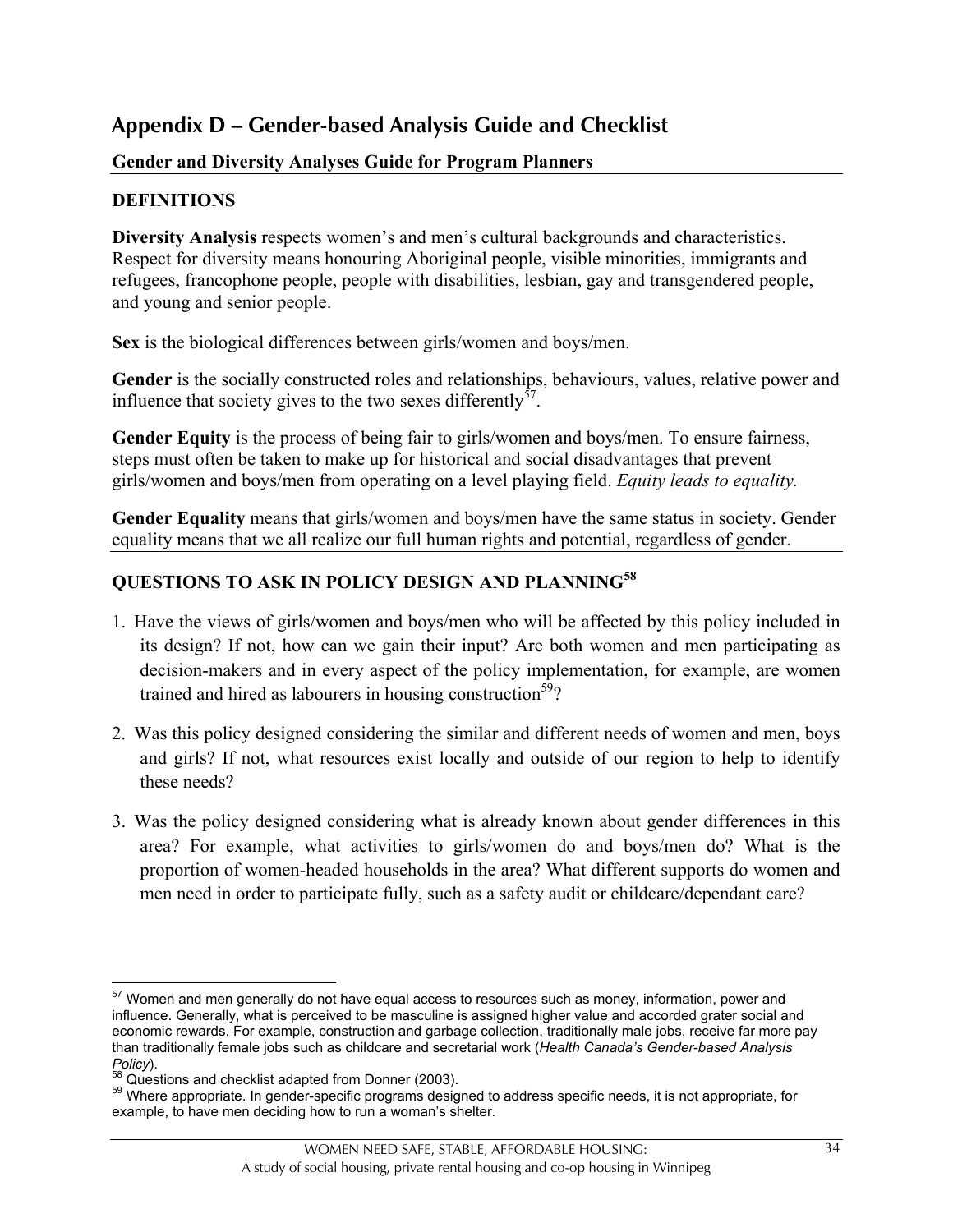## **Appendix D – Gender-based Analysis Guide and Checklist**

#### **Gender and Diversity Analyses Guide for Program Planners**

### **DEFINITIONS**

**Diversity Analysis** respects women's and men's cultural backgrounds and characteristics. Respect for diversity means honouring Aboriginal people, visible minorities, immigrants and refugees, francophone people, people with disabilities, lesbian, gay and transgendered people, and young and senior people.

**Sex** is the biological differences between girls/women and boys/men.

**Gender** is the socially constructed roles and relationships, behaviours, values, relative power and influence that society gives to the two sexes differently<sup>57</sup>.

Gender Equity is the process of being fair to girls/women and boys/men. To ensure fairness, steps must often be taken to make up for historical and social disadvantages that prevent girls/women and boys/men from operating on a level playing field. *Equity leads to equality.*

**Gender Equality** means that girls/women and boys/men have the same status in society. Gender equality means that we all realize our full human rights and potential, regardless of gender.

## **QUESTIONS TO ASK IN POLICY DESIGN AND PLANNING<sup>58</sup>**

- 1. Have the views of girls/women and boys/men who will be affected by this policy included in its design? If not, how can we gain their input? Are both women and men participating as decision-makers and in every aspect of the policy implementation, for example, are women trained and hired as labourers in housing construction<sup>59</sup>?
- 2. Was this policy designed considering the similar and different needs of women and men, boys and girls? If not, what resources exist locally and outside of our region to help to identify these needs?
- 3. Was the policy designed considering what is already known about gender differences in this area? For example, what activities to girls/women do and boys/men do? What is the proportion of women-headed households in the area? What different supports do women and men need in order to participate fully, such as a safety audit or childcare/dependant care?

 $\overline{a}$  $57$  Women and men generally do not have equal access to resources such as money, information, power and influence. Generally, what is perceived to be masculine is assigned higher value and accorded grater social and economic rewards. For example, construction and garbage collection, traditionally male jobs, receive far more pay than traditionally female jobs such as childcare and secretarial work (*Health Canada's Gender-based Analysis*

*Policy*).<br><sup>58</sup> Questions and checklist adapted from Donner (2003).<br><sup>59</sup> Where appropriate. In gender-specific programs designed to address specific needs, it is not appropriate, for example, to have men deciding how to run a woman's shelter.